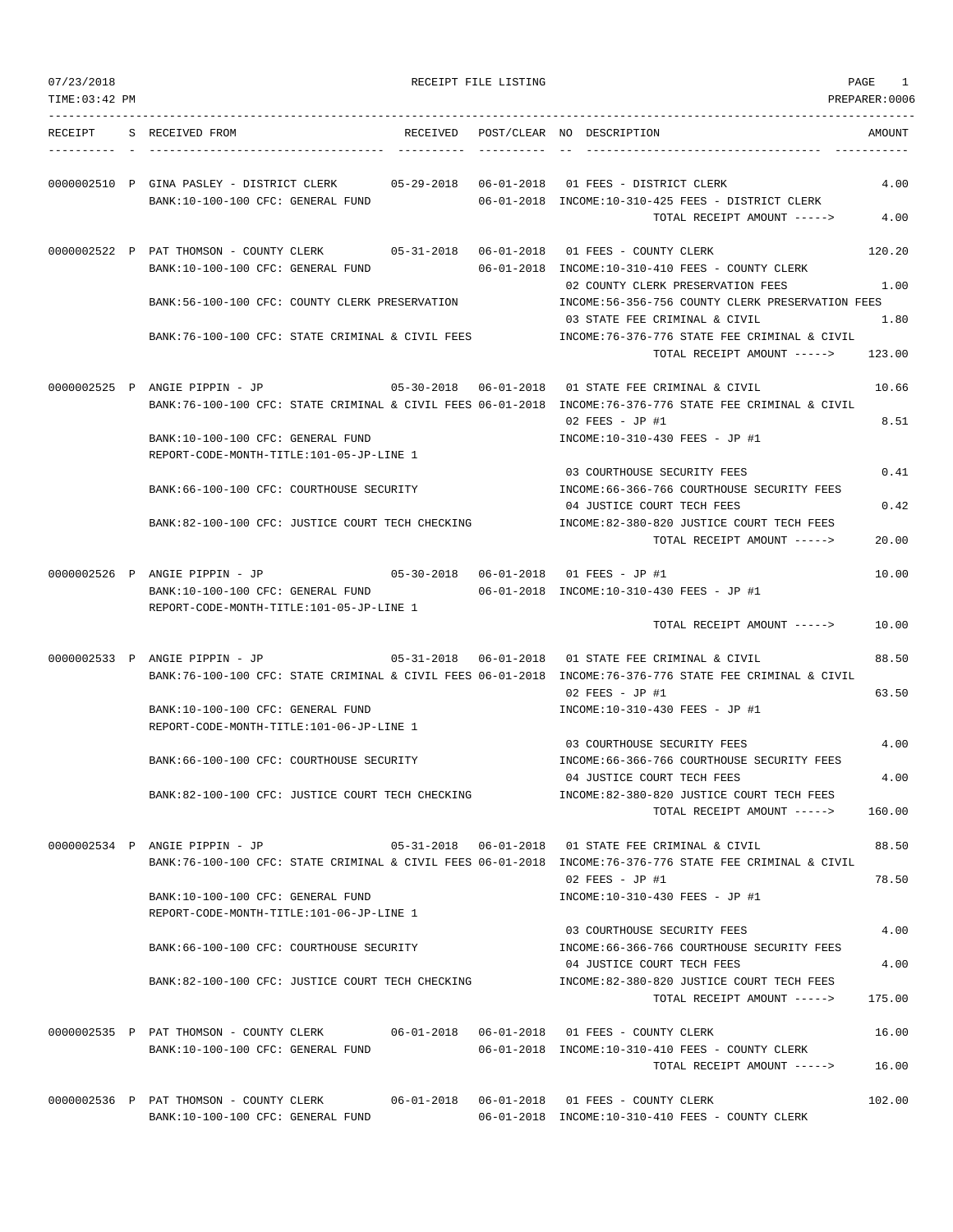| 07/23/2018<br>TIME: 03:42 PM |                                                                                                                               |          | RECEIPT FILE LISTING |                                                                                                                                                                   | PAGE<br>1<br>PREPARER:0006 |
|------------------------------|-------------------------------------------------------------------------------------------------------------------------------|----------|----------------------|-------------------------------------------------------------------------------------------------------------------------------------------------------------------|----------------------------|
| RECEIPT                      | S RECEIVED FROM                                                                                                               | RECEIVED |                      | POST/CLEAR NO DESCRIPTION                                                                                                                                         | AMOUNT                     |
|                              | 0000002510 P GINA PASLEY - DISTRICT CLERK 05-29-2018 06-01-2018 01 FEES - DISTRICT CLERK<br>BANK:10-100-100 CFC: GENERAL FUND |          |                      | 06-01-2018 INCOME:10-310-425 FEES - DISTRICT CLERK<br>TOTAL RECEIPT AMOUNT ----->                                                                                 | 4.00<br>4.00               |
|                              | 0000002522 P PAT THOMSON - COUNTY CLERK                                                                                       |          |                      |                                                                                                                                                                   | 120.20                     |
|                              | BANK:10-100-100 CFC: GENERAL FUND                                                                                             |          |                      | 06-01-2018 INCOME:10-310-410 FEES - COUNTY CLERK<br>02 COUNTY CLERK PRESERVATION FEES                                                                             | 1.00                       |
|                              | BANK:56-100-100 CFC: COUNTY CLERK PRESERVATION                                                                                |          |                      | INCOME:56-356-756 COUNTY CLERK PRESERVATION FEES<br>03 STATE FEE CRIMINAL & CIVIL                                                                                 | 1.80                       |
|                              | BANK:76-100-100 CFC: STATE CRIMINAL & CIVIL FEES                                                                              |          |                      | INCOME:76-376-776 STATE FEE CRIMINAL & CIVIL<br>TOTAL RECEIPT AMOUNT ----->                                                                                       | 123.00                     |
|                              | 0000002525 P ANGIE PIPPIN - JP                                                                                                |          |                      | 05-30-2018  06-01-2018  01 STATE FEE CRIMINAL & CIVIL<br>BANK:76-100-100 CFC: STATE CRIMINAL & CIVIL FEES 06-01-2018 INCOME:76-376-776 STATE FEE CRIMINAL & CIVIL | 10.66                      |
|                              | BANK:10-100-100 CFC: GENERAL FUND<br>REPORT-CODE-MONTH-TITLE:101-05-JP-LINE 1                                                 |          |                      | $02$ FEES - JP #1<br>INCOME:10-310-430 FEES - JP #1                                                                                                               | 8.51                       |
|                              | BANK:66-100-100 CFC: COURTHOUSE SECURITY                                                                                      |          |                      | 03 COURTHOUSE SECURITY FEES<br>INCOME:66-366-766 COURTHOUSE SECURITY FEES                                                                                         | 0.41                       |
|                              | BANK:82-100-100 CFC: JUSTICE COURT TECH CHECKING                                                                              |          |                      | 04 JUSTICE COURT TECH FEES<br>INCOME:82-380-820 JUSTICE COURT TECH FEES                                                                                           | 0.42                       |
|                              |                                                                                                                               |          |                      | TOTAL RECEIPT AMOUNT ----->                                                                                                                                       | 20.00                      |
|                              | 0000002526 P ANGIE PIPPIN - JP<br>BANK:10-100-100 CFC: GENERAL FUND<br>REPORT-CODE-MONTH-TITLE:101-05-JP-LINE 1               |          |                      | 05-30-2018  06-01-2018  01 FEES - JP #1<br>06-01-2018 INCOME:10-310-430 FEES - JP #1                                                                              | 10.00                      |
|                              |                                                                                                                               |          |                      | TOTAL RECEIPT AMOUNT ----->                                                                                                                                       | 10.00                      |
|                              | 0000002533 P ANGIE PIPPIN - JP                                                                                                |          |                      | BANK:76-100-100 CFC: STATE CRIMINAL & CIVIL FEES 06-01-2018 INCOME:76-376-776 STATE FEE CRIMINAL & CIVIL                                                          | 88.50                      |
|                              | BANK:10-100-100 CFC: GENERAL FUND<br>REPORT-CODE-MONTH-TITLE:101-06-JP-LINE 1                                                 |          |                      | $02$ FEES - JP #1<br>INCOME:10-310-430 FEES - JP #1                                                                                                               | 63.50                      |
|                              |                                                                                                                               |          |                      | 03 COURTHOUSE SECURITY FEES                                                                                                                                       | 4.00                       |
|                              | BANK: 66-100-100 CFC: COURTHOUSE SECURITY                                                                                     |          |                      | INCOME:66-366-766 COURTHOUSE SECURITY FEES<br>04 JUSTICE COURT TECH FEES                                                                                          | 4.00                       |
|                              | BANK:82-100-100 CFC: JUSTICE COURT TECH CHECKING                                                                              |          |                      | INCOME:82-380-820 JUSTICE COURT TECH FEES<br>TOTAL RECEIPT AMOUNT ----->                                                                                          | 160.00                     |
|                              | 0000002534 P ANGIE PIPPIN - JP                                                                                                |          |                      | 05-31-2018  06-01-2018  01 STATE FEE CRIMINAL & CIVIL                                                                                                             | 88.50                      |
|                              | BANK:10-100-100 CFC: GENERAL FUND                                                                                             |          |                      | BANK:76-100-100 CFC: STATE CRIMINAL & CIVIL FEES 06-01-2018 INCOME:76-376-776 STATE FEE CRIMINAL & CIVIL<br>02 FEES - JP #1<br>INCOME:10-310-430 FEES - JP #1     | 78.50                      |
|                              | REPORT-CODE-MONTH-TITLE:101-06-JP-LINE 1                                                                                      |          |                      |                                                                                                                                                                   |                            |
|                              | BANK: 66-100-100 CFC: COURTHOUSE SECURITY                                                                                     |          |                      | 03 COURTHOUSE SECURITY FEES<br>INCOME: 66-366-766 COURTHOUSE SECURITY FEES                                                                                        | 4.00                       |
|                              | BANK:82-100-100 CFC: JUSTICE COURT TECH CHECKING                                                                              |          |                      | 04 JUSTICE COURT TECH FEES<br>INCOME:82-380-820 JUSTICE COURT TECH FEES                                                                                           | 4.00                       |
|                              |                                                                                                                               |          |                      | TOTAL RECEIPT AMOUNT ----->                                                                                                                                       | 175.00                     |
|                              | 0000002535 P PAT THOMSON - COUNTY CLERK 06-01-2018 06-01-2018 01 FEES - COUNTY CLERK<br>BANK:10-100-100 CFC: GENERAL FUND     |          |                      | 06-01-2018 INCOME:10-310-410 FEES - COUNTY CLERK                                                                                                                  | 16.00                      |
|                              |                                                                                                                               |          |                      | TOTAL RECEIPT AMOUNT ----->                                                                                                                                       | 16.00                      |
|                              | 0000002536 P PAT THOMSON - COUNTY CLERK<br>BANK:10-100-100 CFC: GENERAL FUND                                                  |          |                      | 06-01-2018 INCOME:10-310-410 FEES - COUNTY CLERK                                                                                                                  | 102.00                     |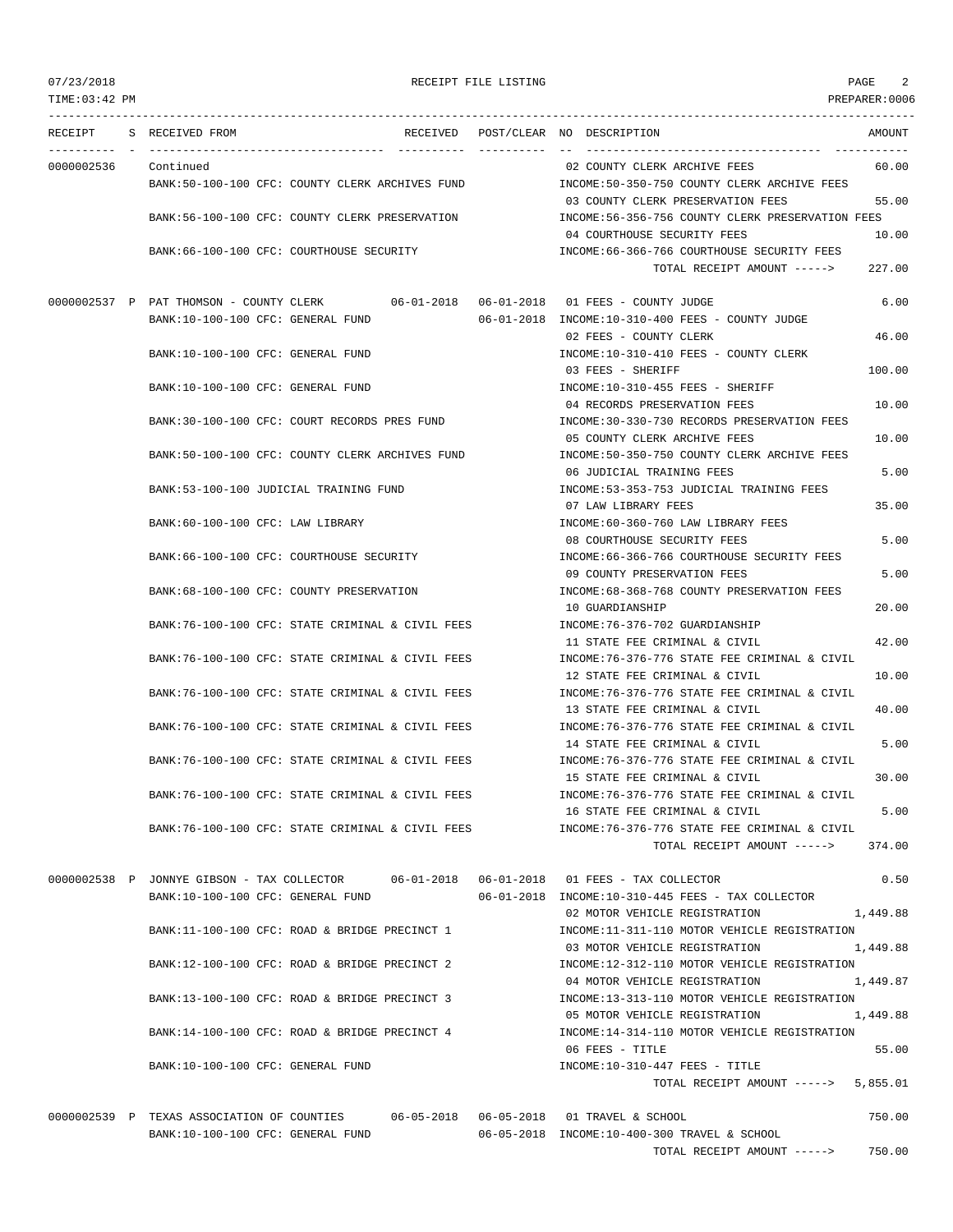TIME:03:42 PM PREPARER:0006 --------------------------------------------------------------------------------------------------------------------------------- RECEIPT S RECEIVED FROM THE RECEIVED POST/CLEAR NO DESCRIPTION THE SECRET AMOUNT ---------- - ----------------------------------- ---------- ---------- -- ----------------------------------- ----------- 0000002536 Continued 02 COUNTY CLERK ARCHIVE FEES 60.00 BANK:50-100-100 CFC: COUNTY CLERK ARCHIVES FUND INCOME:50-350-750 COUNTY CLERK ARCHIVE FEES 03 COUNTY CLERK PRESERVATION FEES 55.00 BANK:56-100-100 CFC: COUNTY CLERK PRESERVATION INCOME:56-356-756 COUNTY CLERK PRESERVATION FEES 04 COURTHOUSE SECURITY FEES 10.00 BANK:66-100-100 CFC: COURTHOUSE SECURITY INCOME:66-366-766 COURTHOUSE SECURITY FEES TOTAL RECEIPT AMOUNT -----> 227.00 0000002537 P PAT THOMSON - COUNTY CLERK 06-01-2018 06-01-2018 01 FEES - COUNTY JUDGE 6.00 BANK:10-100-100 CFC: GENERAL FUND 06-01-2018 INCOME:10-310-400 FEES - COUNTY JUDGE 02 FEES - COUNTY CLERK 46.00 BANK:10-100-100 CFC: GENERAL FUND INCOME:10-310-410 FEES - COUNTY CLERK 03 FEES - SHERIFF 100.00 BANK:10-100-100 CFC: GENERAL FUND INCOME:10-310-455 FEES - SHERIFF 04 RECORDS PRESERVATION FEES 10.00 BANK:30-100-100 CFC: COURT RECORDS PRES FUND INCOME:30-330-730 RECORDS PRESERVATION FEES 05 COUNTY CLERK ARCHIVE FEES 10.00 BANK:50-100-100 CFC: COUNTY CLERK ARCHIVES FUND INCOME:50-350-750 COUNTY CLERK ARCHIVE FEES 06 JUDICIAL TRAINING FEES 5.00 BANK:53-100-100 JUDICIAL TRAINING FUND INCOME:53-353-753 JUDICIAL TRAINING FEES 07 LAW LIBRARY FEES 35.00 BANK:60-100-100 CFC: LAW LIBRARY INCOME:60-360-760 LAW LIBRARY FEES 08 COURTHOUSE SECURITY FEES 5.00 BANK:66-100-100 CFC: COURTHOUSE SECURITY CONTROLL:66-366-766 COURTHOUSE SECURITY FEES 09 COUNTY PRESERVATION FEES 5.00 BANK:68-100-100 CFC: COUNTY PRESERVATION INCOME:68-368-768 COUNTY PRESERVATION FEES 10 GUARDIANSHIP 20.00 BANK:76-100-100 CFC: STATE CRIMINAL & CIVIL FEES INCOME:76-376-702 GUARDIANSHIP 11 STATE FEE CRIMINAL & CIVIL 42.00 BANK:76-100-100 CFC: STATE CRIMINAL & CIVIL FEES INCOME:76-376-776 STATE FEE CRIMINAL & CIVIL 12 STATE FEE CRIMINAL & CIVIL 10.00 BANK:76-100-100 CFC: STATE CRIMINAL & CIVIL FEES INCOME:76-376-776 STATE FEE CRIMINAL & CIVIL 13 STATE FEE CRIMINAL & CIVIL 40.00 BANK:76-100-100 CFC: STATE CRIMINAL & CIVIL FEES INCOME:76-376-776 STATE FEE CRIMINAL & CIVIL 14 STATE FEE CRIMINAL & CIVIL 5.00 BANK:76-100-100 CFC: STATE CRIMINAL & CIVIL FEES INCOME:76-376-776 STATE FEE CRIMINAL & CIVIL 15 STATE FEE CRIMINAL & CIVIL 30.00 BANK:76-100-100 CFC: STATE CRIMINAL & CIVIL FEES INCOME:76-376-776 STATE FEE CRIMINAL & CIVIL 16 STATE FEE CRIMINAL & CIVIL 5.00 BANK:76-100-100 CFC: STATE CRIMINAL & CIVIL FEES INCOME:76-376-776 STATE FEE CRIMINAL & CIVIL TOTAL RECEIPT AMOUNT -----> 374.00 0000002538 P JONNYE GIBSON - TAX COLLECTOR 06-01-2018 06-01-2018 01 FEES - TAX COLLECTOR 0.50 BANK:10-100-100 CFC: GENERAL FUND 06-01-2018 INCOME:10-310-445 FEES - TAX COLLECTOR 02 MOTOR VEHICLE REGISTRATION 1,449.88 BANK:11-100-100 CFC: ROAD & BRIDGE PRECINCT 1 INCOME:11-311-110 MOTOR VEHICLE REGISTRATION 03 MOTOR VEHICLE REGISTRATION 1,449.88 BANK:12-100-100 CFC: ROAD & BRIDGE PRECINCT 2 INCOME:12-312-110 MOTOR VEHICLE REGISTRATION 04 MOTOR VEHICLE REGISTRATION 1,449.87 BANK:13-100-100 CFC: ROAD & BRIDGE PRECINCT 3 INCOME:13-313-110 MOTOR VEHICLE REGISTRATION 05 MOTOR VEHICLE REGISTRATION 1,449.88 BANK:14-100-100 CFC: ROAD & BRIDGE PRECINCT 4 INCOME:14-314-110 MOTOR VEHICLE REGISTRATION 06 FEES - TITLE 55.00 BANK:10-100-100 CFC: GENERAL FUND INCOME:10-310-447 FEES - TITLE TOTAL RECEIPT AMOUNT -----> 5,855.01 0000002539 P TEXAS ASSOCIATION OF COUNTIES 06-05-2018 06-05-2018 01 TRAVEL & SCHOOL 750.00

> BANK:10-100-100 CFC: GENERAL FUND 06-05-2018 INCOME:10-400-300 TRAVEL & SCHOOL TOTAL RECEIPT AMOUNT -----> 750.00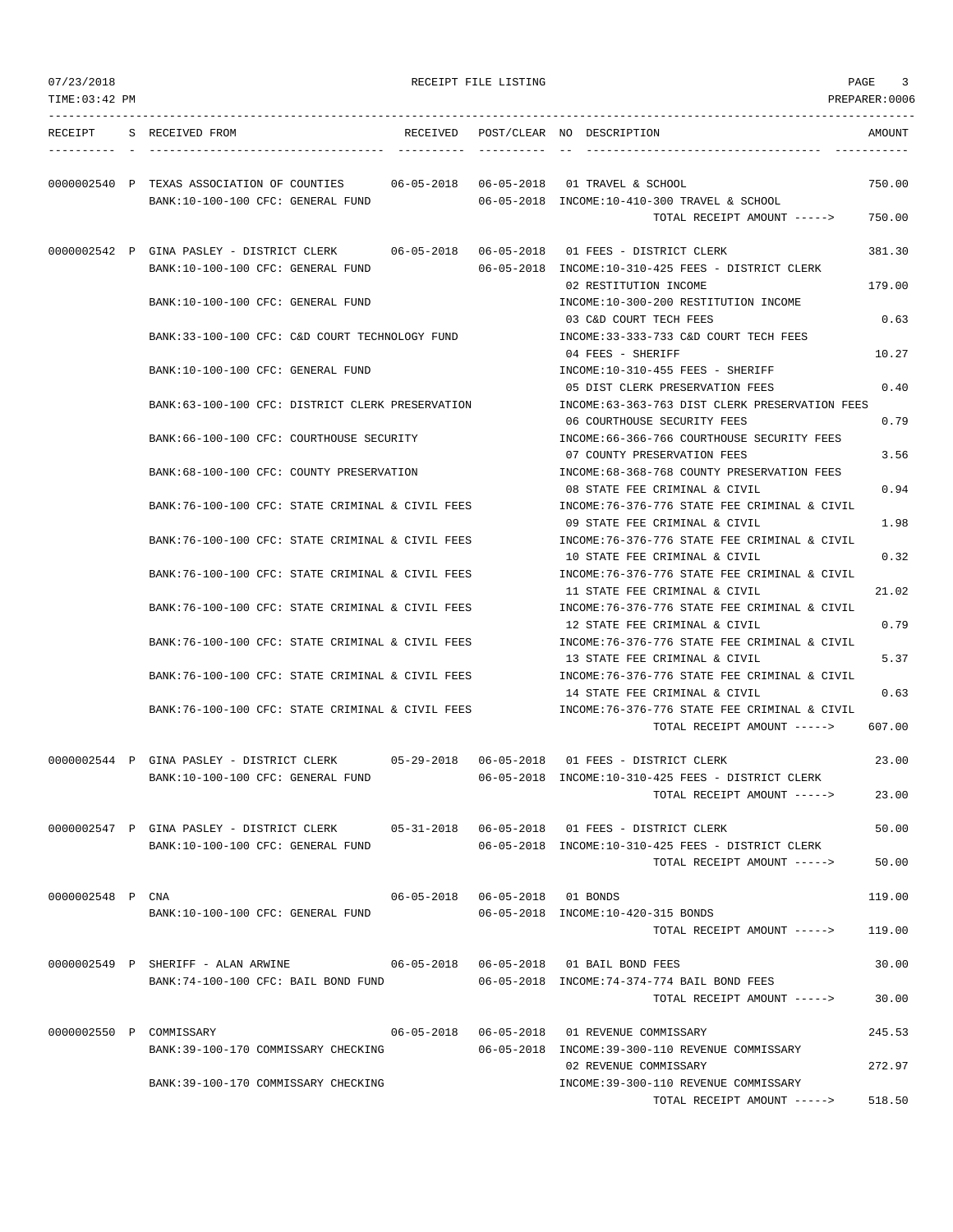| 07/23/2018       |                                                                                                                          |                                  | RECEIPT FILE LISTING |                                                                                   | PAGE<br>3      |
|------------------|--------------------------------------------------------------------------------------------------------------------------|----------------------------------|----------------------|-----------------------------------------------------------------------------------|----------------|
| TIME: 03:42 PM   |                                                                                                                          |                                  |                      |                                                                                   | PREPARER: 0006 |
| RECEIPT          | S RECEIVED FROM                                                                                                          |                                  |                      | RECEIVED POST/CLEAR NO DESCRIPTION                                                | AMOUNT         |
|                  | 0000002540 P TEXAS ASSOCIATION OF COUNTIES 06-05-2018 06-05-2018 01 TRAVEL & SCHOOL<br>BANK:10-100-100 CFC: GENERAL FUND |                                  |                      | 06-05-2018 INCOME:10-410-300 TRAVEL & SCHOOL                                      | 750.00         |
|                  |                                                                                                                          |                                  |                      | TOTAL RECEIPT AMOUNT ----->                                                       | 750.00         |
|                  | 0000002542 P GINA PASLEY - DISTRICT CLERK<br>BANK:10-100-100 CFC: GENERAL FUND                                           |                                  |                      | 06-05-2018 INCOME:10-310-425 FEES - DISTRICT CLERK                                | 381.30         |
|                  | BANK:10-100-100 CFC: GENERAL FUND                                                                                        |                                  |                      | 02 RESTITUTION INCOME<br>INCOME:10-300-200 RESTITUTION INCOME                     | 179.00         |
|                  |                                                                                                                          |                                  |                      | 03 C&D COURT TECH FEES                                                            | 0.63           |
|                  | BANK:33-100-100 CFC: C&D COURT TECHNOLOGY FUND                                                                           |                                  |                      | INCOME: 33-333-733 C&D COURT TECH FEES<br>04 FEES - SHERIFF                       | 10.27          |
|                  | BANK:10-100-100 CFC: GENERAL FUND                                                                                        |                                  |                      | INCOME:10-310-455 FEES - SHERIFF<br>05 DIST CLERK PRESERVATION FEES               | 0.40           |
|                  | BANK:63-100-100 CFC: DISTRICT CLERK PRESERVATION                                                                         |                                  |                      | INCOME:63-363-763 DIST CLERK PRESERVATION FEES<br>06 COURTHOUSE SECURITY FEES     | 0.79           |
|                  | BANK:66-100-100 CFC: COURTHOUSE SECURITY                                                                                 |                                  |                      | INCOME: 66-366-766 COURTHOUSE SECURITY FEES<br>07 COUNTY PRESERVATION FEES        | 3.56           |
|                  | BANK: 68-100-100 CFC: COUNTY PRESERVATION                                                                                |                                  |                      | INCOME: 68-368-768 COUNTY PRESERVATION FEES<br>08 STATE FEE CRIMINAL & CIVIL      | 0.94           |
|                  | BANK:76-100-100 CFC: STATE CRIMINAL & CIVIL FEES                                                                         |                                  |                      | INCOME:76-376-776 STATE FEE CRIMINAL & CIVIL<br>09 STATE FEE CRIMINAL & CIVIL     | 1.98           |
|                  | BANK:76-100-100 CFC: STATE CRIMINAL & CIVIL FEES                                                                         |                                  |                      | INCOME:76-376-776 STATE FEE CRIMINAL & CIVIL                                      |                |
|                  | BANK:76-100-100 CFC: STATE CRIMINAL & CIVIL FEES                                                                         |                                  |                      | 10 STATE FEE CRIMINAL & CIVIL<br>INCOME:76-376-776 STATE FEE CRIMINAL & CIVIL     | 0.32           |
|                  | BANK:76-100-100 CFC: STATE CRIMINAL & CIVIL FEES                                                                         |                                  |                      | 11 STATE FEE CRIMINAL & CIVIL<br>INCOME:76-376-776 STATE FEE CRIMINAL & CIVIL     | 21.02          |
|                  | BANK:76-100-100 CFC: STATE CRIMINAL & CIVIL FEES                                                                         |                                  |                      | 12 STATE FEE CRIMINAL & CIVIL<br>INCOME:76-376-776 STATE FEE CRIMINAL & CIVIL     | 0.79           |
|                  | BANK:76-100-100 CFC: STATE CRIMINAL & CIVIL FEES                                                                         |                                  |                      | 13 STATE FEE CRIMINAL & CIVIL<br>INCOME:76-376-776 STATE FEE CRIMINAL & CIVIL     | 5.37           |
|                  | BANK:76-100-100 CFC: STATE CRIMINAL & CIVIL FEES                                                                         |                                  |                      | 14 STATE FEE CRIMINAL & CIVIL<br>INCOME: 76-376-776 STATE FEE CRIMINAL & CIVIL    | 0.63           |
|                  |                                                                                                                          |                                  |                      | TOTAL RECEIPT AMOUNT ----->                                                       | 607.00         |
|                  | 0000002544 P GINA PASLEY - DISTRICT CLERK                                                                                |                                  |                      |                                                                                   | 23.00          |
|                  | BANK:10-100-100 CFC: GENERAL FUND                                                                                        |                                  |                      | 06-05-2018 INCOME:10-310-425 FEES - DISTRICT CLERK<br>TOTAL RECEIPT AMOUNT -----> | 23.00          |
|                  | 0000002547 P GINA PASLEY - DISTRICT CLERK 05-31-2018 06-05-2018 01 FEES - DISTRICT CLERK                                 |                                  |                      |                                                                                   | 50.00          |
|                  | BANK:10-100-100 CFC: GENERAL FUND                                                                                        |                                  |                      | 06-05-2018 INCOME:10-310-425 FEES - DISTRICT CLERK<br>TOTAL RECEIPT AMOUNT -----> | 50.00          |
| 0000002548 P CNA |                                                                                                                          | 06-05-2018  06-05-2018  01 BONDS |                      |                                                                                   | 119.00         |
|                  | BANK:10-100-100 CFC: GENERAL FUND                                                                                        |                                  |                      | 06-05-2018 INCOME:10-420-315 BONDS<br>TOTAL RECEIPT AMOUNT ----->                 | 119.00         |
|                  | 0000002549 P SHERIFF - ALAN ARWINE $06-05-2018$ 06-05-2018 01 BAIL BOND FEES                                             |                                  |                      |                                                                                   | 30.00          |
|                  | BANK:74-100-100 CFC: BAIL BOND FUND 06-05-2018 INCOME:74-374-774 BAIL BOND FEES                                          |                                  |                      | TOTAL RECEIPT AMOUNT ----->                                                       | 30.00          |
|                  | 0000002550 P COMMISSARY                                                                                                  |                                  |                      |                                                                                   | 245.53         |
|                  | BANK:39-100-170 COMMISSARY CHECKING                                                                                      |                                  |                      | 06-05-2018 INCOME:39-300-110 REVENUE COMMISSARY<br>02 REVENUE COMMISSARY          | 272.97         |
|                  | BANK:39-100-170 COMMISSARY CHECKING                                                                                      |                                  |                      | INCOME: 39-300-110 REVENUE COMMISSARY<br>TOTAL RECEIPT AMOUNT ----->              | 518.50         |
|                  |                                                                                                                          |                                  |                      |                                                                                   |                |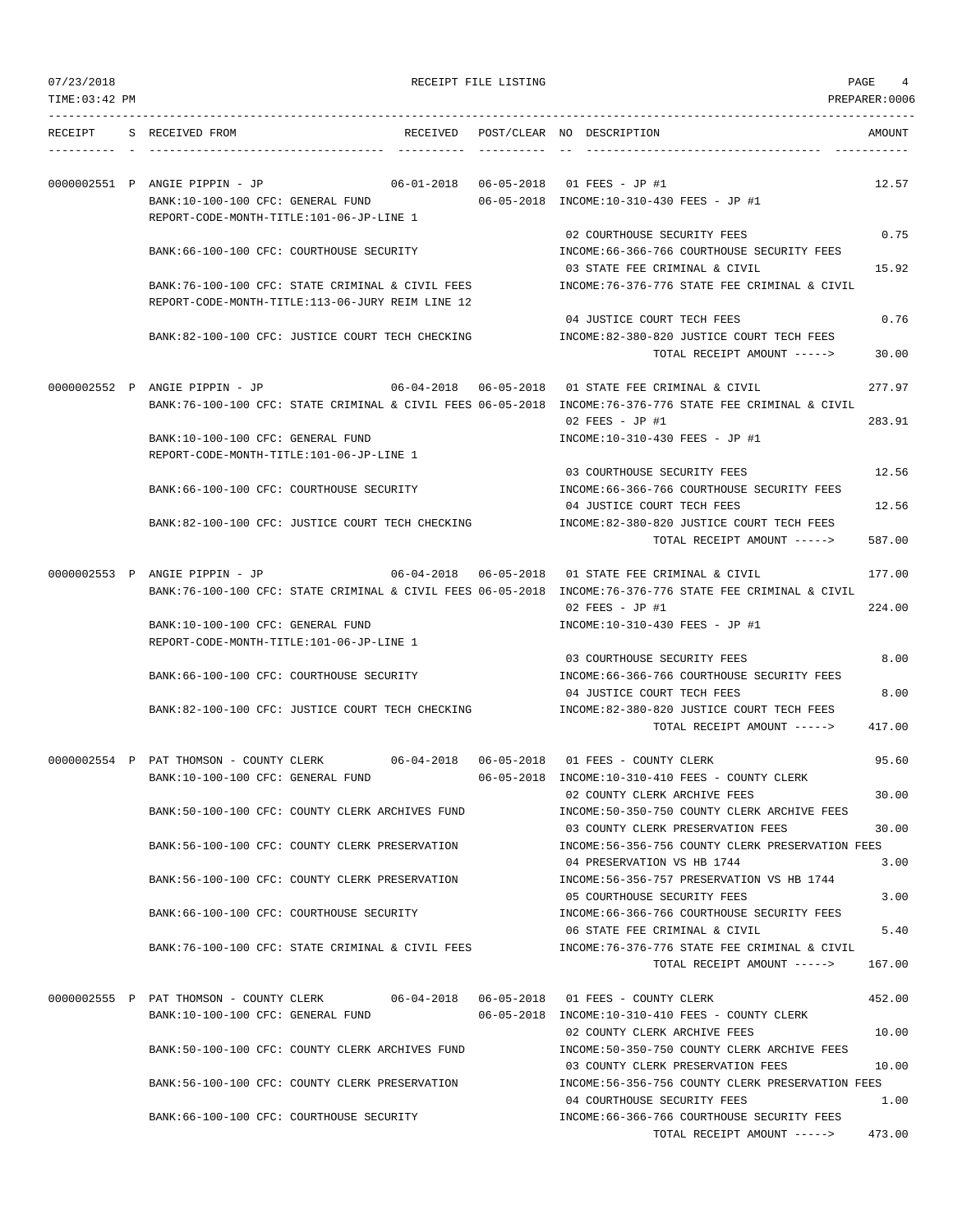07/23/2018 RECEIPT FILE LISTING PAGE 4

|  | RECEIPT S RECEIVED FROM                  |                                                                                      | RECEIVED POST/CLEAR NO DESCRIPTION                                                                       | AMOUNT |
|--|------------------------------------------|--------------------------------------------------------------------------------------|----------------------------------------------------------------------------------------------------------|--------|
|  | 0000002551 P ANGIE PIPPIN - JP           |                                                                                      |                                                                                                          | 12.57  |
|  | BANK:10-100-100 CFC: GENERAL FUND        |                                                                                      | 06-05-2018 INCOME:10-310-430 FEES - JP #1                                                                |        |
|  |                                          | REPORT-CODE-MONTH-TITLE:101-06-JP-LINE 1                                             |                                                                                                          |        |
|  |                                          |                                                                                      | 02 COURTHOUSE SECURITY FEES                                                                              | 0.75   |
|  |                                          | BANK:66-100-100 CFC: COURTHOUSE SECURITY                                             | INCOME: 66-366-766 COURTHOUSE SECURITY FEES                                                              |        |
|  |                                          |                                                                                      | 03 STATE FEE CRIMINAL & CIVIL                                                                            | 15.92  |
|  |                                          | BANK:76-100-100 CFC: STATE CRIMINAL & CIVIL FEES                                     | INCOME: 76-376-776 STATE FEE CRIMINAL & CIVIL                                                            |        |
|  |                                          | REPORT-CODE-MONTH-TITLE:113-06-JURY REIM LINE 12                                     |                                                                                                          |        |
|  |                                          | BANK:82-100-100 CFC: JUSTICE COURT TECH CHECKING                                     | 04 JUSTICE COURT TECH FEES<br>INCOME:82-380-820 JUSTICE COURT TECH FEES                                  | 0.76   |
|  |                                          |                                                                                      | TOTAL RECEIPT AMOUNT ----->                                                                              | 30.00  |
|  |                                          |                                                                                      |                                                                                                          |        |
|  | 0000002552 P ANGIE PIPPIN - JP           |                                                                                      | 06-04-2018  06-05-2018  01 STATE FEE CRIMINAL & CIVIL                                                    | 277.97 |
|  |                                          |                                                                                      | BANK:76-100-100 CFC: STATE CRIMINAL & CIVIL FEES 06-05-2018 INCOME:76-376-776 STATE FEE CRIMINAL & CIVIL |        |
|  |                                          |                                                                                      | 02 FEES - JP #1                                                                                          | 283.91 |
|  | BANK:10-100-100 CFC: GENERAL FUND        |                                                                                      | INCOME:10-310-430 FEES - JP #1                                                                           |        |
|  | REPORT-CODE-MONTH-TITLE:101-06-JP-LINE 1 |                                                                                      |                                                                                                          |        |
|  |                                          |                                                                                      | 03 COURTHOUSE SECURITY FEES                                                                              | 12.56  |
|  |                                          | BANK:66-100-100 CFC: COURTHOUSE SECURITY                                             | INCOME: 66-366-766 COURTHOUSE SECURITY FEES                                                              |        |
|  |                                          | BANK:82-100-100 CFC: JUSTICE COURT TECH CHECKING                                     | 04 JUSTICE COURT TECH FEES<br>INCOME:82-380-820 JUSTICE COURT TECH FEES                                  | 12.56  |
|  |                                          |                                                                                      | TOTAL RECEIPT AMOUNT ----->                                                                              | 587.00 |
|  |                                          |                                                                                      |                                                                                                          |        |
|  | 0000002553 P ANGIE PIPPIN - JP           |                                                                                      | 06-04-2018  06-05-2018  01 STATE FEE CRIMINAL & CIVIL                                                    | 177.00 |
|  |                                          |                                                                                      | BANK:76-100-100 CFC: STATE CRIMINAL & CIVIL FEES 06-05-2018 INCOME:76-376-776 STATE FEE CRIMINAL & CIVIL |        |
|  |                                          |                                                                                      | $02$ FEES - JP #1                                                                                        | 224.00 |
|  | BANK:10-100-100 CFC: GENERAL FUND        |                                                                                      | INCOME:10-310-430 FEES - JP #1                                                                           |        |
|  | REPORT-CODE-MONTH-TITLE:101-06-JP-LINE 1 |                                                                                      |                                                                                                          |        |
|  |                                          |                                                                                      | 03 COURTHOUSE SECURITY FEES                                                                              | 8.00   |
|  |                                          | BANK:66-100-100 CFC: COURTHOUSE SECURITY                                             | INCOME:66-366-766 COURTHOUSE SECURITY FEES                                                               |        |
|  |                                          | BANK:82-100-100 CFC: JUSTICE COURT TECH CHECKING                                     | 04 JUSTICE COURT TECH FEES<br>INCOME:82-380-820 JUSTICE COURT TECH FEES                                  | 8.00   |
|  |                                          |                                                                                      | TOTAL RECEIPT AMOUNT ----->                                                                              | 417.00 |
|  |                                          |                                                                                      |                                                                                                          |        |
|  | 0000002554 P PAT THOMSON - COUNTY CLERK  |                                                                                      |                                                                                                          | 95.60  |
|  | BANK:10-100-100 CFC: GENERAL FUND        |                                                                                      | 06-05-2018 INCOME:10-310-410 FEES - COUNTY CLERK                                                         |        |
|  |                                          |                                                                                      | 02 COUNTY CLERK ARCHIVE FEES                                                                             | 30.00  |
|  |                                          | BANK:50-100-100 CFC: COUNTY CLERK ARCHIVES FUND                                      | INCOME:50-350-750 COUNTY CLERK ARCHIVE FEES                                                              |        |
|  |                                          |                                                                                      | 03 COUNTY CLERK PRESERVATION FEES                                                                        | 30.00  |
|  |                                          | BANK:56-100-100 CFC: COUNTY CLERK PRESERVATION                                       | INCOME: 56-356-756 COUNTY CLERK PRESERVATION FEES<br>04 PRESERVATION VS HB 1744                          | 3.00   |
|  |                                          | BANK:56-100-100 CFC: COUNTY CLERK PRESERVATION                                       | INCOME: 56-356-757 PRESERVATION VS HB 1744                                                               |        |
|  |                                          |                                                                                      | 05 COURTHOUSE SECURITY FEES                                                                              | 3.00   |
|  |                                          | BANK:66-100-100 CFC: COURTHOUSE SECURITY                                             | INCOME:66-366-766 COURTHOUSE SECURITY FEES                                                               |        |
|  |                                          |                                                                                      | 06 STATE FEE CRIMINAL & CIVIL                                                                            | 5.40   |
|  |                                          | BANK:76-100-100 CFC: STATE CRIMINAL & CIVIL FEES                                     | INCOME: 76-376-776 STATE FEE CRIMINAL & CIVIL                                                            |        |
|  |                                          |                                                                                      | TOTAL RECEIPT AMOUNT ----->                                                                              | 167.00 |
|  |                                          |                                                                                      |                                                                                                          |        |
|  | BANK:10-100-100 CFC: GENERAL FUND        | 0000002555 P PAT THOMSON - COUNTY CLERK 06-04-2018 06-05-2018 01 FEES - COUNTY CLERK | 06-05-2018 INCOME:10-310-410 FEES - COUNTY CLERK                                                         | 452.00 |
|  |                                          |                                                                                      | 02 COUNTY CLERK ARCHIVE FEES                                                                             | 10.00  |
|  |                                          | BANK:50-100-100 CFC: COUNTY CLERK ARCHIVES FUND                                      | INCOME: 50-350-750 COUNTY CLERK ARCHIVE FEES                                                             |        |
|  |                                          |                                                                                      | 03 COUNTY CLERK PRESERVATION FEES                                                                        | 10.00  |
|  |                                          | BANK:56-100-100 CFC: COUNTY CLERK PRESERVATION                                       | INCOME:56-356-756 COUNTY CLERK PRESERVATION FEES                                                         |        |
|  |                                          |                                                                                      | 04 COURTHOUSE SECURITY FEES                                                                              | 1.00   |
|  | BANK:66-100-100 CFC: COURTHOUSE SECURITY |                                                                                      | INCOME: 66-366-766 COURTHOUSE SECURITY FEES                                                              |        |
|  |                                          |                                                                                      | TOTAL RECEIPT AMOUNT ----->                                                                              | 473.00 |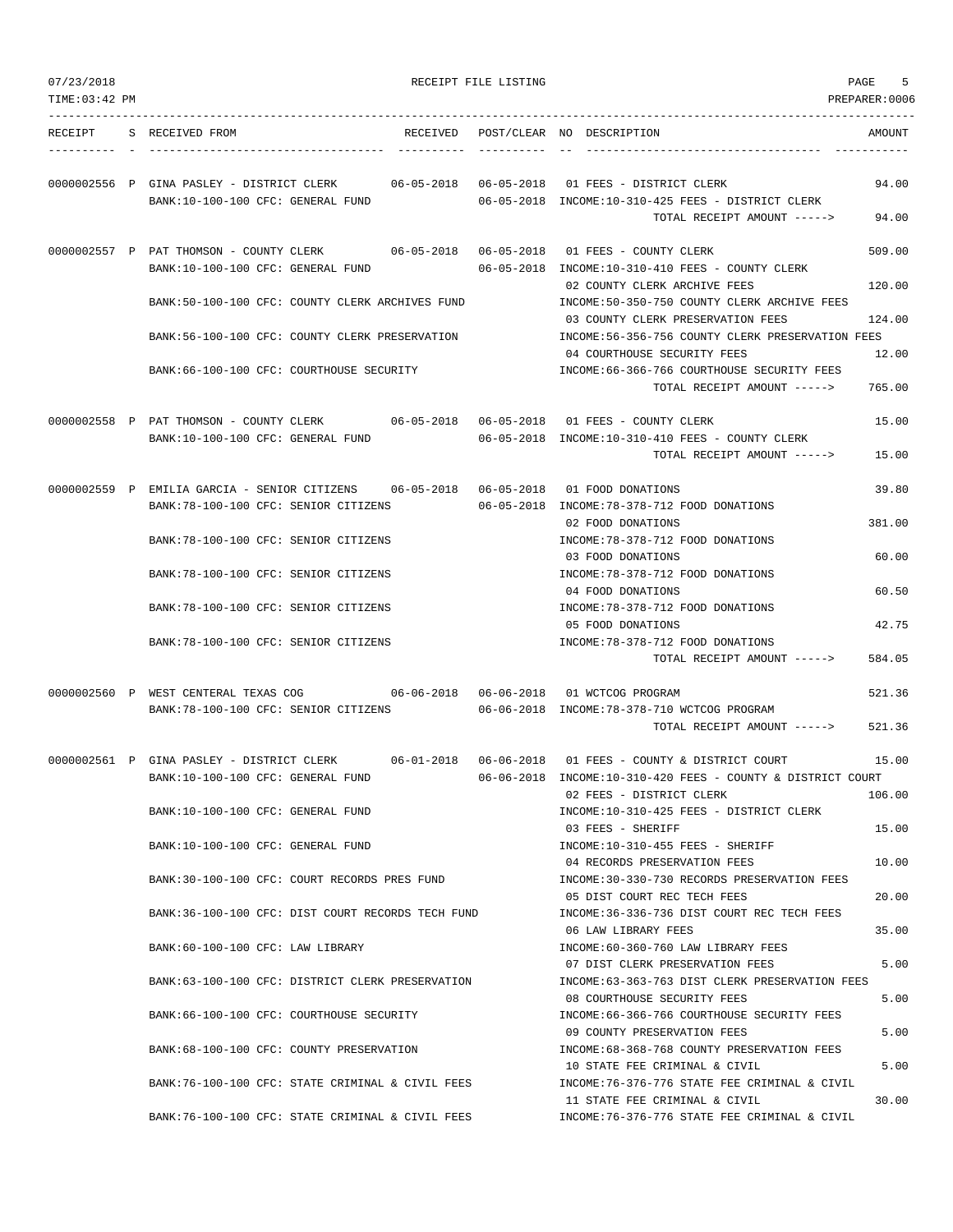| 07/23/2018     |                                                                                      | RECEIPT FILE LISTING               |                                                                                       | PAGE<br>5      |
|----------------|--------------------------------------------------------------------------------------|------------------------------------|---------------------------------------------------------------------------------------|----------------|
| TIME: 03:42 PM |                                                                                      |                                    |                                                                                       | PREPARER: 0006 |
| RECEIPT        | S RECEIVED FROM                                                                      | RECEIVED POST/CLEAR NO DESCRIPTION |                                                                                       | AMOUNT         |
|                |                                                                                      |                                    |                                                                                       |                |
|                | 0000002556 P GINA PASLEY - DISTRICT CLERK<br>BANK:10-100-100 CFC: GENERAL FUND       |                                    | 06-05-2018 INCOME:10-310-425 FEES - DISTRICT CLERK                                    | 94.00          |
|                |                                                                                      |                                    | TOTAL RECEIPT AMOUNT ----->                                                           | 94.00          |
|                | 0000002557 P PAT THOMSON - COUNTY CLERK<br>BANK:10-100-100 CFC: GENERAL FUND         |                                    | 06-05-2018 INCOME:10-310-410 FEES - COUNTY CLERK                                      | 509.00         |
|                | BANK:50-100-100 CFC: COUNTY CLERK ARCHIVES FUND                                      |                                    | 02 COUNTY CLERK ARCHIVE FEES<br>INCOME:50-350-750 COUNTY CLERK ARCHIVE FEES           | 120.00         |
|                | BANK:56-100-100 CFC: COUNTY CLERK PRESERVATION                                       |                                    | 03 COUNTY CLERK PRESERVATION FEES<br>INCOME:56-356-756 COUNTY CLERK PRESERVATION FEES | 124.00         |
|                | BANK:66-100-100 CFC: COURTHOUSE SECURITY                                             |                                    | 04 COURTHOUSE SECURITY FEES<br>INCOME: 66-366-766 COURTHOUSE SECURITY FEES            | 12.00          |
|                |                                                                                      |                                    | TOTAL RECEIPT AMOUNT ----->                                                           | 765.00         |
|                | 0000002558 P PAT THOMSON - COUNTY CLERK                                              |                                    |                                                                                       | 15.00          |
|                | BANK:10-100-100 CFC: GENERAL FUND                                                    |                                    | 06-05-2018 INCOME:10-310-410 FEES - COUNTY CLERK<br>TOTAL RECEIPT AMOUNT ----->       | 15.00          |
|                | 0000002559 P EMILIA GARCIA - SENIOR CITIZENS 06-05-2018 06-05-2018 01 FOOD DONATIONS |                                    |                                                                                       | 39.80          |
|                | BANK:78-100-100 CFC: SENIOR CITIZENS                                                 |                                    | 06-05-2018 INCOME: 78-378-712 FOOD DONATIONS<br>02 FOOD DONATIONS                     | 381.00         |
|                | BANK: 78-100-100 CFC: SENIOR CITIZENS                                                |                                    | INCOME: 78-378-712 FOOD DONATIONS                                                     |                |
|                | BANK: 78-100-100 CFC: SENIOR CITIZENS                                                |                                    | 03 FOOD DONATIONS<br>INCOME: 78-378-712 FOOD DONATIONS                                | 60.00          |
|                |                                                                                      |                                    | 04 FOOD DONATIONS                                                                     | 60.50          |
|                | BANK: 78-100-100 CFC: SENIOR CITIZENS                                                |                                    | INCOME: 78-378-712 FOOD DONATIONS<br>05 FOOD DONATIONS                                | 42.75          |
|                | BANK: 78-100-100 CFC: SENIOR CITIZENS                                                |                                    | INCOME: 78-378-712 FOOD DONATIONS<br>TOTAL RECEIPT AMOUNT ----->                      | 584.05         |
|                | 0000002560 P WEST CENTERAL TEXAS COG 06-06-2018 06-06-2018 01 WCTCOG PROGRAM         |                                    |                                                                                       | 521.36         |
|                | BANK: 78-100-100 CFC: SENIOR CITIZENS                                                |                                    | 06-06-2018 INCOME:78-378-710 WCTCOG PROGRAM                                           |                |
|                |                                                                                      |                                    | TOTAL RECEIPT AMOUNT ----->                                                           | 521.36         |
|                | 0000002561 P GINA PASLEY - DISTRICT CLERK                                            |                                    | 06-01-2018  06-06-2018  01 FEES - COUNTY & DISTRICT COURT                             | 15.00          |
|                | BANK:10-100-100 CFC: GENERAL FUND                                                    |                                    | 06-06-2018 INCOME:10-310-420 FEES - COUNTY & DISTRICT COURT                           |                |
|                |                                                                                      |                                    | 02 FEES - DISTRICT CLERK                                                              | 106.00         |
|                | BANK:10-100-100 CFC: GENERAL FUND                                                    |                                    | INCOME:10-310-425 FEES - DISTRICT CLERK<br>03 FEES - SHERIFF                          | 15.00          |
|                | BANK:10-100-100 CFC: GENERAL FUND                                                    |                                    | INCOME:10-310-455 FEES - SHERIFF                                                      |                |
|                | BANK:30-100-100 CFC: COURT RECORDS PRES FUND                                         |                                    | 04 RECORDS PRESERVATION FEES<br>INCOME: 30-330-730 RECORDS PRESERVATION FEES          | 10.00          |
|                |                                                                                      |                                    | 05 DIST COURT REC TECH FEES                                                           | 20.00          |
|                | BANK:36-100-100 CFC: DIST COURT RECORDS TECH FUND                                    |                                    | INCOME: 36-336-736 DIST COURT REC TECH FEES<br>06 LAW LIBRARY FEES                    | 35.00          |
|                | BANK:60-100-100 CFC: LAW LIBRARY                                                     |                                    | INCOME:60-360-760 LAW LIBRARY FEES<br>07 DIST CLERK PRESERVATION FEES                 | 5.00           |
|                | BANK:63-100-100 CFC: DISTRICT CLERK PRESERVATION                                     |                                    | INCOME: 63-363-763 DIST CLERK PRESERVATION FEES<br>08 COURTHOUSE SECURITY FEES        | 5.00           |
|                | BANK:66-100-100 CFC: COURTHOUSE SECURITY                                             |                                    | INCOME: 66-366-766 COURTHOUSE SECURITY FEES<br>09 COUNTY PRESERVATION FEES            | 5.00           |
|                | BANK: 68-100-100 CFC: COUNTY PRESERVATION                                            |                                    | INCOME: 68-368-768 COUNTY PRESERVATION FEES<br>10 STATE FEE CRIMINAL & CIVIL          | 5.00           |
|                | BANK:76-100-100 CFC: STATE CRIMINAL & CIVIL FEES                                     |                                    | INCOME: 76-376-776 STATE FEE CRIMINAL & CIVIL<br>11 STATE FEE CRIMINAL & CIVIL        | 30.00          |
|                | BANK:76-100-100 CFC: STATE CRIMINAL & CIVIL FEES                                     |                                    | INCOME: 76-376-776 STATE FEE CRIMINAL & CIVIL                                         |                |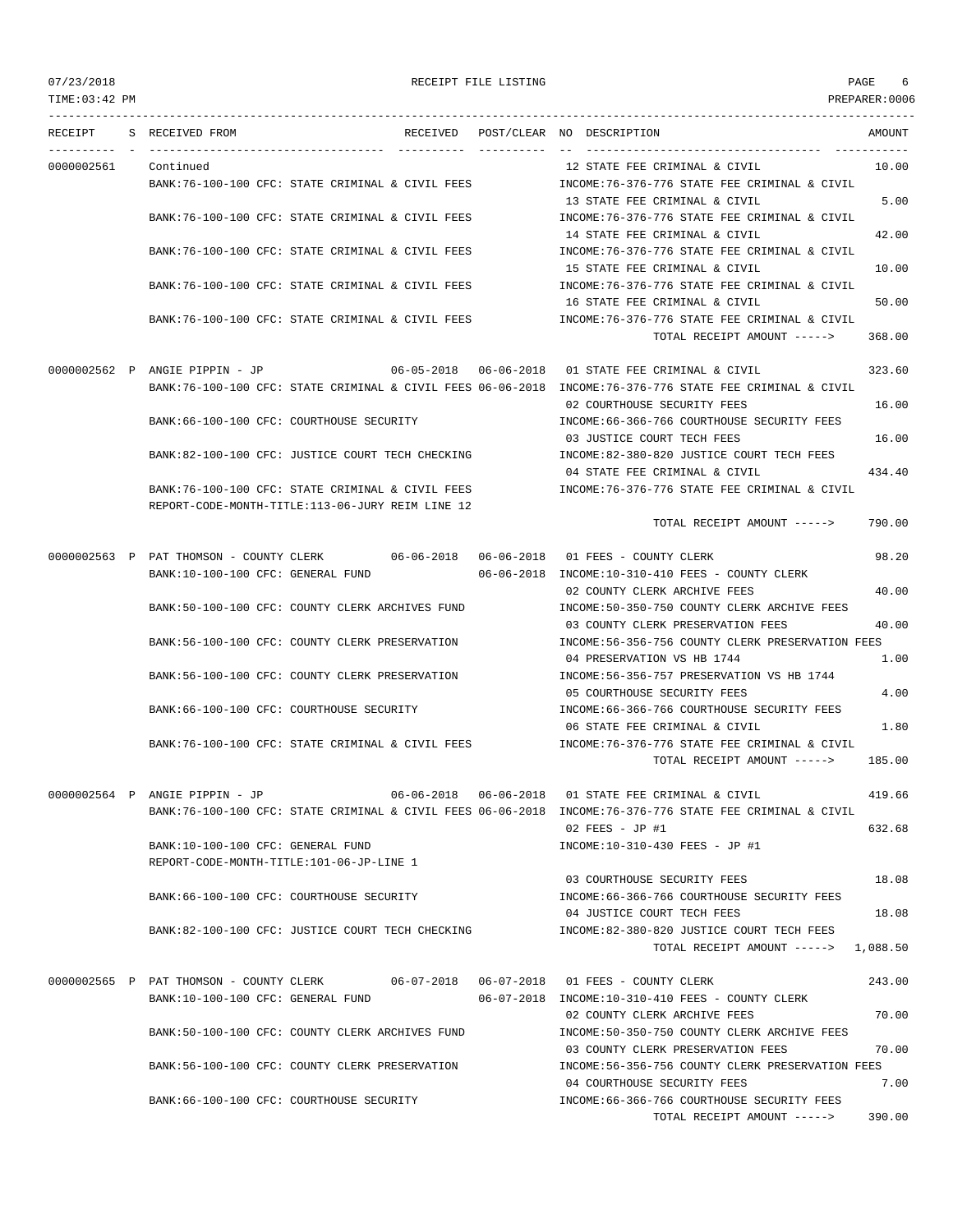## 07/23/2018 RECEIPT FILE LISTING PAGE 6

--------------------------------------------------------------------------------------------------------------------------------- RECEIPT S RECEIVED FROM THE RECEIVED POST/CLEAR NO DESCRIPTION THE SECRET AMOUNT

---------- - ----------------------------------- ---------- ---------- -- ----------------------------------- ----------- 0000002561 Continued 12 STATE FEE CRIMINAL & CIVIL 10.00 BANK:76-100-100 CFC: STATE CRIMINAL & CIVIL FEES INCOME:76-376-776 STATE FEE CRIMINAL & CIVIL 13 STATE FEE CRIMINAL & CIVIL 5.00 BANK:76-100-100 CFC: STATE CRIMINAL & CIVIL FEES INCOME:76-376-776 STATE FEE CRIMINAL & CIVIL 14 STATE FEE CRIMINAL & CIVIL 42.00 BANK:76-100-100 CFC: STATE CRIMINAL & CIVIL FEES INCOME:76-376-776 STATE FEE CRIMINAL & CIVIL 15 STATE FEE CRIMINAL & CIVIL 10.00 BANK:76-100-100 CFC: STATE CRIMINAL & CIVIL FEES INCOME:76-376-776 STATE FEE CRIMINAL & CIVIL 16 STATE FEE CRIMINAL & CIVIL 50.00 BANK:76-100-100 CFC: STATE CRIMINAL & CIVIL FEES INCOME:76-376-776 STATE FEE CRIMINAL & CIVIL TOTAL RECEIPT AMOUNT -----> 368.00 0000002562 P ANGIE PIPPIN - JP 06-05-2018 06-06-2018 01 STATE FEE CRIMINAL & CIVIL 323.60 BANK:76-100-100 CFC: STATE CRIMINAL & CIVIL FEES 06-06-2018 INCOME:76-376-776 STATE FEE CRIMINAL & CIVIL 02 COURTHOUSE SECURITY FEES 16.00 BANK:66-100-100 CFC: COURTHOUSE SECURITY INCOME:66-366-766 COURTHOUSE SECURITY FEES 03 JUSTICE COURT TECH FEES 16.00 BANK:82-100-100 CFC: JUSTICE COURT TECH CHECKING INCOME:82-380-820 JUSTICE COURT TECH FEES 04 STATE FEE CRIMINAL & CIVIL 434.40 BANK:76-100-100 CFC: STATE CRIMINAL & CIVIL FEES INCOME:76-376-776 STATE FEE CRIMINAL & CIVIL REPORT-CODE-MONTH-TITLE:113-06-JURY REIM LINE 12 TOTAL RECEIPT AMOUNT -----> 790.00 0000002563 P PAT THOMSON - COUNTY CLERK 06-06-2018 06-06-2018 01 FEES - COUNTY CLERK 98.20 BANK:10-100-100 CFC: GENERAL FUND 06-06-2018 INCOME:10-310-410 FEES - COUNTY CLERK 02 COUNTY CLERK ARCHIVE FEES 40.00 BANK:50-100-100 CFC: COUNTY CLERK ARCHIVES FUND INCOME:50-350-750 COUNTY CLERK ARCHIVE FEES 03 COUNTY CLERK PRESERVATION FEES 40.00 BANK:56-100-100 CFC: COUNTY CLERK PRESERVATION INCOME:56-356-756 COUNTY CLERK PRESERVATION FEES 04 PRESERVATION VS HB 1744 1.00 BANK:56-100-100 CFC: COUNTY CLERK PRESERVATION INCOME:56-356-757 PRESERVATION VS HB 1744 05 COURTHOUSE SECURITY FEES 4.00 BANK:66-100-100 CFC: COURTHOUSE SECURITY **INCOME:66-366-766 COURTHOUSE SECURITY FEES** 06 STATE FEE CRIMINAL & CIVIL 1.80 BANK:76-100-100 CFC: STATE CRIMINAL & CIVIL FEES INCOME:76-376-776 STATE FEE CRIMINAL & CIVIL TOTAL RECEIPT AMOUNT -----> 185.00 0000002564 P ANGIE PIPPIN - JP 06-06-2018 06-06-2018 01 STATE FEE CRIMINAL & CIVIL 419.66 BANK:76-100-100 CFC: STATE CRIMINAL & CIVIL FEES 06-06-2018 INCOME:76-376-776 STATE FEE CRIMINAL & CIVIL 02 FEES - JP #1 632.68 BANK:10-100-100 CFC: GENERAL FUND INCOME:10-310-430 FEES - JP #1 REPORT-CODE-MONTH-TITLE:101-06-JP-LINE 1 03 COURTHOUSE SECURITY FEES 18.08 BANK:66-100-100 CFC: COURTHOUSE SECURITY INCOME:66-366-766 COURTHOUSE SECURITY FEES 04 JUSTICE COURT TECH FEES 18.08 BANK:82-100-100 CFC: JUSTICE COURT TECH CHECKING INCOME:82-380-820 JUSTICE COURT TECH FEES TOTAL RECEIPT AMOUNT -----> 1,088.50 0000002565 P PAT THOMSON - COUNTY CLERK 06-07-2018 06-07-2018 01 FEES - COUNTY CLERK 243.00 BANK:10-100-100 CFC: GENERAL FUND 06-07-2018 INCOME:10-310-410 FEES - COUNTY CLERK 02 COUNTY CLERK ARCHIVE FEES 70.00 BANK:50-100-100 CFC: COUNTY CLERK ARCHIVES FUND INCOME:50-350-750 COUNTY CLERK ARCHIVE FEES 03 COUNTY CLERK PRESERVATION FEES 70.00 BANK:56-100-100 CFC: COUNTY CLERK PRESERVATION INCOME:56-356-756 COUNTY CLERK PRESERVATION FEES 04 COURTHOUSE SECURITY FEES 7.00 BANK:66-100-100 CFC: COURTHOUSE SECURITY INCOME:66-366-766 COURTHOUSE SECURITY FEES TOTAL RECEIPT AMOUNT -----> 390.00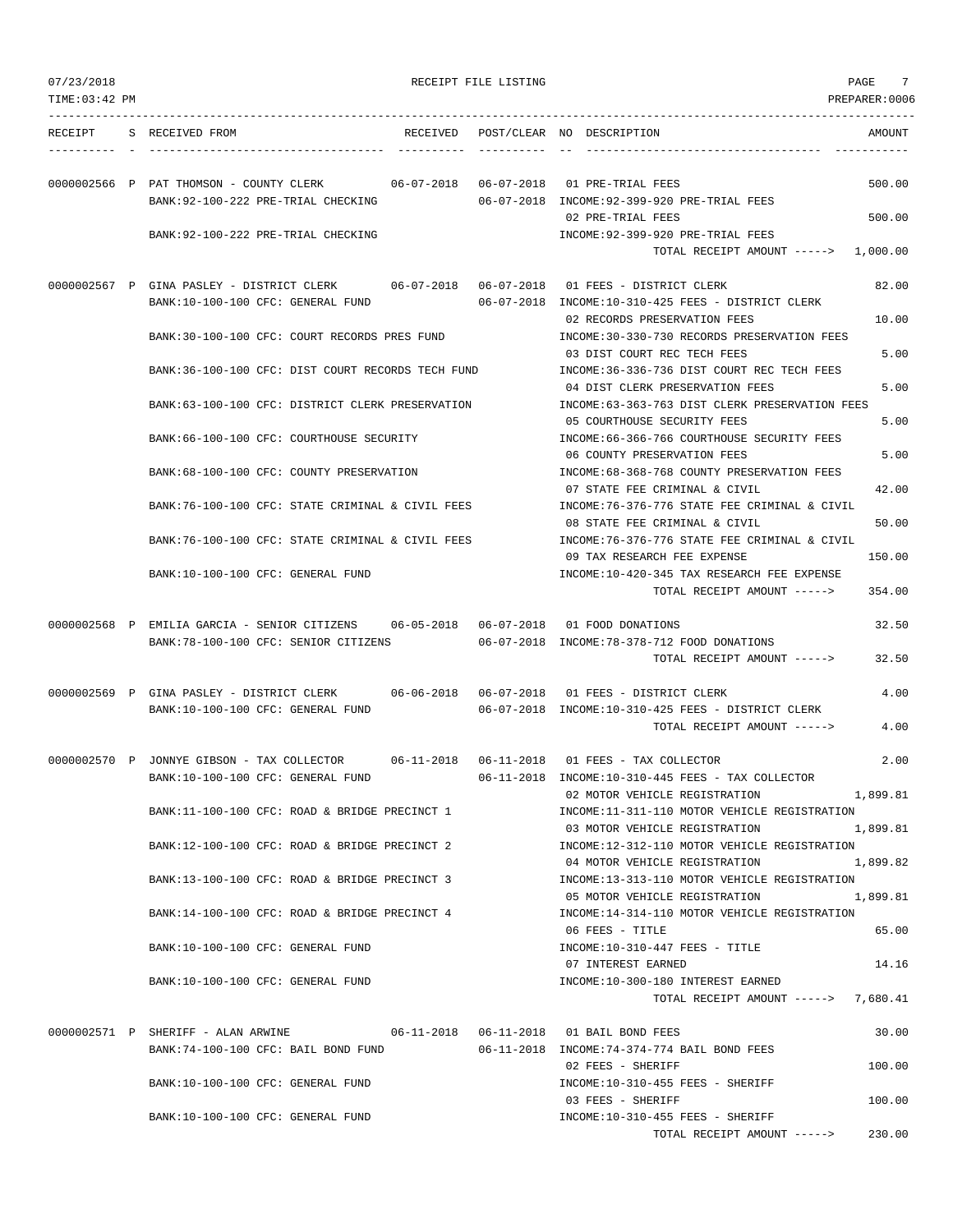| 07/23/2018     |                                                                                                                               | RECEIPT FILE LISTING |                                                                                                                | 7<br>PAGE            |
|----------------|-------------------------------------------------------------------------------------------------------------------------------|----------------------|----------------------------------------------------------------------------------------------------------------|----------------------|
| TIME: 03:42 PM |                                                                                                                               |                      |                                                                                                                | PREPARER: 0006       |
| RECEIPT        | S RECEIVED FROM                                                                                                               |                      | RECEIVED POST/CLEAR NO DESCRIPTION                                                                             | AMOUNT               |
|                | 0000002566 P PAT THOMSON - COUNTY CLERK 66-07-2018 66-07-2018 01 PRE-TRIAL FEES<br>BANK: 92-100-222 PRE-TRIAL CHECKING        |                      | 06-07-2018 INCOME:92-399-920 PRE-TRIAL FEES                                                                    | 500.00               |
|                | BANK: 92-100-222 PRE-TRIAL CHECKING                                                                                           |                      | 02 PRE-TRIAL FEES<br>INCOME: 92-399-920 PRE-TRIAL FEES<br>TOTAL RECEIPT AMOUNT -----> 1,000.00                 | 500.00               |
|                | 0000002567 P GINA PASLEY - DISTRICT CLERK 06-07-2018 06-07-2018 01 FEES - DISTRICT CLERK<br>BANK:10-100-100 CFC: GENERAL FUND |                      | 06-07-2018 INCOME:10-310-425 FEES - DISTRICT CLERK                                                             | 82.00                |
|                | BANK:30-100-100 CFC: COURT RECORDS PRES FUND                                                                                  |                      | 02 RECORDS PRESERVATION FEES<br>INCOME: 30-330-730 RECORDS PRESERVATION FEES                                   | 10.00                |
|                | BANK:36-100-100 CFC: DIST COURT RECORDS TECH FUND                                                                             |                      | 03 DIST COURT REC TECH FEES<br>INCOME: 36-336-736 DIST COURT REC TECH FEES<br>04 DIST CLERK PRESERVATION FEES  | 5.00<br>5.00         |
|                | BANK:63-100-100 CFC: DISTRICT CLERK PRESERVATION                                                                              |                      | INCOME:63-363-763 DIST CLERK PRESERVATION FEES<br>05 COURTHOUSE SECURITY FEES                                  | 5.00                 |
|                | BANK:66-100-100 CFC: COURTHOUSE SECURITY                                                                                      |                      | INCOME:66-366-766 COURTHOUSE SECURITY FEES<br>06 COUNTY PRESERVATION FEES                                      | 5.00                 |
|                | BANK:68-100-100 CFC: COUNTY PRESERVATION                                                                                      |                      | INCOME: 68-368-768 COUNTY PRESERVATION FEES<br>07 STATE FEE CRIMINAL & CIVIL                                   | 42.00                |
|                | BANK:76-100-100 CFC: STATE CRIMINAL & CIVIL FEES                                                                              |                      | INCOME: 76-376-776 STATE FEE CRIMINAL & CIVIL<br>08 STATE FEE CRIMINAL & CIVIL                                 | 50.00                |
|                | BANK:76-100-100 CFC: STATE CRIMINAL & CIVIL FEES                                                                              |                      | INCOME:76-376-776 STATE FEE CRIMINAL & CIVIL<br>09 TAX RESEARCH FEE EXPENSE                                    | 150.00               |
|                | BANK:10-100-100 CFC: GENERAL FUND                                                                                             |                      | INCOME:10-420-345 TAX RESEARCH FEE EXPENSE<br>TOTAL RECEIPT AMOUNT ----->                                      | 354.00               |
|                | 0000002568 P EMILIA GARCIA - SENIOR CITIZENS 06-05-2018 06-07-2018<br>BANK:78-100-100 CFC: SENIOR CITIZENS                    |                      | 01 FOOD DONATIONS<br>06-07-2018 INCOME:78-378-712 FOOD DONATIONS<br>TOTAL RECEIPT AMOUNT ----->                | 32.50<br>32.50       |
|                | 0000002569 P GINA PASLEY - DISTRICT CLERK 06-06-2018 06-07-2018 01 FEES - DISTRICT CLERK                                      |                      |                                                                                                                | 4.00                 |
|                | BANK:10-100-100 CFC: GENERAL FUND                                                                                             |                      | 06-07-2018 INCOME:10-310-425 FEES - DISTRICT CLERK<br>TOTAL RECEIPT AMOUNT ----->                              | 4.00                 |
|                | 0000002570 P JONNYE GIBSON - TAX COLLECTOR 06-11-2018 06-11-2018 01 FEES - TAX COLLECTOR<br>BANK:10-100-100 CFC: GENERAL FUND |                      | 06-11-2018 INCOME:10-310-445 FEES - TAX COLLECTOR                                                              | 2.00                 |
|                | BANK:11-100-100 CFC: ROAD & BRIDGE PRECINCT 1                                                                                 |                      | 02 MOTOR VEHICLE REGISTRATION<br>INCOME:11-311-110 MOTOR VEHICLE REGISTRATION                                  | 1,899.81             |
|                | BANK:12-100-100 CFC: ROAD & BRIDGE PRECINCT 2                                                                                 |                      | 03 MOTOR VEHICLE REGISTRATION<br>INCOME:12-312-110 MOTOR VEHICLE REGISTRATION<br>04 MOTOR VEHICLE REGISTRATION | 1,899.81<br>1,899.82 |
|                | BANK:13-100-100 CFC: ROAD & BRIDGE PRECINCT 3                                                                                 |                      | INCOME:13-313-110 MOTOR VEHICLE REGISTRATION<br>05 MOTOR VEHICLE REGISTRATION                                  | 1,899.81             |
|                | BANK:14-100-100 CFC: ROAD & BRIDGE PRECINCT 4                                                                                 |                      | INCOME:14-314-110 MOTOR VEHICLE REGISTRATION<br>06 FEES - TITLE                                                | 65.00                |
|                | BANK:10-100-100 CFC: GENERAL FUND                                                                                             |                      | $INCOME: 10-310-447$ FEES - TITLE<br>07 INTEREST EARNED                                                        | 14.16                |
|                | BANK:10-100-100 CFC: GENERAL FUND                                                                                             |                      | INCOME:10-300-180 INTEREST EARNED<br>TOTAL RECEIPT AMOUNT -----> 7,680.41                                      |                      |
|                | 0000002571 P SHERIFF - ALAN ARWINE $06-11-2018$ 06-11-2018 01 BAIL BOND FEES<br>BANK:74-100-100 CFC: BAIL BOND FUND           |                      | 06-11-2018 INCOME:74-374-774 BAIL BOND FEES                                                                    | 30.00                |
|                | BANK:10-100-100 CFC: GENERAL FUND                                                                                             |                      | 02 FEES - SHERIFF<br>INCOME:10-310-455 FEES - SHERIFF                                                          | 100.00               |
|                | BANK:10-100-100 CFC: GENERAL FUND                                                                                             |                      | 03 FEES - SHERIFF<br>INCOME:10-310-455 FEES - SHERIFF                                                          | 100.00               |
|                |                                                                                                                               |                      | TOTAL RECEIPT AMOUNT ----->                                                                                    | 230.00               |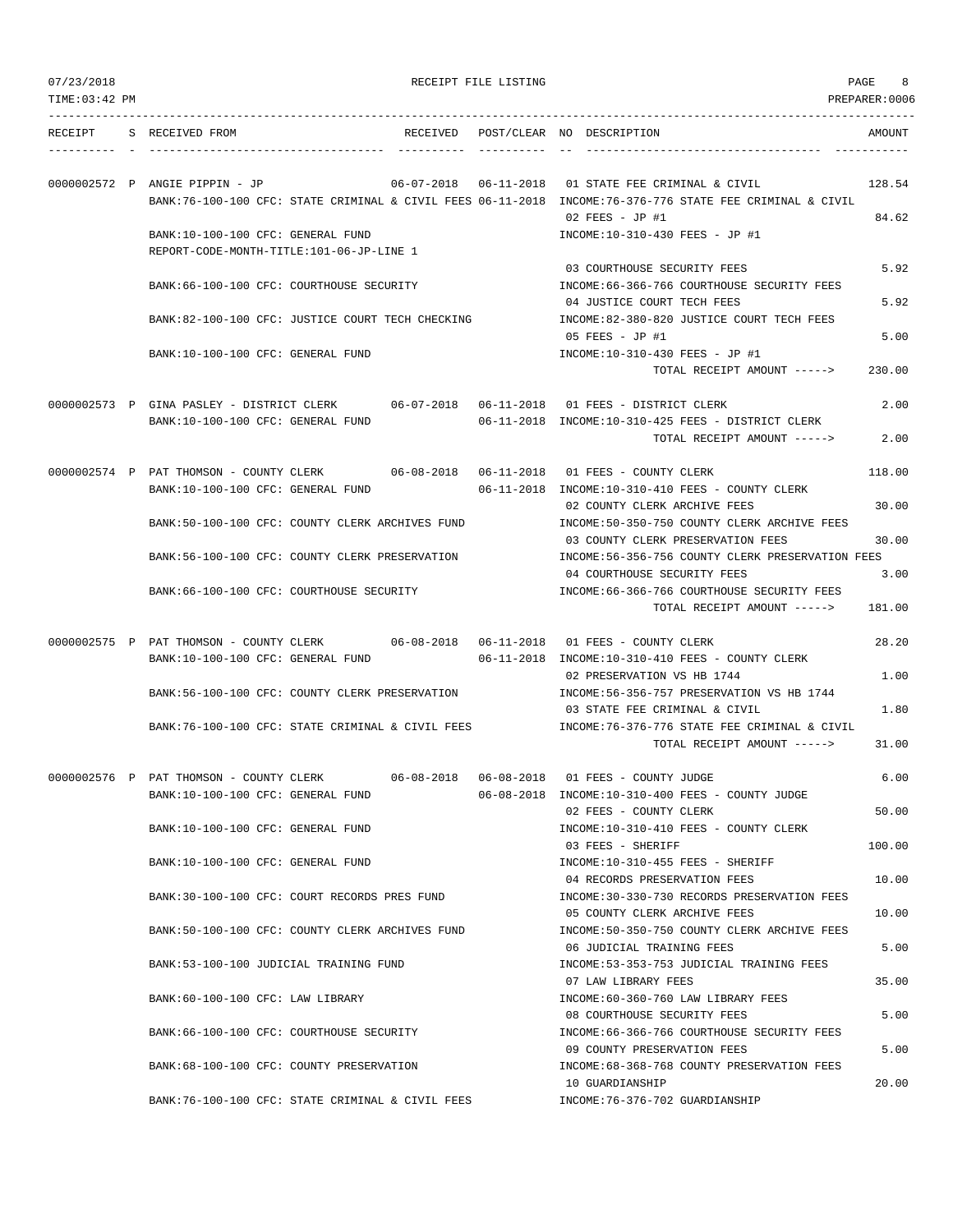|  | 07/23/2018 |  |
|--|------------|--|
|  |            |  |

RECEIPT FILE LISTING **EXECUTE A SECURE 2** 8

TIME:03:42 PM PREPARER:0006 --------------------------------------------------------------------------------------------------------------------------------- RECEIPT S RECEIVED FROM THE RECEIVED POST/CLEAR NO DESCRIPTION THE SECRET AMOUNT ---------- - ----------------------------------- ---------- ---------- -- ----------------------------------- ----------- 0000002572 P ANGIE PIPPIN - JP 06-07-2018 06-11-2018 01 STATE FEE CRIMINAL & CIVIL 128.54 BANK:76-100-100 CFC: STATE CRIMINAL & CIVIL FEES 06-11-2018 INCOME:76-376-776 STATE FEE CRIMINAL & CIVIL 02 FEES - JP #1 84.62 BANK:10-100-100 CFC: GENERAL FUND INCOME:10-310-430 FEES - JP #1 REPORT-CODE-MONTH-TITLE:101-06-JP-LINE 1 03 COURTHOUSE SECURITY FEES 5.92 BANK:66-100-100 CFC: COURTHOUSE SECURITY INCOME:66-366-766 COURTHOUSE SECURITY FEES 04 JUSTICE COURT TECH FEES 5.92 BANK:82-100-100 CFC: JUSTICE COURT TECH CHECKING INCOME:82-380-820 JUSTICE COURT TECH FEES 05 FEES - JP #1 5.00 BANK:10-100-100 CFC: GENERAL FUND INCOME:10-310-430 FEES - JP #1 TOTAL RECEIPT AMOUNT -----> 230.00 0000002573 P GINA PASLEY - DISTRICT CLERK 06-07-2018 06-11-2018 01 FEES - DISTRICT CLERK 2.00 BANK:10-100-100 CFC: GENERAL FUND 06-11-2018 INCOME:10-310-425 FEES - DISTRICT CLERK TOTAL RECEIPT AMOUNT -----> 2.00 0000002574 P PAT THOMSON - COUNTY CLERK 06-08-2018 06-11-2018 01 FEES - COUNTY CLERK 118.00 BANK:10-100-100 CFC: GENERAL FUND 06-11-2018 INCOME:10-310-410 FEES - COUNTY CLERK 02 COUNTY CLERK ARCHIVE FEES 30.00 BANK:50-100-100 CFC: COUNTY CLERK ARCHIVES FUND INCOME:50-350-750 COUNTY CLERK ARCHIVE FEES 03 COUNTY CLERK PRESERVATION FEES 30.00 BANK:56-100-100 CFC: COUNTY CLERK PRESERVATION INCOME:56-356-756 COUNTY CLERK PRESERVATION FEES 04 COURTHOUSE SECURITY FEES 3.00 BANK:66-100-100 CFC: COURTHOUSE SECURITY **INCOME:66-366-766 COURTHOUSE SECURITY FEES** TOTAL RECEIPT AMOUNT -----> 181.00 0000002575 P PAT THOMSON - COUNTY CLERK 06-08-2018 06-11-2018 01 FEES - COUNTY CLERK 28.20 BANK:10-100-100 CFC: GENERAL FUND 06-11-2018 INCOME:10-310-410 FEES - COUNTY CLERK 02 PRESERVATION VS HB 1744 1.00 BANK:56-100-100 CFC: COUNTY CLERK PRESERVATION INCOME:56-356-757 PRESERVATION VS HB 1744 03 STATE FEE CRIMINAL & CIVIL 1.80 BANK:76-100-100 CFC: STATE CRIMINAL & CIVIL FEES INCOME:76-376-776 STATE FEE CRIMINAL & CIVIL TOTAL RECEIPT AMOUNT -----> 31.00 0000002576 P PAT THOMSON - COUNTY CLERK 06-08-2018 06-08-2018 01 FEES - COUNTY JUDGE 6.00 BANK:10-100-100 CFC: GENERAL FUND 06-08-2018 INCOME:10-310-400 FEES - COUNTY JUDGE 02 FEES - COUNTY CLERK 50.00 BANK:10-100-100 CFC: GENERAL FUND INCOME:10-310-410 FEES - COUNTY CLERK 03 FEES - SHERIFF 100.00 BANK:10-100-100 CFC: GENERAL FUND **INCOME:10-310-455 FEES - SHERIFF** 04 RECORDS PRESERVATION FEES 10.00 BANK:30-100-100 CFC: COURT RECORDS PRES FUND INCOME:30-330-730 RECORDS PRESERVATION FEES 05 COUNTY CLERK ARCHIVE FEES 10.00 BANK:50-100-100 CFC: COUNTY CLERK ARCHIVES FUND INCOME:50-350-750 COUNTY CLERK ARCHIVE FEES 06 JUDICIAL TRAINING FEES 5.00 BANK:53-100-100 JUDICIAL TRAINING FUND INCOME:53-353-753 JUDICIAL TRAINING FEES 07 LAW LIBRARY FEES 35.00 BANK:60-100-100 CFC: LAW LIBRARY INCOME:60-360-760 LAW LIBRARY FEES 08 COURTHOUSE SECURITY FEES 5.00 BANK:66-100-100 CFC: COURTHOUSE SECURITY INCOME:66-366-766 COURTHOUSE SECURITY FEES 09 COUNTY PRESERVATION FEES 5.00 BANK:68-100-100 CFC: COUNTY PRESERVATION INCOME:68-368-768 COUNTY PRESERVATION FEES 10 GUARDIANSHIP 20.00

BANK:76-100-100 CFC: STATE CRIMINAL & CIVIL FEES INCOME:76-376-702 GUARDIANSHIP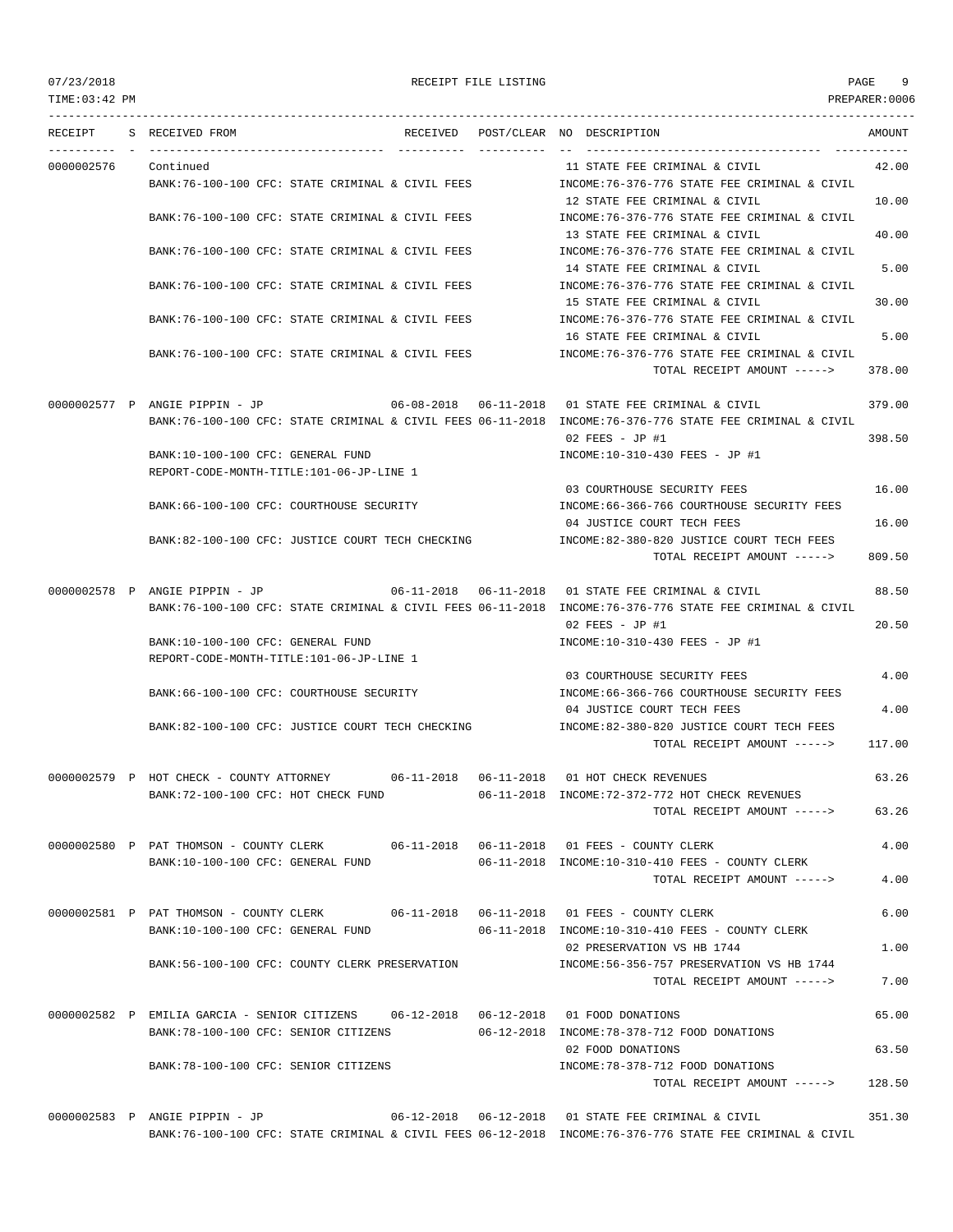| 07/23/2018<br>TIME: 03:42 PM |                                                                                                                               | RECEIPT FILE LISTING |                                                                                                                                                                     | PAGE<br>PREPARER: 0006 | 9     |
|------------------------------|-------------------------------------------------------------------------------------------------------------------------------|----------------------|---------------------------------------------------------------------------------------------------------------------------------------------------------------------|------------------------|-------|
| RECEIPT                      | S RECEIVED FROM                                                                                                               |                      | RECEIVED POST/CLEAR NO DESCRIPTION                                                                                                                                  | AMOUNT                 |       |
| 0000002576                   | Continued<br>BANK:76-100-100 CFC: STATE CRIMINAL & CIVIL FEES                                                                 |                      | 11 STATE FEE CRIMINAL & CIVIL<br>INCOME:76-376-776 STATE FEE CRIMINAL & CIVIL                                                                                       |                        | 42.00 |
|                              | BANK:76-100-100 CFC: STATE CRIMINAL & CIVIL FEES                                                                              |                      | 12 STATE FEE CRIMINAL & CIVIL<br>INCOME: 76-376-776 STATE FEE CRIMINAL & CIVIL                                                                                      |                        | 10.00 |
|                              | BANK:76-100-100 CFC: STATE CRIMINAL & CIVIL FEES                                                                              |                      | 13 STATE FEE CRIMINAL & CIVIL<br>INCOME:76-376-776 STATE FEE CRIMINAL & CIVIL                                                                                       |                        | 40.00 |
|                              | BANK:76-100-100 CFC: STATE CRIMINAL & CIVIL FEES                                                                              |                      | 14 STATE FEE CRIMINAL & CIVIL<br>INCOME: 76-376-776 STATE FEE CRIMINAL & CIVIL                                                                                      |                        | 5.00  |
|                              | BANK:76-100-100 CFC: STATE CRIMINAL & CIVIL FEES                                                                              |                      | 15 STATE FEE CRIMINAL & CIVIL<br>INCOME:76-376-776 STATE FEE CRIMINAL & CIVIL                                                                                       |                        | 30.00 |
|                              | BANK:76-100-100 CFC: STATE CRIMINAL & CIVIL FEES                                                                              |                      | 16 STATE FEE CRIMINAL & CIVIL<br>INCOME:76-376-776 STATE FEE CRIMINAL & CIVIL                                                                                       |                        | 5.00  |
|                              |                                                                                                                               |                      | TOTAL RECEIPT AMOUNT ----->                                                                                                                                         | 378.00                 |       |
|                              | 0000002577 P ANGIE PIPPIN - JP                                                                                                |                      | $06-08-2018$ $06-11-2018$ 01 STATE FEE CRIMINAL & CIVIL<br>BANK:76-100-100 CFC: STATE CRIMINAL & CIVIL FEES 06-11-2018 INCOME:76-376-776 STATE FEE CRIMINAL & CIVIL | 379.00<br>398.50       |       |
|                              | BANK:10-100-100 CFC: GENERAL FUND<br>REPORT-CODE-MONTH-TITLE:101-06-JP-LINE 1                                                 |                      | 02 FEES - JP #1<br>INCOME:10-310-430 FEES - JP #1                                                                                                                   |                        |       |
|                              |                                                                                                                               |                      | 03 COURTHOUSE SECURITY FEES                                                                                                                                         |                        | 16.00 |
|                              | BANK:66-100-100 CFC: COURTHOUSE SECURITY                                                                                      |                      | INCOME: 66-366-766 COURTHOUSE SECURITY FEES<br>04 JUSTICE COURT TECH FEES                                                                                           |                        | 16.00 |
|                              | BANK:82-100-100 CFC: JUSTICE COURT TECH CHECKING                                                                              |                      | INCOME:82-380-820 JUSTICE COURT TECH FEES<br>TOTAL RECEIPT AMOUNT ----->                                                                                            | 809.50                 |       |
|                              | 0000002578 P ANGIE PIPPIN - JP                                                                                                |                      | 06-11-2018  06-11-2018  01 STATE FEE CRIMINAL & CIVIL<br>BANK:76-100-100 CFC: STATE CRIMINAL & CIVIL FEES 06-11-2018 INCOME:76-376-776 STATE FEE CRIMINAL & CIVIL   |                        | 88.50 |
|                              | BANK:10-100-100 CFC: GENERAL FUND                                                                                             |                      | $02$ FEES - JP #1<br>INCOME:10-310-430 FEES - JP #1                                                                                                                 |                        | 20.50 |
|                              | REPORT-CODE-MONTH-TITLE:101-06-JP-LINE 1                                                                                      |                      | 03 COURTHOUSE SECURITY FEES                                                                                                                                         |                        | 4.00  |
|                              | BANK:66-100-100 CFC: COURTHOUSE SECURITY                                                                                      |                      | INCOME: 66-366-766 COURTHOUSE SECURITY FEES<br>04 JUSTICE COURT TECH FEES                                                                                           |                        | 4.00  |
|                              | BANK:82-100-100 CFC: JUSTICE COURT TECH CHECKING                                                                              |                      | INCOME:82-380-820 JUSTICE COURT TECH FEES<br>TOTAL RECEIPT AMOUNT ----->                                                                                            | 117.00                 |       |
|                              | 0000002579 P HOT CHECK - COUNTY ATTORNEY                                                                                      |                      | 06-11-2018  06-11-2018  01 HOT CHECK REVENUES                                                                                                                       |                        | 63.26 |
|                              | BANK:72-100-100 CFC: HOT CHECK FUND                                                                                           |                      | 06-11-2018 INCOME:72-372-772 HOT CHECK REVENUES<br>TOTAL RECEIPT AMOUNT ----->                                                                                      |                        | 63.26 |
|                              | 0000002580 P PAT THOMSON - COUNTY CLERK 06-11-2018 06-11-2018 01 FEES - COUNTY CLERK<br>BANK:10-100-100 CFC: GENERAL FUND     |                      | $06-11-2018$ INCOME:10-310-410 FEES - COUNTY CLERK                                                                                                                  |                        | 4.00  |
|                              |                                                                                                                               |                      | TOTAL RECEIPT AMOUNT ----->                                                                                                                                         |                        | 4.00  |
|                              | 0000002581 P PAT THOMSON - COUNTY CLERK 06-11-2018 06-11-2018 01 FEES - COUNTY CLERK<br>BANK:10-100-100 CFC: GENERAL FUND     |                      | 06-11-2018 INCOME:10-310-410 FEES - COUNTY CLERK                                                                                                                    |                        | 6.00  |
|                              | BANK:56-100-100 CFC: COUNTY CLERK PRESERVATION                                                                                |                      | 02 PRESERVATION VS HB 1744<br>INCOME: 56-356-757 PRESERVATION VS HB 1744                                                                                            |                        | 1.00  |
|                              |                                                                                                                               |                      | TOTAL RECEIPT AMOUNT ----->                                                                                                                                         |                        | 7.00  |
|                              | 0000002582 P EMILIA GARCIA - SENIOR CITIZENS 06-12-2018 06-12-2018 01 FOOD DONATIONS<br>BANK: 78-100-100 CFC: SENIOR CITIZENS |                      | 06-12-2018 INCOME:78-378-712 FOOD DONATIONS                                                                                                                         |                        | 65.00 |
|                              | BANK:78-100-100 CFC: SENIOR CITIZENS                                                                                          |                      | 02 FOOD DONATIONS<br>INCOME: 78-378-712 FOOD DONATIONS                                                                                                              |                        | 63.50 |
|                              |                                                                                                                               |                      | TOTAL RECEIPT AMOUNT ----->                                                                                                                                         | 128.50                 |       |

0000002583 P ANGIE PIPPIN - JP 06-12-2018 06-12-2018 01 STATE FEE CRIMINAL & CIVIL 351.30 BANK:76-100-100 CFC: STATE CRIMINAL & CIVIL FEES 06-12-2018 INCOME:76-376-776 STATE FEE CRIMINAL & CIVIL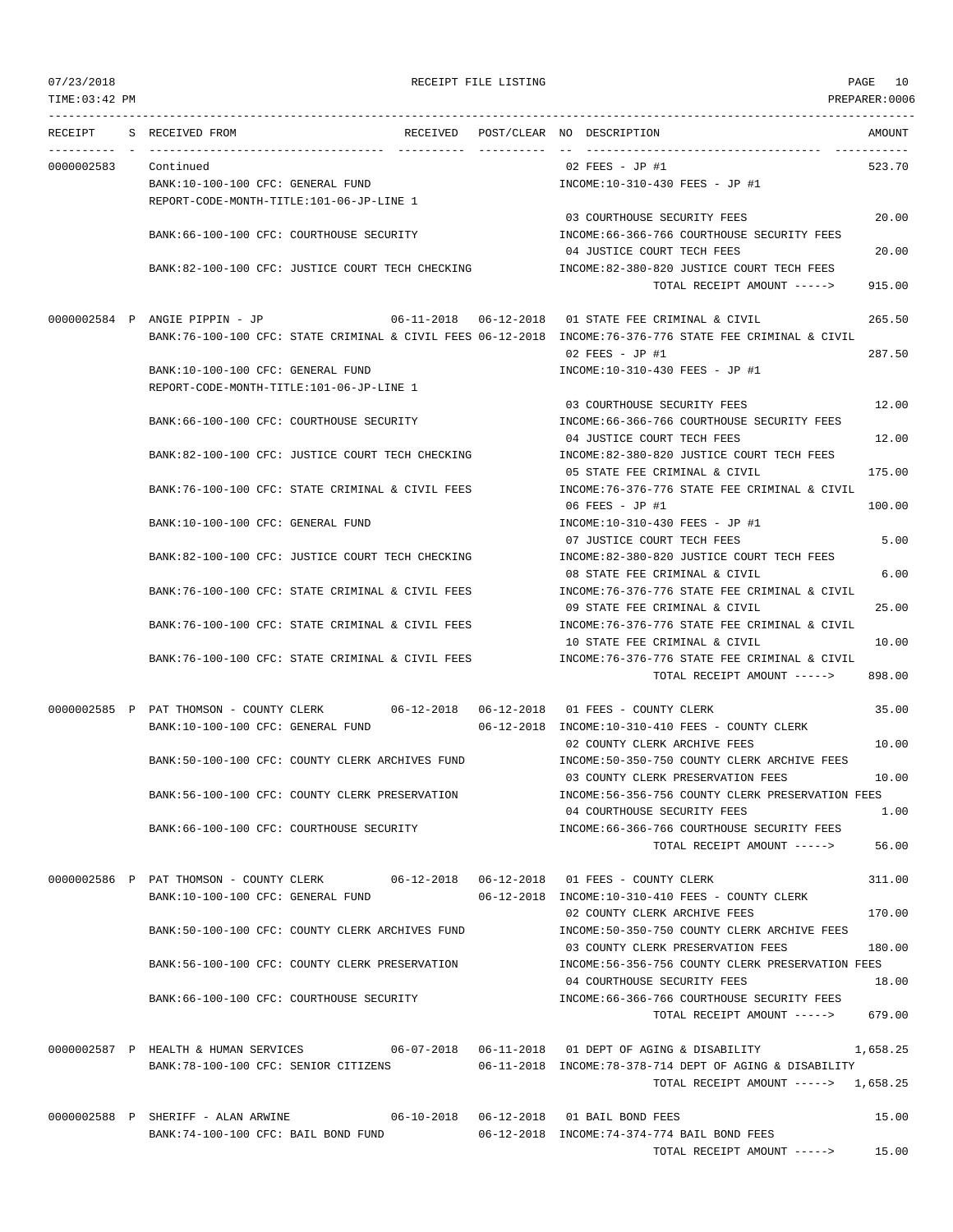TIME:03:42 PM PREPARER:0006 --------------------------------------------------------------------------------------------------------------------------------- RECEIPT S RECEIVED FROM THE RECEIVED POST/CLEAR NO DESCRIPTION THE RECEIVED AMOUNT ---------- - ----------------------------------- ---------- ---------- -- ----------------------------------- ----------- 0000002583 Continued 02 FEES - JP #1 523.70 BANK:10-100-100 CFC: GENERAL FUND INCOME:10-310-430 FEES - JP #1 REPORT-CODE-MONTH-TITLE:101-06-JP-LINE 1 03 COURTHOUSE SECURITY FEES 20.00 BANK:66-100-100 CFC: COURTHOUSE SECURITY INCOME:66-366-766 COURTHOUSE SECURITY FEES 04 JUSTICE COURT TECH FEES 20.00 BANK:82-100-100 CFC: JUSTICE COURT TECH CHECKING INCOME:82-380-820 JUSTICE COURT TECH FEES  $T$ OTAL RECEIPT AMOUNT  $---$ > 915.00 0000002584 P ANGIE PIPPIN - JP 06-11-2018 06-12-2018 01 STATE FEE CRIMINAL & CIVIL 265.50 BANK:76-100-100 CFC: STATE CRIMINAL & CIVIL FEES 06-12-2018 INCOME:76-376-776 STATE FEE CRIMINAL & CIVIL 02 FEES - JP #1 287.50 BANK:10-100-100 CFC: GENERAL FUND INCOME:10-310-430 FEES - JP #1 REPORT-CODE-MONTH-TITLE:101-06-JP-LINE 1 03 COURTHOUSE SECURITY FEES 12 00 BANK:66-100-100 CFC: COURTHOUSE SECURITY INCOME:66-366-766 COURTHOUSE SECURITY FEES 04 JUSTICE COURT TECH FEES 12.00 BANK:82-100-100 CFC: JUSTICE COURT TECH CHECKING INCOME:82-380-820 JUSTICE COURT TECH FEES 05 STATE FEE CRIMINAL & CIVIL 175.00 BANK:76-100-100 CFC: STATE CRIMINAL & CIVIL FEES INCOME:76-376-776 STATE FEE CRIMINAL & CIVIL 06 FEES - JP #1 100.00 BANK:10-100-100 CFC: GENERAL FUND INCOME:10-310-430 FEES - JP #1 07 JUSTICE COURT TECH FEES 5.00 BANK:82-100-100 CFC: JUSTICE COURT TECH CHECKING INCOME:82-380-820 JUSTICE COURT TECH FEES 08 STATE FEE CRIMINAL & CIVIL 6.00 BANK:76-100-100 CFC: STATE CRIMINAL & CIVIL FEES INCOME:76-376-776 STATE FEE CRIMINAL & CIVIL 09 STATE FEE CRIMINAL & CIVIL 25.00 BANK:76-100-100 CFC: STATE CRIMINAL & CIVIL FEES INCOME:76-376-776 STATE FEE CRIMINAL & CIVIL 10 STATE FEE CRIMINAL & CIVIL 10.00 BANK:76-100-100 CFC: STATE CRIMINAL & CIVIL FEES INCOME:76-376-776 STATE FEE CRIMINAL & CIVIL TOTAL RECEIPT AMOUNT -----> 898.00 0000002585 P PAT THOMSON - COUNTY CLERK 06-12-2018 06-12-2018 01 FEES - COUNTY CLERK 35.00 BANK:10-100-100 CFC: GENERAL FUND 06-12-2018 INCOME:10-310-410 FEES - COUNTY CLERK 02 COUNTY CLERK ARCHIVE FEES 10.00 BANK:50-100-100 CFC: COUNTY CLERK ARCHIVES FUND INCOME:50-350-750 COUNTY CLERK ARCHIVE FEES 03 COUNTY CLERK PRESERVATION FEES 10.00 BANK:56-100-100 CFC: COUNTY CLERK PRESERVATION INCOME:56-356-756 COUNTY CLERK PRESERVATION FEES 04 COURTHOUSE SECURITY FEES 1.00 BANK:66-100-100 CFC: COURTHOUSE SECURITY INCOME:66-366-766 COURTHOUSE SECURITY FEES TOTAL RECEIPT AMOUNT -----> 56.00 0000002586 P PAT THOMSON - COUNTY CLERK 06-12-2018 06-12-2018 01 FEES - COUNTY CLERK 311.00 BANK:10-100-100 CFC: GENERAL FUND 06-12-2018 INCOME:10-310-410 FEES - COUNTY CLERK 02 COUNTY CLERK ARCHIVE FEES 170.00 BANK:50-100-100 CFC: COUNTY CLERK ARCHIVES FUND INCOME:50-350-750 COUNTY CLERK ARCHIVE FEES 03 COUNTY CLERK PRESERVATION FEES 180.00 BANK:56-100-100 CFC: COUNTY CLERK PRESERVATION INCOME:56-356-756 COUNTY CLERK PRESERVATION FEES 04 COURTHOUSE SECURITY FEES 18.00 BANK:66-100-100 CFC: COURTHOUSE SECURITY INCOME:66-366-766 COURTHOUSE SECURITY FEES TOTAL RECEIPT AMOUNT -----> 679.00 0000002587 P HEALTH & HUMAN SERVICES 06-07-2018 06-11-2018 01 DEPT OF AGING & DISABILITY 1,658.25 BANK:78-100-100 CFC: SENIOR CITIZENS 06-11-2018 INCOME:78-378-714 DEPT OF AGING & DISABILITY TOTAL RECEIPT AMOUNT -----> 1,658.25 0000002588 P SHERIFF - ALAN ARWINE 06-10-2018 06-12-2018 01 BAIL BOND FEES 15.00 BANK:74-100-100 CFC: BAIL BOND FUND 06-12-2018 INCOME:74-374-774 BAIL BOND FEES TOTAL RECEIPT AMOUNT -----> 15.00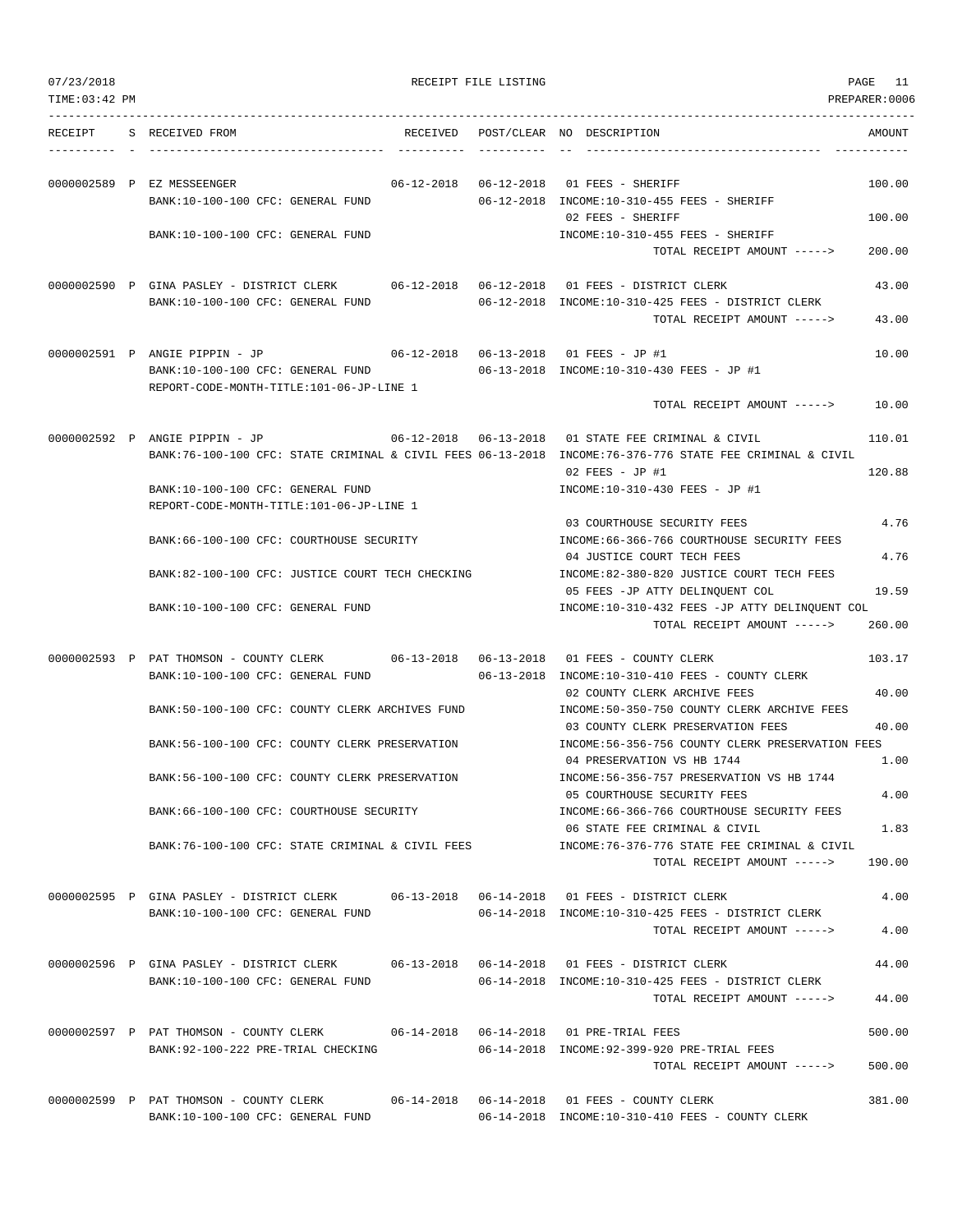| 07/23/2018<br>TIME: 03:42 PM |                                                                                                                               |          | RECEIPT FILE LISTING |                                                                                                                                                                                        | PAGE<br>- 11<br>PREPARER:0006 |
|------------------------------|-------------------------------------------------------------------------------------------------------------------------------|----------|----------------------|----------------------------------------------------------------------------------------------------------------------------------------------------------------------------------------|-------------------------------|
| RECEIPT                      | S RECEIVED FROM                                                                                                               | RECEIVED |                      | POST/CLEAR NO DESCRIPTION                                                                                                                                                              | AMOUNT                        |
|                              | 0000002589 P EZ MESSEENGER<br>BANK:10-100-100 CFC: GENERAL FUND                                                               |          |                      | 06-12-2018  06-12-2018  01 FEES - SHERIFF<br>06-12-2018 INCOME:10-310-455 FEES - SHERIFF<br>02 FEES - SHERIFF                                                                          | 100.00<br>100.00              |
|                              | BANK:10-100-100 CFC: GENERAL FUND                                                                                             |          |                      | INCOME:10-310-455 FEES - SHERIFF<br>TOTAL RECEIPT AMOUNT ----->                                                                                                                        | 200.00                        |
|                              | 0000002590 P GINA PASLEY - DISTRICT CLERK 06-12-2018 06-12-2018 01 FEES - DISTRICT CLERK<br>BANK:10-100-100 CFC: GENERAL FUND |          |                      | 06-12-2018 INCOME:10-310-425 FEES - DISTRICT CLERK                                                                                                                                     | 43.00                         |
|                              |                                                                                                                               |          |                      | TOTAL RECEIPT AMOUNT ----->                                                                                                                                                            | 43.00                         |
|                              | 0000002591 P ANGIE PIPPIN - JP<br>BANK:10-100-100 CFC: GENERAL FUND<br>REPORT-CODE-MONTH-TITLE:101-06-JP-LINE 1               |          |                      | 06-12-2018  06-13-2018  01 FEES - JP #1<br>06-13-2018 INCOME:10-310-430 FEES - JP #1                                                                                                   | 10.00                         |
|                              |                                                                                                                               |          |                      | TOTAL RECEIPT AMOUNT ----->                                                                                                                                                            | 10.00                         |
|                              | 0000002592 P ANGIE PIPPIN - JP                                                                                                |          |                      | 06-12-2018  06-13-2018  01 STATE FEE CRIMINAL & CIVIL<br>BANK:76-100-100 CFC: STATE CRIMINAL & CIVIL FEES 06-13-2018 INCOME:76-376-776 STATE FEE CRIMINAL & CIVIL<br>$02$ FEES - JP #1 | 110.01<br>120.88              |
|                              | BANK:10-100-100 CFC: GENERAL FUND<br>REPORT-CODE-MONTH-TITLE:101-06-JP-LINE 1                                                 |          |                      | INCOME:10-310-430 FEES - JP #1                                                                                                                                                         |                               |
|                              | BANK:66-100-100 CFC: COURTHOUSE SECURITY                                                                                      |          |                      | 03 COURTHOUSE SECURITY FEES<br>INCOME: 66-366-766 COURTHOUSE SECURITY FEES<br>04 JUSTICE COURT TECH FEES                                                                               | 4.76<br>4.76                  |
|                              | BANK:82-100-100 CFC: JUSTICE COURT TECH CHECKING                                                                              |          |                      | INCOME:82-380-820 JUSTICE COURT TECH FEES<br>05 FEES -JP ATTY DELINQUENT COL                                                                                                           | 19.59                         |
|                              | BANK:10-100-100 CFC: GENERAL FUND                                                                                             |          |                      | INCOME:10-310-432 FEES -JP ATTY DELINQUENT COL<br>TOTAL RECEIPT AMOUNT ----->                                                                                                          | 260.00                        |
|                              | 0000002593 P PAT THOMSON - COUNTY CLERK<br>BANK:10-100-100 CFC: GENERAL FUND                                                  |          |                      | 06-13-2018 INCOME:10-310-410 FEES - COUNTY CLERK                                                                                                                                       | 103.17                        |
|                              | BANK:50-100-100 CFC: COUNTY CLERK ARCHIVES FUND                                                                               |          |                      | 02 COUNTY CLERK ARCHIVE FEES<br>INCOME:50-350-750 COUNTY CLERK ARCHIVE FEES<br>03 COUNTY CLERK PRESERVATION FEES                                                                       | 40.00<br>40.00                |
|                              | BANK:56-100-100 CFC: COUNTY CLERK PRESERVATION                                                                                |          |                      | INCOME: 56-356-756 COUNTY CLERK PRESERVATION FEES<br>04 PRESERVATION VS HB 1744                                                                                                        | 1.00                          |
|                              | BANK:56-100-100 CFC: COUNTY CLERK PRESERVATION                                                                                |          |                      | INCOME: 56-356-757 PRESERVATION VS HB 1744<br>05 COURTHOUSE SECURITY FEES                                                                                                              | 4.00                          |
|                              | BANK:66-100-100 CFC: COURTHOUSE SECURITY                                                                                      |          |                      | INCOME: 66-366-766 COURTHOUSE SECURITY FEES                                                                                                                                            |                               |
|                              | BANK:76-100-100 CFC: STATE CRIMINAL & CIVIL FEES                                                                              |          |                      | 06 STATE FEE CRIMINAL & CIVIL<br>INCOME:76-376-776 STATE FEE CRIMINAL & CIVIL<br>TOTAL RECEIPT AMOUNT ----->                                                                           | 1.83<br>190.00                |
|                              | 0000002595 P GINA PASLEY - DISTRICT CLERK 06-13-2018 06-14-2018 01 FEES - DISTRICT CLERK                                      |          |                      |                                                                                                                                                                                        | 4.00                          |
|                              | BANK:10-100-100 CFC: GENERAL FUND                                                                                             |          |                      | 06-14-2018 INCOME:10-310-425 FEES - DISTRICT CLERK<br>TOTAL RECEIPT AMOUNT ----->                                                                                                      | 4.00                          |
|                              | 0000002596 P GINA PASLEY - DISTRICT CLERK 06-13-2018 06-14-2018 01 FEES - DISTRICT CLERK<br>BANK:10-100-100 CFC: GENERAL FUND |          |                      | $06-14-2018$ INCOME:10-310-425 FEES - DISTRICT CLERK                                                                                                                                   | 44.00                         |
|                              |                                                                                                                               |          |                      | TOTAL RECEIPT AMOUNT ----->                                                                                                                                                            | 44.00                         |
|                              | 0000002597 P PAT THOMSON - COUNTY CLERK 06-14-2018 06-14-2018 01 PRE-TRIAL FEES<br>BANK: 92-100-222 PRE-TRIAL CHECKING        |          |                      | 06-14-2018 INCOME: 92-399-920 PRE-TRIAL FEES                                                                                                                                           | 500.00                        |
|                              |                                                                                                                               |          |                      | TOTAL RECEIPT AMOUNT ----->                                                                                                                                                            | 500.00                        |
|                              | 0000002599 P PAT THOMSON - COUNTY CLERK<br>BANK:10-100-100 CFC: GENERAL FUND                                                  |          |                      | 06-14-2018 INCOME:10-310-410 FEES - COUNTY CLERK                                                                                                                                       | 381.00                        |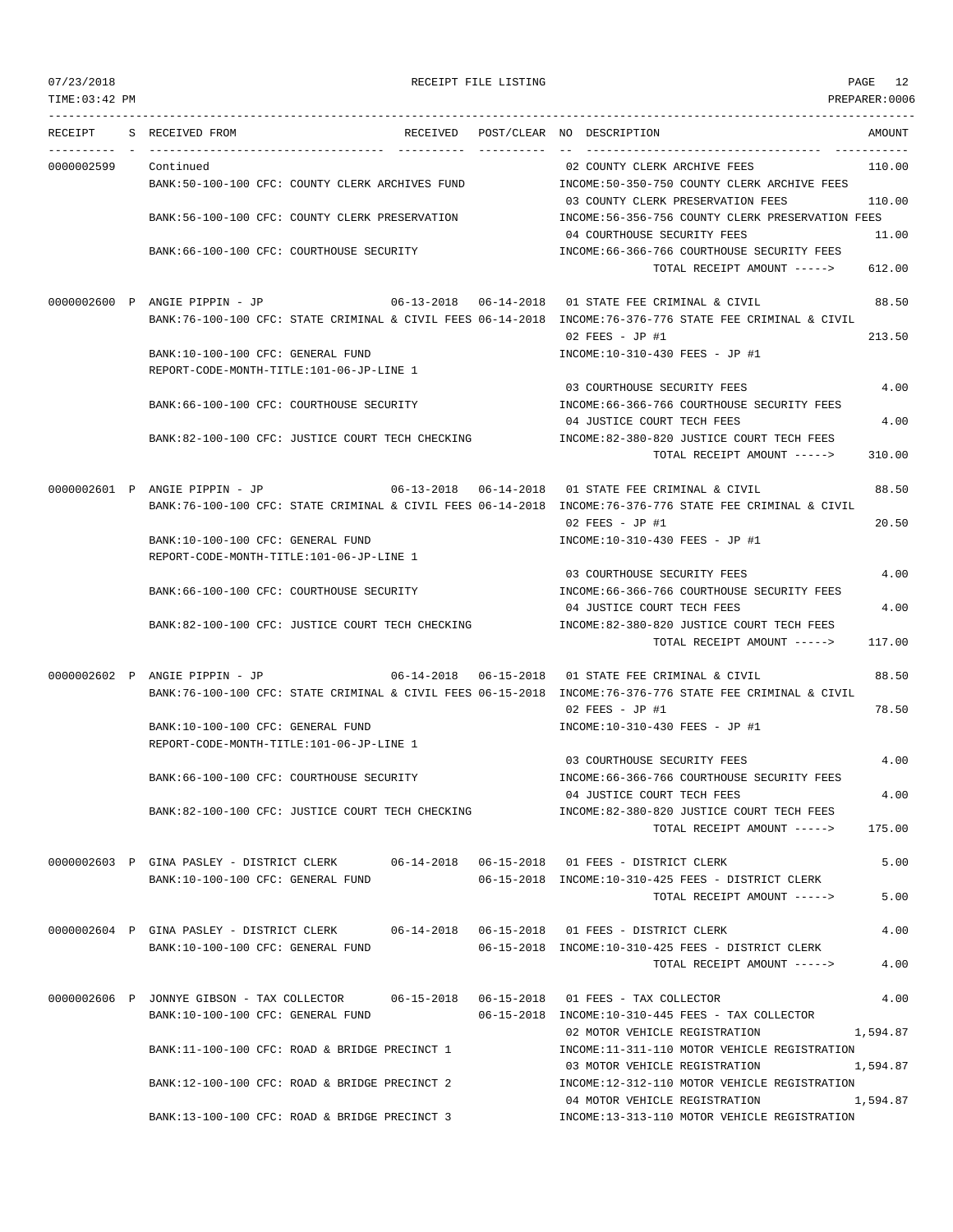TIME:03:42 PM PREPARER:0006 --------------------------------------------------------------------------------------------------------------------------------- RECEIPT S RECEIVED FROM THE RECEIVED POST/CLEAR NO DESCRIPTION THE SECRET AMOUNT ---------- - ----------------------------------- ---------- ---------- -- ----------------------------------- ----------- 0000002599 Continued 02 COUNTY CLERK ARCHIVE FEES 110.00 BANK:50-100-100 CFC: COUNTY CLERK ARCHIVES FUND INCOME:50-350-750 COUNTY CLERK ARCHIVE FEES 03 COUNTY CLERK PRESERVATION FEES 110.00 BANK:56-100-100 CFC: COUNTY CLERK PRESERVATION INCOME:56-356-756 COUNTY CLERK PRESERVATION FEES 04 COURTHOUSE SECURITY FEES 11.00 BANK:66-100-100 CFC: COURTHOUSE SECURITY INCOME:66-366-766 COURTHOUSE SECURITY FEES TOTAL RECEIPT AMOUNT -----> 612.00 0000002600 P ANGIE PIPPIN - JP 06-13-2018 06-14-2018 01 STATE FEE CRIMINAL & CIVIL 88.50 BANK:76-100-100 CFC: STATE CRIMINAL & CIVIL FEES 06-14-2018 INCOME:76-376-776 STATE FEE CRIMINAL & CIVIL 02 FEES - JP #1 213.50 BANK:10-100-100 CFC: GENERAL FUND INCOME:10-310-430 FEES - JP #1 REPORT-CODE-MONTH-TITLE:101-06-JP-LINE 1 03 COURTHOUSE SECURITY FEES 4.00 BANK:66-100-100 CFC: COURTHOUSE SECURITY INCOME:66-366-766 COURTHOUSE SECURITY FEES 04 JUSTICE COURT TECH FEES 4.00 BANK:82-100-100 CFC: JUSTICE COURT TECH CHECKING INCOME:82-380-820 JUSTICE COURT TECH FEES TOTAL RECEIPT AMOUNT -----> 310.00 0000002601 P ANGIE PIPPIN - JP 06-13-2018 06-14-2018 01 STATE FEE CRIMINAL & CIVIL 88.50 BANK:76-100-100 CFC: STATE CRIMINAL & CIVIL FEES 06-14-2018 INCOME:76-376-776 STATE FEE CRIMINAL & CIVIL  $0.2$  FEES - JP #1 20.50 BANK:10-100-100 CFC: GENERAL FUND INCOME:10-310-430 FEES - JP #1 REPORT-CODE-MONTH-TITLE:101-06-JP-LINE 1 03 COURTHOUSE SECURITY FEES 4.00 BANK:66-100-100 CFC: COURTHOUSE SECURITY INCOME:66-366-766 COURTHOUSE SECURITY FEES 04 JUSTICE COURT TECH FEES 4.00 BANK:82-100-100 CFC: JUSTICE COURT TECH CHECKING INCOME:82-380-820 JUSTICE COURT TECH FEES TOTAL RECEIPT AMOUNT -----> 117.00 0000002602 P ANGIE PIPPIN - JP 06-14-2018 06-15-2018 01 STATE FEE CRIMINAL & CIVIL 88.50 BANK:76-100-100 CFC: STATE CRIMINAL & CIVIL FEES 06-15-2018 INCOME:76-376-776 STATE FEE CRIMINAL & CIVIL 02 FEES - JP #1 78.50 BANK:10-100-100 CFC: GENERAL FUND INCOME:10-310-430 FEES - JP #1 REPORT-CODE-MONTH-TITLE:101-06-JP-LINE 1 03 COURTHOUSE SECURITY FEES 4.00 BANK:66-100-100 CFC: COURTHOUSE SECURITY INCOME:66-366-766 COURTHOUSE SECURITY FEES 04 JUSTICE COURT TECH FEES 4.00 BANK:82-100-100 CFC: JUSTICE COURT TECH CHECKING INCOME:82-380-820 JUSTICE COURT TECH FEES TOTAL RECEIPT AMOUNT -----> 175.00 0000002603 P GINA PASLEY - DISTRICT CLERK 06-14-2018 06-15-2018 01 FEES - DISTRICT CLERK 5.00 BANK:10-100-100 CFC: GENERAL FUND 06-15-2018 INCOME:10-310-425 FEES - DISTRICT CLERK TOTAL RECEIPT AMOUNT -----> 5.00 0000002604 P GINA PASLEY - DISTRICT CLERK 06-14-2018 06-15-2018 01 FEES - DISTRICT CLERK 4.00 BANK:10-100-100 CFC: GENERAL FUND 06-15-2018 INCOME:10-310-425 FEES - DISTRICT CLERK TOTAL RECEIPT AMOUNT -----> 4.00 0000002606 P JONNYE GIBSON - TAX COLLECTOR 06-15-2018 06-15-2018 01 FEES - TAX COLLECTOR 4.00 BANK:10-100-100 CFC: GENERAL FUND 06-15-2018 INCOME:10-310-445 FEES - TAX COLLECTOR 02 MOTOR VEHICLE REGISTRATION 1,594.87 BANK:11-100-100 CFC: ROAD & BRIDGE PRECINCT 1 INCOME:11-311-110 MOTOR VEHICLE REGISTRATION 03 MOTOR VEHICLE REGISTRATION 1,594.87 BANK:12-100-100 CFC: ROAD & BRIDGE PRECINCT 2 INCOME:12-312-110 MOTOR VEHICLE REGISTRATION 04 MOTOR VEHICLE REGISTRATION 1,594.87 BANK:13-100-100 CFC: ROAD & BRIDGE PRECINCT 3 INCOME:13-313-110 MOTOR VEHICLE REGISTRATION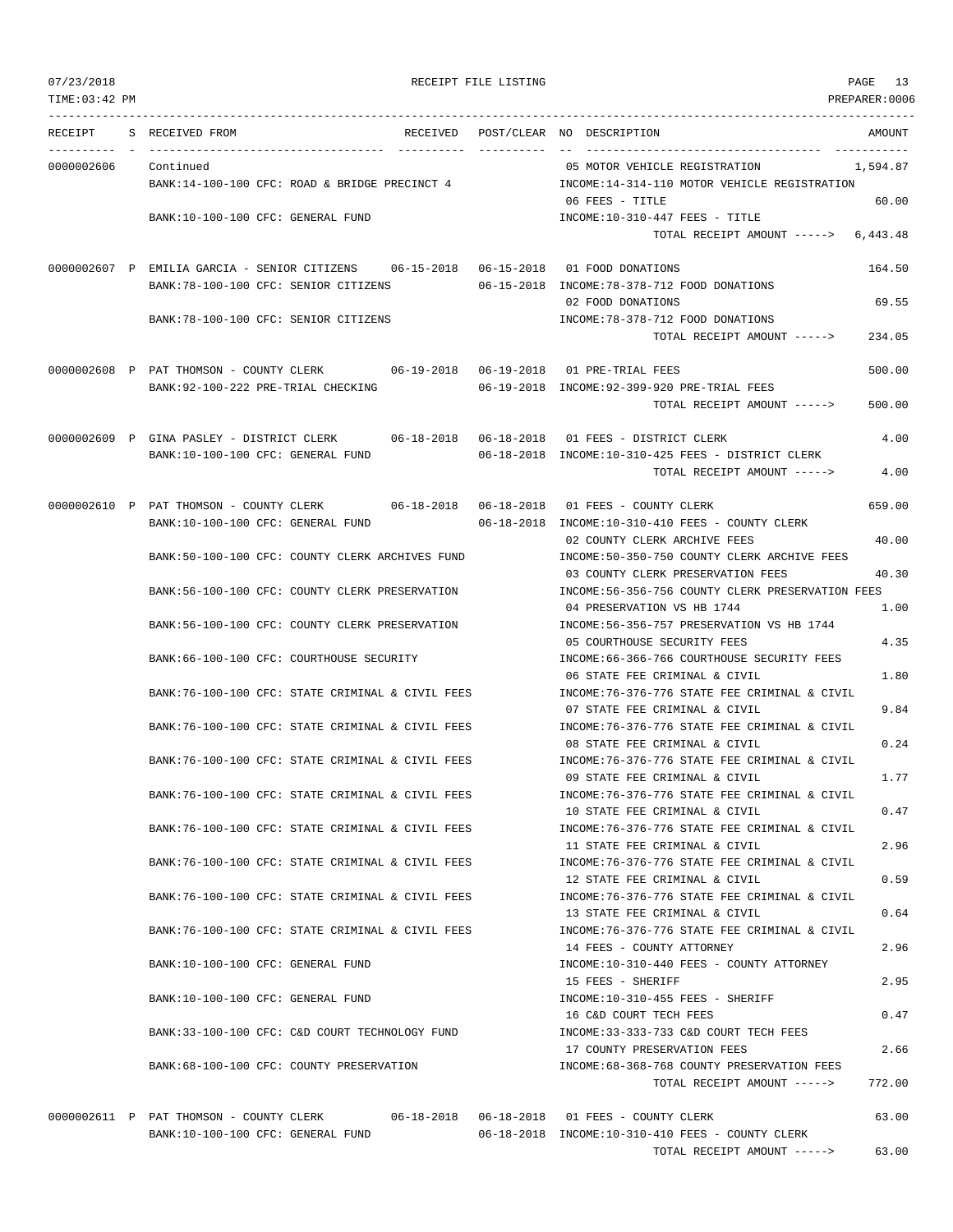| TIME: 03:42 PM |                                                                                          |                                                                                  | PREPARER:0006 |
|----------------|------------------------------------------------------------------------------------------|----------------------------------------------------------------------------------|---------------|
|                | RECEIPT S RECEIVED FROM                                                                  | RECEIVED POST/CLEAR NO DESCRIPTION                                               | AMOUNT        |
| 0000002606     | Continued                                                                                | 05 MOTOR VEHICLE REGISTRATION<br>1,594.87                                        |               |
|                | BANK:14-100-100 CFC: ROAD & BRIDGE PRECINCT 4                                            | INCOME:14-314-110 MOTOR VEHICLE REGISTRATION                                     |               |
|                |                                                                                          | 06 FEES - TITLE                                                                  | 60.00         |
|                | BANK:10-100-100 CFC: GENERAL FUND                                                        | $INCOME: 10-310-447$ FEES - TITLE                                                |               |
|                |                                                                                          | TOTAL RECEIPT AMOUNT -----> 6,443.48                                             |               |
|                | 0000002607 P EMILIA GARCIA - SENIOR CITIZENS 06-15-2018 06-15-2018 01 FOOD DONATIONS     |                                                                                  | 164.50        |
|                | BANK:78-100-100 CFC: SENIOR CITIZENS                                                     | 06-15-2018 INCOME:78-378-712 FOOD DONATIONS                                      |               |
|                |                                                                                          | 02 FOOD DONATIONS                                                                | 69.55         |
|                | BANK: 78-100-100 CFC: SENIOR CITIZENS                                                    | INCOME: 78-378-712 FOOD DONATIONS                                                |               |
|                |                                                                                          | TOTAL RECEIPT AMOUNT ----->                                                      | 234.05        |
|                | 0000002608 P PAT THOMSON - COUNTY CLERK 06-19-2018 06-19-2018 01 PRE-TRIAL FEES          |                                                                                  | 500.00        |
|                | BANK:92-100-222 PRE-TRIAL CHECKING                                                       | 06-19-2018 INCOME:92-399-920 PRE-TRIAL FEES                                      |               |
|                |                                                                                          | TOTAL RECEIPT AMOUNT ----->                                                      | 500.00        |
|                | 0000002609 P GINA PASLEY - DISTRICT CLERK 06-18-2018 06-18-2018 01 FEES - DISTRICT CLERK |                                                                                  | 4.00          |
|                | BANK:10-100-100 CFC: GENERAL FUND                                                        | 06-18-2018 INCOME:10-310-425 FEES - DISTRICT CLERK                               |               |
|                |                                                                                          | TOTAL RECEIPT AMOUNT ----->                                                      | 4.00          |
|                | 0000002610 P PAT THOMSON - COUNTY CLERK                                                  |                                                                                  | 659.00        |
|                | BANK:10-100-100 CFC: GENERAL FUND                                                        | 06-18-2018 INCOME:10-310-410 FEES - COUNTY CLERK                                 |               |
|                |                                                                                          | 02 COUNTY CLERK ARCHIVE FEES                                                     | 40.00         |
|                | BANK:50-100-100 CFC: COUNTY CLERK ARCHIVES FUND                                          | INCOME:50-350-750 COUNTY CLERK ARCHIVE FEES<br>03 COUNTY CLERK PRESERVATION FEES | 40.30         |
|                | BANK:56-100-100 CFC: COUNTY CLERK PRESERVATION                                           | INCOME:56-356-756 COUNTY CLERK PRESERVATION FEES                                 |               |
|                |                                                                                          | 04 PRESERVATION VS HB 1744                                                       | 1.00          |
|                | BANK:56-100-100 CFC: COUNTY CLERK PRESERVATION                                           | INCOME: 56-356-757 PRESERVATION VS HB 1744<br>05 COURTHOUSE SECURITY FEES        | 4.35          |
|                | BANK:66-100-100 CFC: COURTHOUSE SECURITY                                                 | INCOME:66-366-766 COURTHOUSE SECURITY FEES                                       |               |
|                |                                                                                          | 06 STATE FEE CRIMINAL & CIVIL                                                    | 1.80          |
|                | BANK:76-100-100 CFC: STATE CRIMINAL & CIVIL FEES                                         | INCOME: 76-376-776 STATE FEE CRIMINAL & CIVIL                                    |               |
|                |                                                                                          | 07 STATE FEE CRIMINAL & CIVIL                                                    | 9.84          |
|                | BANK:76-100-100 CFC: STATE CRIMINAL & CIVIL FEES                                         | INCOME:76-376-776 STATE FEE CRIMINAL & CIVIL                                     |               |
|                | BANK:76-100-100 CFC: STATE CRIMINAL & CIVIL FEES                                         | 08 STATE FEE CRIMINAL & CIVIL<br>INCOME: 76-376-776 STATE FEE CRIMINAL & CIVIL   | 0.24          |
|                |                                                                                          | 09 STATE FEE CRIMINAL & CIVIL                                                    | 1.77          |
|                | BANK:76-100-100 CFC: STATE CRIMINAL & CIVIL FEES                                         | INCOME: 76-376-776 STATE FEE CRIMINAL & CIVIL                                    |               |
|                |                                                                                          | 10 STATE FEE CRIMINAL & CIVIL                                                    | 0.47          |
|                | BANK:76-100-100 CFC: STATE CRIMINAL & CIVIL FEES                                         | INCOME: 76-376-776 STATE FEE CRIMINAL & CIVIL                                    |               |
|                |                                                                                          | 11 STATE FEE CRIMINAL & CIVIL                                                    | 2.96          |
|                | BANK:76-100-100 CFC: STATE CRIMINAL & CIVIL FEES                                         | INCOME: 76-376-776 STATE FEE CRIMINAL & CIVIL                                    |               |
|                |                                                                                          | 12 STATE FEE CRIMINAL & CIVIL                                                    | 0.59          |
|                | BANK:76-100-100 CFC: STATE CRIMINAL & CIVIL FEES                                         | INCOME: 76-376-776 STATE FEE CRIMINAL & CIVIL<br>13 STATE FEE CRIMINAL & CIVIL   |               |
|                | BANK:76-100-100 CFC: STATE CRIMINAL & CIVIL FEES                                         | INCOME: 76-376-776 STATE FEE CRIMINAL & CIVIL                                    | 0.64          |
|                |                                                                                          | 14 FEES - COUNTY ATTORNEY                                                        | 2.96          |
|                | BANK:10-100-100 CFC: GENERAL FUND                                                        | INCOME:10-310-440 FEES - COUNTY ATTORNEY                                         |               |
|                |                                                                                          | 15 FEES - SHERIFF                                                                | 2.95          |
|                | BANK:10-100-100 CFC: GENERAL FUND                                                        | INCOME:10-310-455 FEES - SHERIFF                                                 |               |
|                |                                                                                          | 16 C&D COURT TECH FEES                                                           | 0.47          |
|                | BANK:33-100-100 CFC: C&D COURT TECHNOLOGY FUND                                           | INCOME: 33-333-733 C&D COURT TECH FEES                                           |               |
|                |                                                                                          | 17 COUNTY PRESERVATION FEES                                                      | 2.66          |

07/23/2018 PAGE 13 RECEIPT FILE LISTING PAGE 13

BANK:68-100-100 CFC: COUNTY PRESERVATION INCOME:68-368-768 COUNTY PRESERVATION FEES

0000002611 P PAT THOMSON - COUNTY CLERK 06-18-2018 06-18-2018 01 FEES - COUNTY CLERK 63.00 BANK:10-100-100 CFC: GENERAL FUND 06-18-2018 INCOME:10-310-410 FEES - COUNTY CLERK TOTAL RECEIPT AMOUNT -----> 63.00

TOTAL RECEIPT AMOUNT -----> 772.00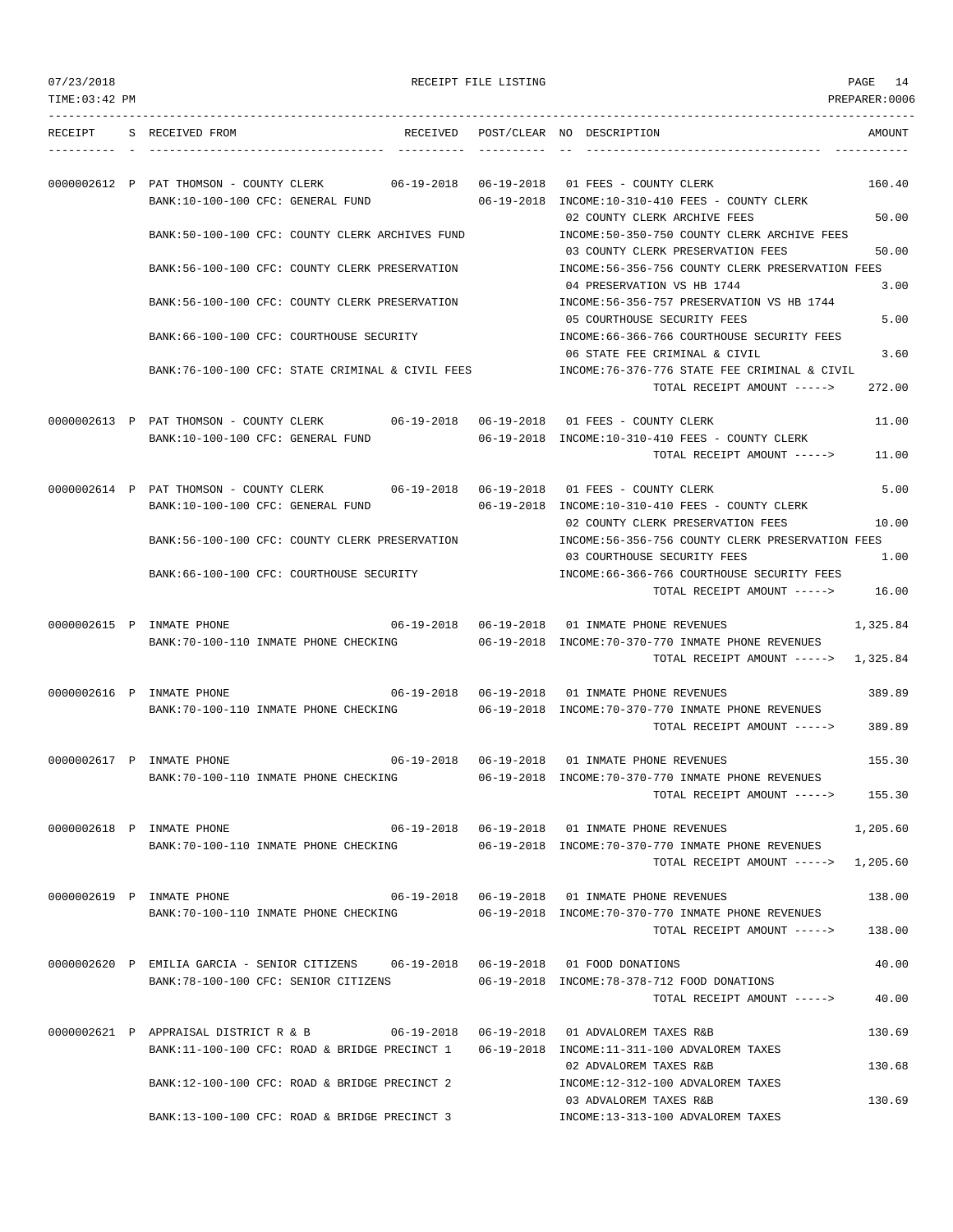| 07/23/2018 |
|------------|
|            |

RECEIPT FILE LISTING **EXECUTE A SECURE 12** PAGE 14

TIME:03:42 PM PREPARER:0006 --------------------------------------------------------------------------------------------------------------------------------- RECEIPT S RECEIVED FROM THE RECEIVED POST/CLEAR NO DESCRIPTION THE SECRET AMOUNT ---------- - ----------------------------------- ---------- ---------- -- ----------------------------------- ----------- 0000002612 P PAT THOMSON - COUNTY CLERK 06-19-2018 06-19-2018 01 FEES - COUNTY CLERK 160.40 BANK:10-100-100 CFC: GENERAL FUND 06-19-2018 INCOME:10-310-410 FEES - COUNTY CLERK 02 COUNTY CLERK ARCHIVE FEES 50.00 BANK:50-100-100 CFC: COUNTY CLERK ARCHIVES FUND INCOME:50-350-750 COUNTY CLERK ARCHIVE FEES 03 COUNTY CLERK PRESERVATION FEES 50.00 BANK:56-100-100 CFC: COUNTY CLERK PRESERVATION INCOME:56-356-756 COUNTY CLERK PRESERVATION FEES 04 PRESERVATION VS HB 1744 3.00 BANK:56-100-100 CFC: COUNTY CLERK PRESERVATION INCOME:56-356-757 PRESERVATION VS HB 1744 05 COURTHOUSE SECURITY FEES 5.00 BANK:66-100-100 CFC: COURTHOUSE SECURITY INCOME:66-366-766 COURTHOUSE SECURITY FEES 06 STATE FEE CRIMINAL & CIVIL 3.60 BANK:76-100-100 CFC: STATE CRIMINAL & CIVIL FEES INCOME:76-376-776 STATE FEE CRIMINAL & CIVIL TOTAL RECEIPT AMOUNT -----> 272.00 0000002613 P PAT THOMSON - COUNTY CLERK 06-19-2018 06-19-2018 01 FEES - COUNTY CLERK 11.00 BANK:10-100-100 CFC: GENERAL FUND 06-19-2018 INCOME:10-310-410 FEES - COUNTY CLERK TOTAL RECEIPT AMOUNT -----> 11.00 0000002614 P PAT THOMSON - COUNTY CLERK 06-19-2018 06-19-2018 01 FEES - COUNTY CLERK 5.00 BANK:10-100-100 CFC: GENERAL FUND 06-19-2018 INCOME:10-310-410 FEES - COUNTY CLERK 02 COUNTY CLERK PRESERVATION FEES 10.00 BANK:56-100-100 CFC: COUNTY CLERK PRESERVATION INCOME:56-356-756 COUNTY CLERK PRESERVATION FEES 03 COURTHOUSE SECURITY FEES 1.00 BANK:66-100-100 CFC: COURTHOUSE SECURITY INCOME:66-366-766 COURTHOUSE SECURITY FEES TOTAL RECEIPT AMOUNT -----> 16.00 0000002615 P INMATE PHONE 06-19-2018 06-19-2018 06-19-2018 01 INMATE PHONE REVENUES 1,325.84 BANK:70-100-110 INMATE PHONE CHECKING 06-19-2018 INCOME:70-370-770 INMATE PHONE REVENUES TOTAL RECEIPT AMOUNT -----> 1,325.84 0000002616 P INMATE PHONE 06-19-2018 06-19-2018 01 INMATE PHONE REVENUES 389.89 BANK:70-100-110 INMATE PHONE CHECKING 06-19-2018 INCOME:70-370-770 INMATE PHONE REVENUES TOTAL RECEIPT AMOUNT -----> 389.89 0000002617 P INMATE PHONE 06-19-2018 06-19-2018 01 INMATE PHONE REVENUES 155.30 BANK:70-100-110 INMATE PHONE CHECKING 06-19-2018 INCOME:70-370-770 INMATE PHONE REVENUES TOTAL RECEIPT AMOUNT -----> 155.30 0000002618 P INMATE PHONE 06-19-2018 06-19-2018 01 INMATE PHONE REVENUES 1,205.60 BANK:70-100-110 INMATE PHONE CHECKING 06-19-2018 INCOME:70-370-770 INMATE PHONE REVENUES TOTAL RECEIPT AMOUNT -----> 1,205.60 0000002619 P INMATE PHONE 06-19-2018 06-19-2018 01 INMATE PHONE REVENUES 138.00 BANK:70-100-110 INMATE PHONE CHECKING 06-19-2018 INCOME:70-370-770 INMATE PHONE REVENUES TOTAL RECEIPT AMOUNT -----> 138.00 0000002620 P EMILIA GARCIA - SENIOR CITIZENS 06-19-2018 06-19-2018 01 FOOD DONATIONS 40.00 BANK:78-100-100 CFC: SENIOR CITIZENS 06-19-2018 INCOME:78-378-712 FOOD DONATIONS TOTAL RECEIPT AMOUNT -----> 40.00 0000002621 P APPRAISAL DISTRICT R & B 06-19-2018 06-19-2018 01 ADVALOREM TAXES R&B 130.69 BANK:11-100-100 CFC: ROAD & BRIDGE PRECINCT 1 06-19-2018 INCOME:11-311-100 ADVALOREM TAXES 02 ADVALOREM TAXES R&B 130.68 BANK:12-100-100 CFC: ROAD & BRIDGE PRECINCT 2 INCOME:12-312-100 ADVALOREM TAXES 03 ADVALOREM TAXES R&B 130.69 BANK:13-100-100 CFC: ROAD & BRIDGE PRECINCT 3 INCOME:13-313-100 ADVALOREM TAXES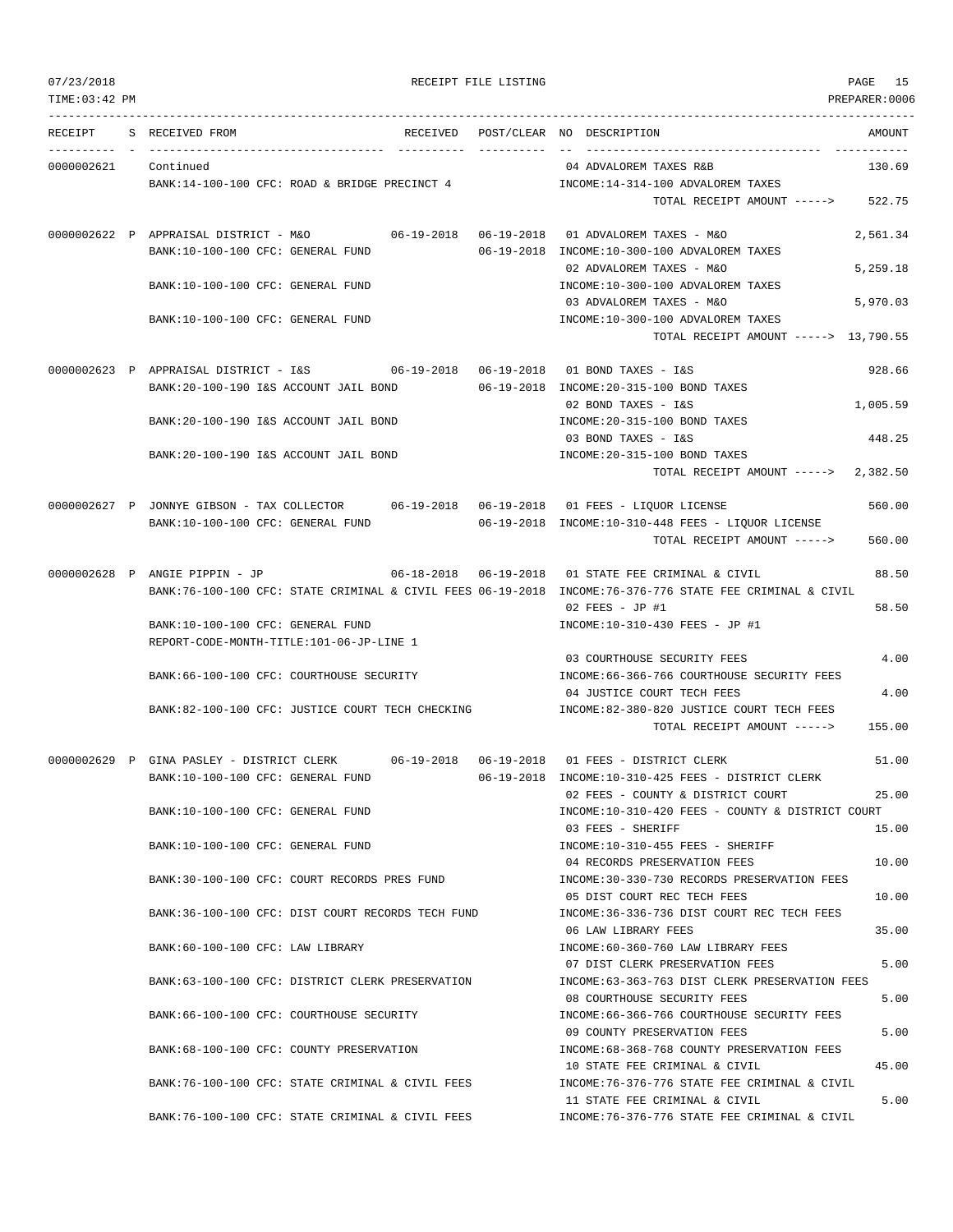|  | 07/23/2018 |  |
|--|------------|--|
|  |            |  |
|  |            |  |

PAGE 15<br>PREPARER:0006

| 07/23/2018<br>TIME: 03:42 PM |                                                                                                          | RECEIPT FILE LISTING |                                                                                       | PAGE 15<br>PREPARER:0006 |
|------------------------------|----------------------------------------------------------------------------------------------------------|----------------------|---------------------------------------------------------------------------------------|--------------------------|
|                              | RECEIPT S RECEIVED FROM                                                                                  |                      | RECEIVED POST/CLEAR NO DESCRIPTION                                                    | AMOUNT                   |
| 0000002621 Continued         |                                                                                                          |                      | 04 ADVALOREM TAXES R&B                                                                | 130.69                   |
|                              | BANK:14-100-100 CFC: ROAD & BRIDGE PRECINCT 4                                                            |                      | INCOME:14-314-100 ADVALOREM TAXES                                                     |                          |
|                              |                                                                                                          |                      | TOTAL RECEIPT AMOUNT ----->                                                           | 522.75                   |
|                              | 0000002622 P APPRAISAL DISTRICT - M&O                                                                    |                      |                                                                                       | 2,561.34                 |
|                              | BANK:10-100-100 CFC: GENERAL FUND                                                                        |                      | 06-19-2018 INCOME:10-300-100 ADVALOREM TAXES<br>02 ADVALOREM TAXES - M&O              | 5,259.18                 |
|                              | BANK:10-100-100 CFC: GENERAL FUND                                                                        |                      | INCOME:10-300-100 ADVALOREM TAXES                                                     |                          |
|                              |                                                                                                          |                      | 03 ADVALOREM TAXES - M&O                                                              | 5,970.03                 |
|                              | BANK:10-100-100 CFC: GENERAL FUND                                                                        |                      | INCOME:10-300-100 ADVALOREM TAXES                                                     |                          |
|                              |                                                                                                          |                      | TOTAL RECEIPT AMOUNT -----> 13,790.55                                                 |                          |
|                              |                                                                                                          |                      |                                                                                       | 928.66                   |
|                              | BANK: 20-100-190 I&S ACCOUNT JAIL BOND                                                                   |                      | 06-19-2018 INCOME:20-315-100 BOND TAXES                                               |                          |
|                              |                                                                                                          |                      | 02 BOND TAXES - I&S                                                                   | 1,005.59                 |
|                              | BANK:20-100-190 I&S ACCOUNT JAIL BOND                                                                    |                      | INCOME: 20-315-100 BOND TAXES                                                         |                          |
|                              |                                                                                                          |                      | 03 BOND TAXES - I&S                                                                   | 448.25                   |
|                              | BANK: 20-100-190 I&S ACCOUNT JAIL BOND                                                                   |                      | INCOME: 20-315-100 BOND TAXES                                                         |                          |
|                              |                                                                                                          |                      | TOTAL RECEIPT AMOUNT -----> 2,382.50                                                  |                          |
|                              | 0000002627 P JONNYE GIBSON - TAX COLLECTOR 06-19-2018 06-19-2018 01 FEES - LIQUOR LICENSE                |                      |                                                                                       | 560.00                   |
|                              | BANK:10-100-100 CFC: GENERAL FUND                                                                        |                      | $06-19-2018$ INCOME:10-310-448 FEES - LIQUOR LICENSE                                  |                          |
|                              |                                                                                                          |                      | TOTAL RECEIPT AMOUNT ----->                                                           | 560.00                   |
|                              | 0000002628 P ANGIE PIPPIN - JP                                                                           |                      |                                                                                       | 88.50                    |
|                              | BANK:76-100-100 CFC: STATE CRIMINAL & CIVIL FEES 06-19-2018 INCOME:76-376-776 STATE FEE CRIMINAL & CIVIL |                      |                                                                                       |                          |
|                              |                                                                                                          |                      | $02$ FEES - JP #1                                                                     | 58.50                    |
|                              | BANK:10-100-100 CFC: GENERAL FUND<br>REPORT-CODE-MONTH-TITLE:101-06-JP-LINE 1                            |                      | INCOME:10-310-430 FEES - JP #1                                                        |                          |
|                              |                                                                                                          |                      | 03 COURTHOUSE SECURITY FEES                                                           | 4.00                     |
|                              | BANK:66-100-100 CFC: COURTHOUSE SECURITY                                                                 |                      | INCOME: 66-366-766 COURTHOUSE SECURITY FEES                                           |                          |
|                              |                                                                                                          |                      | 04 JUSTICE COURT TECH FEES                                                            | 4.00                     |
|                              | BANK:82-100-100 CFC: JUSTICE COURT TECH CHECKING                                                         |                      | INCOME:82-380-820 JUSTICE COURT TECH FEES                                             |                          |
|                              |                                                                                                          |                      | TOTAL RECEIPT AMOUNT ----->                                                           | 155.00                   |
|                              | 0000002629 P GINA PASLEY - DISTRICT CLERK                                                                |                      |                                                                                       | 51.00                    |
|                              | BANK:10-100-100 CFC: GENERAL FUND                                                                        |                      | 06-19-2018 INCOME:10-310-425 FEES - DISTRICT CLERK                                    |                          |
|                              | BANK:10-100-100 CFC: GENERAL FUND                                                                        |                      | 02 FEES - COUNTY & DISTRICT COURT<br>INCOME:10-310-420 FEES - COUNTY & DISTRICT COURT | 25.00                    |
|                              |                                                                                                          |                      | 03 FEES - SHERIFF                                                                     | 15.00                    |
|                              | BANK:10-100-100 CFC: GENERAL FUND                                                                        |                      | INCOME:10-310-455 FEES - SHERIFF                                                      |                          |
|                              |                                                                                                          |                      | 04 RECORDS PRESERVATION FEES                                                          | 10.00                    |
|                              | BANK:30-100-100 CFC: COURT RECORDS PRES FUND                                                             |                      | INCOME: 30-330-730 RECORDS PRESERVATION FEES                                          |                          |
|                              |                                                                                                          |                      | 05 DIST COURT REC TECH FEES                                                           | 10.00                    |
|                              | BANK: 36-100-100 CFC: DIST COURT RECORDS TECH FUND                                                       |                      | INCOME: 36-336-736 DIST COURT REC TECH FEES                                           |                          |
|                              |                                                                                                          |                      | 06 LAW LIBRARY FEES                                                                   | 35.00                    |
|                              | BANK:60-100-100 CFC: LAW LIBRARY                                                                         |                      | INCOME:60-360-760 LAW LIBRARY FEES                                                    |                          |
|                              |                                                                                                          |                      | 07 DIST CLERK PRESERVATION FEES                                                       | 5.00                     |
|                              | BANK:63-100-100 CFC: DISTRICT CLERK PRESERVATION                                                         |                      | INCOME:63-363-763 DIST CLERK PRESERVATION FEES<br>08 COURTHOUSE SECURITY FEES         | 5.00                     |
|                              | BANK:66-100-100 CFC: COURTHOUSE SECURITY                                                                 |                      | INCOME: 66-366-766 COURTHOUSE SECURITY FEES                                           |                          |
|                              |                                                                                                          |                      | 09 COUNTY PRESERVATION FEES                                                           | 5.00                     |
|                              | BANK: 68-100-100 CFC: COUNTY PRESERVATION                                                                |                      | INCOME: 68-368-768 COUNTY PRESERVATION FEES                                           |                          |
|                              |                                                                                                          |                      | 10 STATE FEE CRIMINAL & CIVIL                                                         | 45.00                    |
|                              | BANK:76-100-100 CFC: STATE CRIMINAL & CIVIL FEES                                                         |                      | INCOME: 76-376-776 STATE FEE CRIMINAL & CIVIL                                         |                          |
|                              |                                                                                                          |                      | 11 STATE FEE CRIMINAL & CIVIL                                                         | 5.00                     |

BANK:76-100-100 CFC: STATE CRIMINAL & CIVIL FEES INCOME:76-376-776 STATE FEE CRIMINAL & CIVIL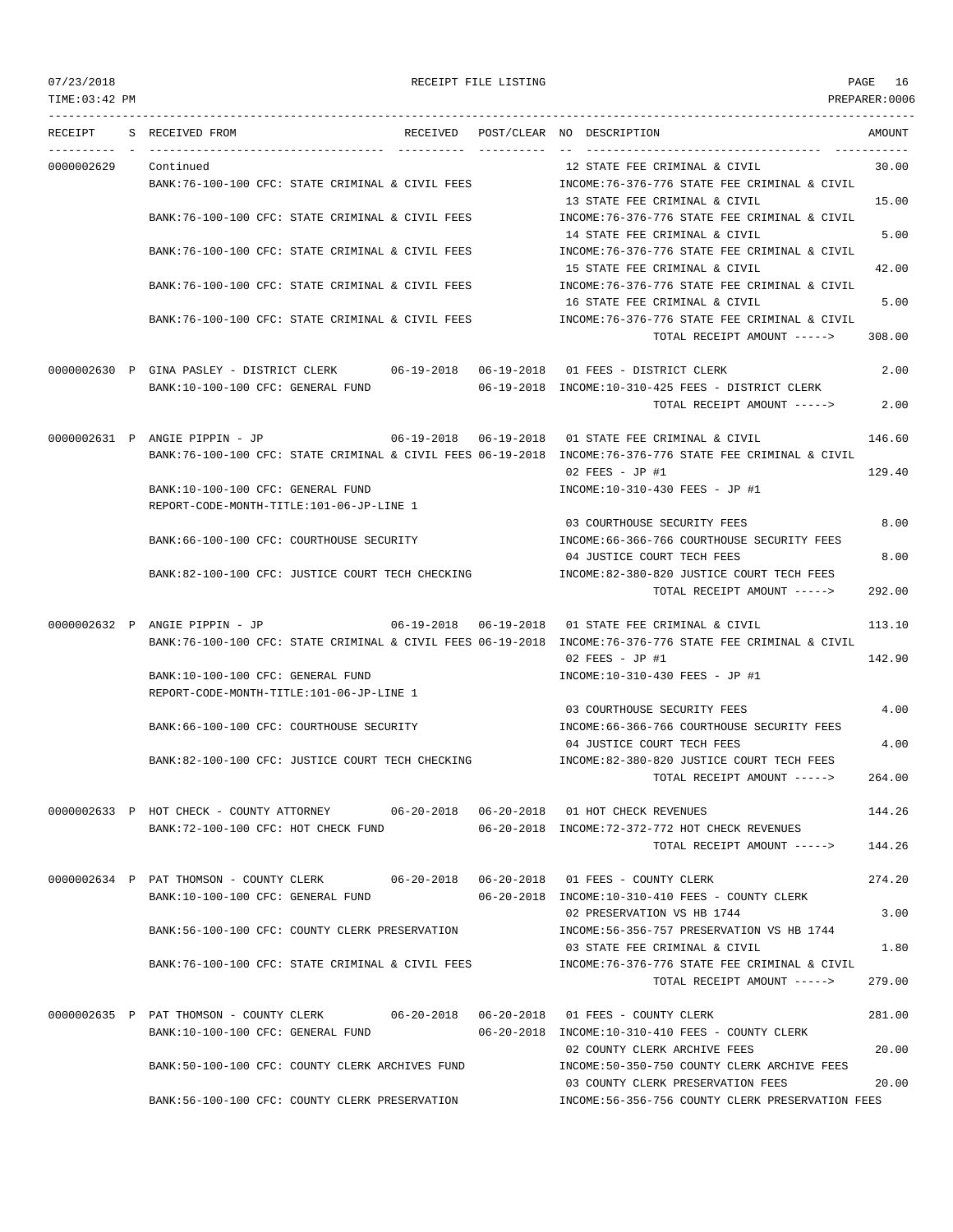| TIME: 03:42 PM |                                                                                                                               |                                   |                                                                                                                                           | PREPARER:0006  |
|----------------|-------------------------------------------------------------------------------------------------------------------------------|-----------------------------------|-------------------------------------------------------------------------------------------------------------------------------------------|----------------|
| RECEIPT        | S RECEIVED FROM                                                                                                               |                                   | RECEIVED POST/CLEAR NO DESCRIPTION                                                                                                        | AMOUNT         |
| 0000002629     | Continued<br>BANK:76-100-100 CFC: STATE CRIMINAL & CIVIL FEES                                                                 |                                   | 12 STATE FEE CRIMINAL & CIVIL<br>INCOME:76-376-776 STATE FEE CRIMINAL & CIVIL                                                             | 30.00          |
|                | BANK:76-100-100 CFC: STATE CRIMINAL & CIVIL FEES                                                                              |                                   | 13 STATE FEE CRIMINAL & CIVIL<br>INCOME:76-376-776 STATE FEE CRIMINAL & CIVIL<br>14 STATE FEE CRIMINAL & CIVIL                            | 15.00<br>5.00  |
|                | BANK:76-100-100 CFC: STATE CRIMINAL & CIVIL FEES                                                                              |                                   | INCOME:76-376-776 STATE FEE CRIMINAL & CIVIL                                                                                              |                |
|                | BANK:76-100-100 CFC: STATE CRIMINAL & CIVIL FEES                                                                              |                                   | 15 STATE FEE CRIMINAL & CIVIL<br>INCOME:76-376-776 STATE FEE CRIMINAL & CIVIL                                                             | 42.00          |
|                | BANK:76-100-100 CFC: STATE CRIMINAL & CIVIL FEES                                                                              |                                   | 16 STATE FEE CRIMINAL & CIVIL<br>INCOME:76-376-776 STATE FEE CRIMINAL & CIVIL<br>TOTAL RECEIPT AMOUNT ----->                              | 5.00<br>308.00 |
|                | 0000002630 P GINA PASLEY - DISTRICT CLERK 06-19-2018 06-19-2018 01 FEES - DISTRICT CLERK<br>BANK:10-100-100 CFC: GENERAL FUND |                                   | 06-19-2018 INCOME:10-310-425 FEES - DISTRICT CLERK<br>TOTAL RECEIPT AMOUNT ----->                                                         | 2.00<br>2.00   |
|                | 0000002631 P ANGIE PIPPIN - JP                                                                                                | 06-19-2018  06-19-2018            | 01 STATE FEE CRIMINAL & CIVIL<br>BANK:76-100-100 CFC: STATE CRIMINAL & CIVIL FEES 06-19-2018 INCOME:76-376-776 STATE FEE CRIMINAL & CIVIL | 146.60         |
|                | BANK:10-100-100 CFC: GENERAL FUND<br>REPORT-CODE-MONTH-TITLE:101-06-JP-LINE 1                                                 |                                   | $02$ FEES - JP #1<br>INCOME:10-310-430 FEES - JP #1                                                                                       | 129.40         |
|                | BANK:66-100-100 CFC: COURTHOUSE SECURITY                                                                                      |                                   | 03 COURTHOUSE SECURITY FEES<br>INCOME:66-366-766 COURTHOUSE SECURITY FEES<br>04 JUSTICE COURT TECH FEES                                   | 8.00<br>8.00   |
|                | BANK:82-100-100 CFC: JUSTICE COURT TECH CHECKING                                                                              |                                   | INCOME:82-380-820 JUSTICE COURT TECH FEES<br>TOTAL RECEIPT AMOUNT ----->                                                                  | 292.00         |
|                | 0000002632 P ANGIE PIPPIN - JP                                                                                                | $06 - 19 - 2018$ $06 - 19 - 2018$ | 01 STATE FEE CRIMINAL & CIVIL<br>BANK:76-100-100 CFC: STATE CRIMINAL & CIVIL FEES 06-19-2018 INCOME:76-376-776 STATE FEE CRIMINAL & CIVIL | 113.10         |
|                | BANK:10-100-100 CFC: GENERAL FUND<br>REPORT-CODE-MONTH-TITLE:101-06-JP-LINE 1                                                 |                                   | $02$ FEES - JP #1<br>INCOME:10-310-430 FEES - JP #1                                                                                       | 142.90         |
|                | BANK: 66-100-100 CFC: COURTHOUSE SECURITY                                                                                     |                                   | 03 COURTHOUSE SECURITY FEES<br>INCOME: 66-366-766 COURTHOUSE SECURITY FEES                                                                | 4.00           |
|                | BANK:82-100-100 CFC: JUSTICE COURT TECH CHECKING                                                                              |                                   | 04 JUSTICE COURT TECH FEES<br>INCOME:82-380-820 JUSTICE COURT TECH FEES<br>TOTAL RECEIPT AMOUNT ----->                                    | 4.00<br>264.00 |
|                | 0000002633 P HOT CHECK - COUNTY ATTORNEY 06-20-2018 06-20-2018 01 HOT CHECK REVENUES                                          |                                   |                                                                                                                                           | 144.26         |
|                | BANK:72-100-100 CFC: HOT CHECK FUND                                                                                           |                                   | 06-20-2018 INCOME:72-372-772 HOT CHECK REVENUES<br>TOTAL RECEIPT AMOUNT ----->                                                            | 144.26         |
|                | 0000002634 P PAT THOMSON - COUNTY CLERK 06-20-2018 06-20-2018 01 FEES - COUNTY CLERK<br>BANK:10-100-100 CFC: GENERAL FUND     |                                   | 06-20-2018 INCOME:10-310-410 FEES - COUNTY CLERK<br>02 PRESERVATION VS HB 1744                                                            | 274.20<br>3.00 |
|                | BANK:56-100-100 CFC: COUNTY CLERK PRESERVATION                                                                                |                                   | INCOME: 56-356-757 PRESERVATION VS HB 1744<br>03 STATE FEE CRIMINAL & CIVIL                                                               | 1.80           |
|                | BANK:76-100-100 CFC: STATE CRIMINAL & CIVIL FEES                                                                              |                                   | INCOME:76-376-776 STATE FEE CRIMINAL & CIVIL<br>TOTAL RECEIPT AMOUNT ----->                                                               | 279.00         |
|                | 0000002635 P PAT THOMSON - COUNTY CLERK 06-20-2018 06-20-2018 01 FEES - COUNTY CLERK<br>BANK:10-100-100 CFC: GENERAL FUND     |                                   | 06-20-2018 INCOME:10-310-410 FEES - COUNTY CLERK                                                                                          | 281.00         |
|                | BANK:50-100-100 CFC: COUNTY CLERK ARCHIVES FUND                                                                               |                                   | 02 COUNTY CLERK ARCHIVE FEES<br>INCOME:50-350-750 COUNTY CLERK ARCHIVE FEES                                                               | 20.00          |
|                | BANK:56-100-100 CFC: COUNTY CLERK PRESERVATION                                                                                |                                   | 03 COUNTY CLERK PRESERVATION FEES<br>INCOME:56-356-756 COUNTY CLERK PRESERVATION FEES                                                     | 20.00          |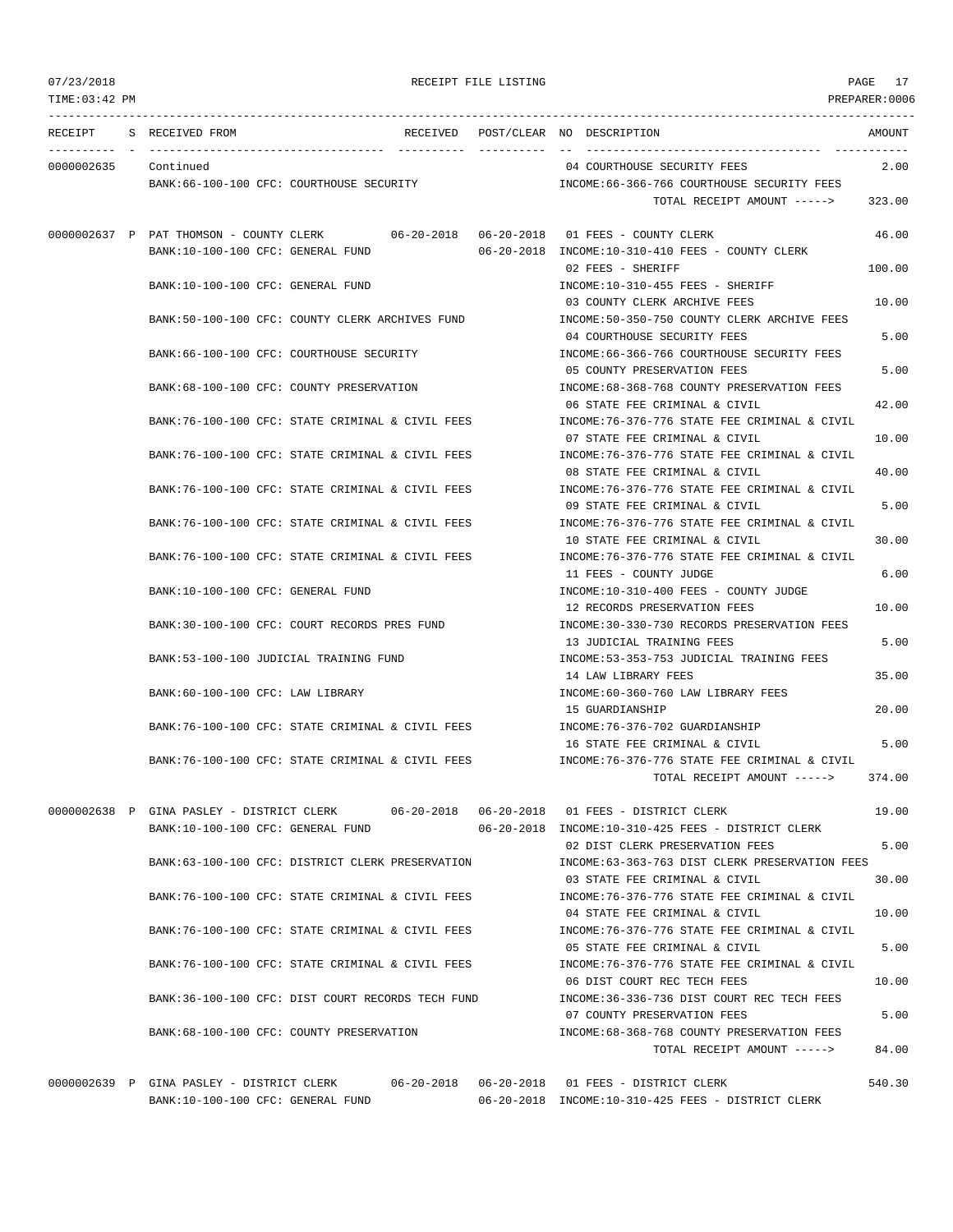# 07/23/2018 RECEIPT FILE LISTING PAGE 17 TIME:03:42 PM PREPARER:0006

--------------------------------------------------------------------------------------------------------------------------------- RECEIPT S RECEIVED FROM THE RECEIVED POST/CLEAR NO DESCRIPTION THE RECEIVED AMOUNT ---------- - ----------------------------------- ---------- ---------- -- ----------------------------------- ----------- 0000002635 Continued 04 COURTHOUSE SECURITY FEES 2.00 BANK:66-100-100 CFC: COURTHOUSE SECURITY INCOME:66-366-766 COURTHOUSE SECURITY FEES TOTAL RECEIPT AMOUNT -----> 323.00 0000002637 P PAT THOMSON - COUNTY CLERK 06-20-2018 06-20-2018 01 FEES - COUNTY CLERK 46.00 BANK:10-100-100 CFC: GENERAL FUND 06-20-2018 INCOME:10-310-410 FEES - COUNTY CLERK 02 FEES - SHERIFF 100.00 BANK:10-100-100 CFC: GENERAL FUND **INCOME:10-310-455 FEES - SHERIFF** 03 COUNTY CLERK ARCHIVE FEES 10.00 BANK:50-100-100 CFC: COUNTY CLERK ARCHIVES FUND INCOME:50-350-750 COUNTY CLERK ARCHIVE FEES 04 COURTHOUSE SECURITY FEES 5.00 BANK:66-100-100 CFC: COURTHOUSE SECURITY INCOME:66-366-766 COURTHOUSE SECURITY FEES 05 COUNTY PRESERVATION FEES 5.00 BANK:68-100-100 CFC: COUNTY PRESERVATION INCOME:68-368-768 COUNTY PRESERVATION FEES 06 STATE FEE CRIMINAL & CIVIL  $42.00$ BANK:76-100-100 CFC: STATE CRIMINAL & CIVIL FEES INCOME:76-376-776 STATE FEE CRIMINAL & CIVIL 07 STATE FEE CRIMINAL & CIVIL 10.00 BANK:76-100-100 CFC: STATE CRIMINAL & CIVIL FEES INCOME:76-376-776 STATE FEE CRIMINAL & CIVIL 08 STATE FEE CRIMINAL & CIVIL 40.00 BANK:76-100-100 CFC: STATE CRIMINAL & CIVIL FEES INCOME:76-376-776 STATE FEE CRIMINAL & CIVIL 09 STATE FEE CRIMINAL & CIVIL 6 5.00 BANK:76-100-100 CFC: STATE CRIMINAL & CIVIL FEES INCOME:76-376-776 STATE FEE CRIMINAL & CIVIL 10 STATE FEE CRIMINAL & CIVIL 30.00 BANK:76-100-100 CFC: STATE CRIMINAL & CIVIL FEES INCOME:76-376-776 STATE FEE CRIMINAL & CIVIL 11 FEES - COUNTY JUDGE 6.00 BANK:10-100-100 CFC: GENERAL FUND INCOME:10-310-400 FEES - COUNTY JUDGE 12 RECORDS PRESERVATION FEES 10.00 BANK:30-100-100 CFC: COURT RECORDS PRES FUND INCOME:30-330-730 RECORDS PRESERVATION FEES 13 JUDICIAL TRAINING FEES 5.00 BANK:53-100-100 JUDICIAL TRAINING FUND INCOME:53-353-753 JUDICIAL TRAINING FEES 14 LAW LIBRARY FEES 35.00 BANK:60-100-100 CFC: LAW LIBRARY INCOME:60-360-760 LAW LIBRARY FEES 15 GUARDIANSHIP 20.00 BANK:76-100-100 CFC: STATE CRIMINAL & CIVIL FEES INCOME:76-376-702 GUARDIANSHIP 16 STATE FEE CRIMINAL & CIVIL 5.00 BANK:76-100-100 CFC: STATE CRIMINAL & CIVIL FEES INCOME:76-376-776 STATE FEE CRIMINAL & CIVIL TOTAL RECEIPT AMOUNT  $--- 2$  374.00 0000002638 P GINA PASLEY - DISTRICT CLERK 06-20-2018 06-20-2018 01 FEES - DISTRICT CLERK 19.00 BANK:10-100-100 CFC: GENERAL FUND 06-20-2018 INCOME:10-310-425 FEES - DISTRICT CLERK 02 DIST CLERK PRESERVATION FEES 5.00 BANK:63-100-100 CFC: DISTRICT CLERK PRESERVATION INCOME:63-363-763 DIST CLERK PRESERVATION FEES 03 STATE FEE CRIMINAL & CIVIL 30.00 BANK:76-100-100 CFC: STATE CRIMINAL & CIVIL FEES INCOME:76-376-776 STATE FEE CRIMINAL & CIVIL 04 STATE FEE CRIMINAL & CIVIL 10.00 BANK:76-100-100 CFC: STATE CRIMINAL & CIVIL FEES INCOME:76-376-776 STATE FEE CRIMINAL & CIVIL 05 STATE FEE CRIMINAL & CIVIL 6 (1994) BANK:76-100-100 CFC: STATE CRIMINAL & CIVIL FEES INCOME:76-376-776 STATE FEE CRIMINAL & CIVIL 06 DIST COURT REC TECH FEES 10.00 BANK:36-100-100 CFC: DIST COURT RECORDS TECH FUND INCOME:36-336-736 DIST COURT REC TECH FEES 07 COUNTY PRESERVATION FEES 5.00 BANK:68-100-100 CFC: COUNTY PRESERVATION INCOME:68-368-768 COUNTY PRESERVATION FEES TOTAL RECEIPT AMOUNT -----> 84.00

0000002639 P GINA PASLEY - DISTRICT CLERK 06-20-2018 06-20-2018 01 FEES - DISTRICT CLERK 540.30 BANK:10-100-100 CFC: GENERAL FUND 06-20-2018 INCOME:10-310-425 FEES - DISTRICT CLERK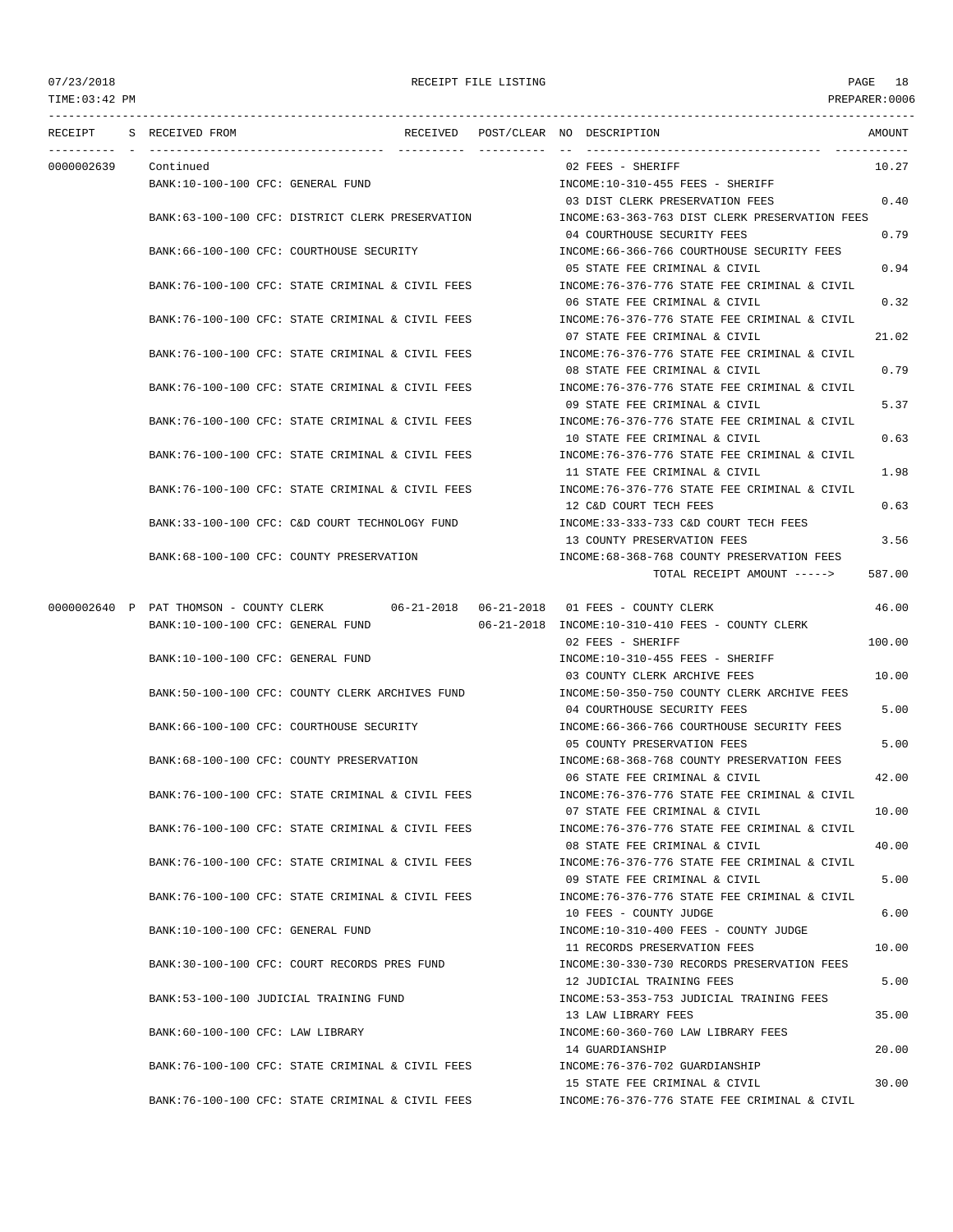| 07/23/2018     |                                                                              |  | RECEIPT FILE LISTING |                                                                                | PAGE<br>18     |
|----------------|------------------------------------------------------------------------------|--|----------------------|--------------------------------------------------------------------------------|----------------|
| TIME: 03:42 PM |                                                                              |  |                      |                                                                                | PREPARER: 0006 |
| RECEIPT        | S RECEIVED FROM                                                              |  |                      | RECEIVED POST/CLEAR NO DESCRIPTION                                             | AMOUNT         |
| 0000002639     | Continued                                                                    |  |                      | 02 FEES - SHERIFF                                                              | 10.27          |
|                | BANK:10-100-100 CFC: GENERAL FUND                                            |  |                      | INCOME:10-310-455 FEES - SHERIFF                                               |                |
|                |                                                                              |  |                      | 03 DIST CLERK PRESERVATION FEES                                                | 0.40           |
|                | BANK:63-100-100 CFC: DISTRICT CLERK PRESERVATION                             |  |                      | INCOME:63-363-763 DIST CLERK PRESERVATION FEES<br>04 COURTHOUSE SECURITY FEES  | 0.79           |
|                | BANK: 66-100-100 CFC: COURTHOUSE SECURITY                                    |  |                      | INCOME: 66-366-766 COURTHOUSE SECURITY FEES                                    |                |
|                |                                                                              |  |                      | 05 STATE FEE CRIMINAL & CIVIL                                                  | 0.94           |
|                | BANK:76-100-100 CFC: STATE CRIMINAL & CIVIL FEES                             |  |                      | INCOME: 76-376-776 STATE FEE CRIMINAL & CIVIL                                  |                |
|                |                                                                              |  |                      | 06 STATE FEE CRIMINAL & CIVIL                                                  | 0.32           |
|                | BANK:76-100-100 CFC: STATE CRIMINAL & CIVIL FEES                             |  |                      | INCOME: 76-376-776 STATE FEE CRIMINAL & CIVIL<br>07 STATE FEE CRIMINAL & CIVIL | 21.02          |
|                | BANK:76-100-100 CFC: STATE CRIMINAL & CIVIL FEES                             |  |                      | INCOME: 76-376-776 STATE FEE CRIMINAL & CIVIL                                  |                |
|                |                                                                              |  |                      | 08 STATE FEE CRIMINAL & CIVIL                                                  | 0.79           |
|                | BANK:76-100-100 CFC: STATE CRIMINAL & CIVIL FEES                             |  |                      | INCOME: 76-376-776 STATE FEE CRIMINAL & CIVIL                                  |                |
|                |                                                                              |  |                      | 09 STATE FEE CRIMINAL & CIVIL                                                  | 5.37           |
|                | BANK:76-100-100 CFC: STATE CRIMINAL & CIVIL FEES                             |  |                      | INCOME: 76-376-776 STATE FEE CRIMINAL & CIVIL<br>10 STATE FEE CRIMINAL & CIVIL | 0.63           |
|                | BANK:76-100-100 CFC: STATE CRIMINAL & CIVIL FEES                             |  |                      | INCOME:76-376-776 STATE FEE CRIMINAL & CIVIL                                   |                |
|                |                                                                              |  |                      | 11 STATE FEE CRIMINAL & CIVIL                                                  | 1.98           |
|                | BANK:76-100-100 CFC: STATE CRIMINAL & CIVIL FEES                             |  |                      | INCOME: 76-376-776 STATE FEE CRIMINAL & CIVIL                                  |                |
|                | BANK:33-100-100 CFC: C&D COURT TECHNOLOGY FUND                               |  |                      | 12 C&D COURT TECH FEES<br>INCOME: 33-333-733 C&D COURT TECH FEES               | 0.63           |
|                |                                                                              |  |                      | 13 COUNTY PRESERVATION FEES                                                    | 3.56           |
|                | BANK:68-100-100 CFC: COUNTY PRESERVATION                                     |  |                      | INCOME: 68-368-768 COUNTY PRESERVATION FEES                                    |                |
|                |                                                                              |  |                      | TOTAL RECEIPT AMOUNT ----->                                                    | 587.00         |
|                |                                                                              |  |                      |                                                                                |                |
|                | 0000002640 P PAT THOMSON - COUNTY CLERK<br>BANK:10-100-100 CFC: GENERAL FUND |  |                      | 06-21-2018 INCOME:10-310-410 FEES - COUNTY CLERK                               | 46.00          |
|                |                                                                              |  |                      | 02 FEES - SHERIFF                                                              | 100.00         |
|                | BANK:10-100-100 CFC: GENERAL FUND                                            |  |                      | INCOME:10-310-455 FEES - SHERIFF                                               |                |
|                |                                                                              |  |                      | 03 COUNTY CLERK ARCHIVE FEES                                                   | 10.00          |
|                | BANK:50-100-100 CFC: COUNTY CLERK ARCHIVES FUND                              |  |                      | INCOME:50-350-750 COUNTY CLERK ARCHIVE FEES<br>04 COURTHOUSE SECURITY FEES     | 5.00           |
|                | BANK:66-100-100 CFC: COURTHOUSE SECURITY                                     |  |                      | INCOME: 66-366-766 COURTHOUSE SECURITY FEES                                    |                |
|                |                                                                              |  |                      | 05 COUNTY PRESERVATION FEES                                                    | 5.00           |
|                | BANK: 68-100-100 CFC: COUNTY PRESERVATION                                    |  |                      | INCOME: 68-368-768 COUNTY PRESERVATION FEES                                    |                |
|                |                                                                              |  |                      | 06 STATE FEE CRIMINAL & CIVIL                                                  | 42.00          |
|                | BANK:76-100-100 CFC: STATE CRIMINAL & CIVIL FEES                             |  |                      | INCOME: 76-376-776 STATE FEE CRIMINAL & CIVIL<br>07 STATE FEE CRIMINAL & CIVIL | 10.00          |
|                | BANK:76-100-100 CFC: STATE CRIMINAL & CIVIL FEES                             |  |                      | INCOME: 76-376-776 STATE FEE CRIMINAL & CIVIL                                  |                |
|                |                                                                              |  |                      | 08 STATE FEE CRIMINAL & CIVIL                                                  | 40.00          |
|                | BANK:76-100-100 CFC: STATE CRIMINAL & CIVIL FEES                             |  |                      | INCOME:76-376-776 STATE FEE CRIMINAL & CIVIL                                   |                |
|                | BANK:76-100-100 CFC: STATE CRIMINAL & CIVIL FEES                             |  |                      | 09 STATE FEE CRIMINAL & CIVIL<br>INCOME: 76-376-776 STATE FEE CRIMINAL & CIVIL | 5.00           |
|                |                                                                              |  |                      | 10 FEES - COUNTY JUDGE                                                         | 6.00           |
|                | BANK:10-100-100 CFC: GENERAL FUND                                            |  |                      | INCOME:10-310-400 FEES - COUNTY JUDGE                                          |                |
|                |                                                                              |  |                      | 11 RECORDS PRESERVATION FEES                                                   | 10.00          |
|                | BANK:30-100-100 CFC: COURT RECORDS PRES FUND                                 |  |                      | INCOME: 30-330-730 RECORDS PRESERVATION FEES                                   |                |
|                | BANK: 53-100-100 JUDICIAL TRAINING FUND                                      |  |                      | 12 JUDICIAL TRAINING FEES<br>INCOME: 53-353-753 JUDICIAL TRAINING FEES         | 5.00           |
|                |                                                                              |  |                      | 13 LAW LIBRARY FEES                                                            | 35.00          |
|                | BANK:60-100-100 CFC: LAW LIBRARY                                             |  |                      | INCOME:60-360-760 LAW LIBRARY FEES                                             |                |
|                |                                                                              |  |                      | 14 GUARDIANSHIP                                                                | 20.00          |
|                | BANK:76-100-100 CFC: STATE CRIMINAL & CIVIL FEES                             |  |                      | INCOME: 76-376-702 GUARDIANSHIP<br>15 STATE FEE CRIMINAL & CIVIL               | 30.00          |
|                | BANK:76-100-100 CFC: STATE CRIMINAL & CIVIL FEES                             |  |                      | INCOME: 76-376-776 STATE FEE CRIMINAL & CIVIL                                  |                |
|                |                                                                              |  |                      |                                                                                |                |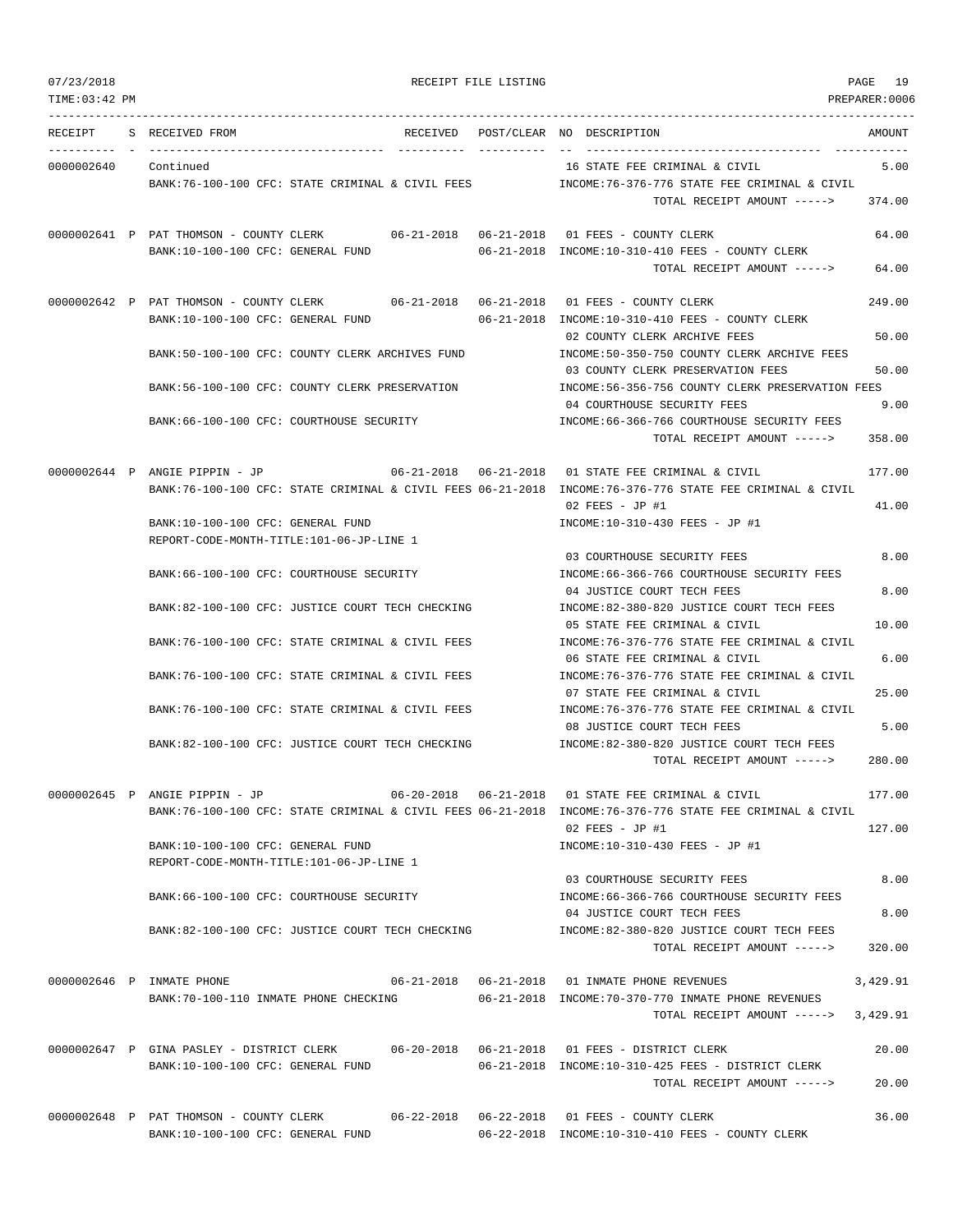07/23/2018 RECEIPT FILE LISTING PAGE 19 TIME:03:42 PM PREPARER:0006 --------------------------------------------------------------------------------------------------------------------------------- RECEIPT S RECEIVED FROM THE RECEIVED POST/CLEAR NO DESCRIPTION THE SECRET AMOUNT ---------- - ----------------------------------- ---------- ---------- -- ----------------------------------- ----------- 0000002640 Continued 16 STATE FEE CRIMINAL & CIVIL 5.00 BANK:76-100-100 CFC: STATE CRIMINAL & CIVIL FEES INCOME:76-376-776 STATE FEE CRIMINAL & CIVIL TOTAL RECEIPT AMOUNT -----> 374.00 0000002641 P PAT THOMSON - COUNTY CLERK 06-21-2018 06-21-2018 01 FEES - COUNTY CLERK 64.00 BANK:10-100-100 CFC: GENERAL FUND 06-21-2018 INCOME:10-310-410 FEES - COUNTY CLERK TOTAL RECEIPT AMOUNT -----> 64.00 0000002642 P PAT THOMSON - COUNTY CLERK 06-21-2018 06-21-2018 01 FEES - COUNTY CLERK 249.00 BANK:10-100-100 CFC: GENERAL FUND 06-21-2018 INCOME:10-310-410 FEES - COUNTY CLERK 02 COUNTY CLERK ARCHIVE FEES 50.00 BANK:50-100-100 CFC: COUNTY CLERK ARCHIVES FUND INCOME:50-350-750 COUNTY CLERK ARCHIVE FEES 03 COUNTY CLERK PRESERVATION FEES 50.00 BANK:56-100-100 CFC: COUNTY CLERK PRESERVATION INCOME:56-356-756 COUNTY CLERK PRESERVATION FEES 04 COURTHOUSE SECURITY FEES 9.00 BANK:66-100-100 CFC: COURTHOUSE SECURITY INCOME:66-366-766 COURTHOUSE SECURITY FEES TOTAL RECEIPT AMOUNT -----> 358.00 0000002644 P ANGIE PIPPIN - JP 06-21-2018 06-21-2018 01 STATE FEE CRIMINAL & CIVIL 177.00 BANK:76-100-100 CFC: STATE CRIMINAL & CIVIL FEES 06-21-2018 INCOME:76-376-776 STATE FEE CRIMINAL & CIVIL 02 FEES - JP #1 41.00 BANK:10-100-100 CFC: GENERAL FUND INCOME:10-310-430 FEES - JP #1 REPORT-CODE-MONTH-TITLE:101-06-JP-LINE 1 03 COURTHOUSE SECURITY FEES 8.00 BANK:66-100-100 CFC: COURTHOUSE SECURITY INCOME:66-366-766 COURTHOUSE SECURITY FEES 04 JUSTICE COURT TECH FEES 8.00 BANK:82-100-100 CFC: JUSTICE COURT TECH CHECKING INCOME:82-380-820 JUSTICE COURT TECH FEES 05 STATE FEE CRIMINAL & CIVIL 10.00 BANK:76-100-100 CFC: STATE CRIMINAL & CIVIL FEES INCOME:76-376-776 STATE FEE CRIMINAL & CIVIL 06 STATE FEE CRIMINAL & CIVIL 6.00 BANK:76-100-100 CFC: STATE CRIMINAL & CIVIL FEES INCOME:76-376-776 STATE FEE CRIMINAL & CIVIL 07 STATE FEE CRIMINAL & CIVIL 25.00 BANK:76-100-100 CFC: STATE CRIMINAL & CIVIL FEES INCOME:76-376-776 STATE FEE CRIMINAL & CIVIL 08 JUSTICE COURT TECH FEES 5.00 BANK:82-100-100 CFC: JUSTICE COURT TECH CHECKING INCOME:82-380-820 JUSTICE COURT TECH FEES TOTAL RECEIPT AMOUNT -----> 280.00 0000002645 P ANGIE PIPPIN - JP 06-20-2018 06-21-2018 01 STATE FEE CRIMINAL & CIVIL 177.00 BANK:76-100-100 CFC: STATE CRIMINAL & CIVIL FEES 06-21-2018 INCOME:76-376-776 STATE FEE CRIMINAL & CIVIL  $02$  FEES - JP #1  $127.00$ BANK:10-100-100 CFC: GENERAL FUND INCOME:10-310-430 FEES - JP #1 REPORT-CODE-MONTH-TITLE:101-06-JP-LINE 1 03 COURTHOUSE SECURITY FEES 8.00 BANK:66-100-100 CFC: COURTHOUSE SECURITY INCOME:66-366-766 COURTHOUSE SECURITY FEES 04 OURT TECH FEES BANK:82-100-100 CFC: JUSTICE COURT TECH CHECKING INCOME:82-380-820 JUSTICE COURT TECH FEES TOTAL RECEIPT AMOUNT -----> 320.00 0000002646 P INMATE PHONE 06-21-2018 06-21-2018 06-21-2018 01 INMATE PHONE REVENUES 3,429.91 BANK:70-100-110 INMATE PHONE CHECKING 06-21-2018 INCOME:70-370-770 INMATE PHONE REVENUES TOTAL RECEIPT AMOUNT -----> 3,429.91 0000002647 P GINA PASLEY - DISTRICT CLERK 06-20-2018 06-21-2018 01 FEES - DISTRICT CLERK 20.00 BANK:10-100-100 CFC: GENERAL FUND 06-21-2018 INCOME:10-310-425 FEES - DISTRICT CLERK TOTAL RECEIPT AMOUNT -----> 20.00 0000002648 P PAT THOMSON - COUNTY CLERK 06-22-2018 06-22-2018 01 FEES - COUNTY CLERK 36.00

BANK:10-100-100 CFC: GENERAL FUND 06-22-2018 INCOME:10-310-410 FEES - COUNTY CLERK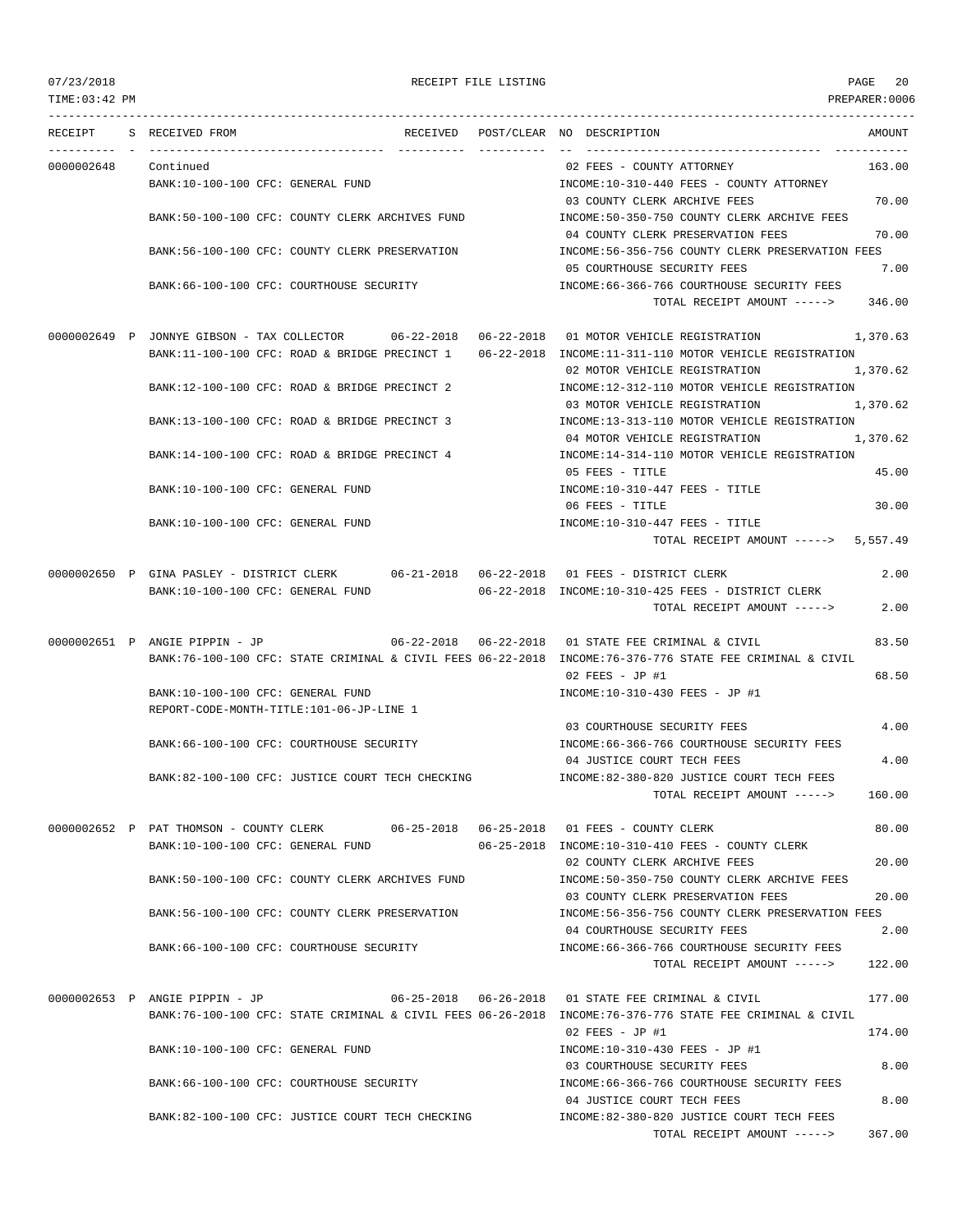TIME:03:42 PM PREPARER:0006 --------------------------------------------------------------------------------------------------------------------------------- RECEIPT S RECEIVED FROM THE RECEIVED POST/CLEAR NO DESCRIPTION THE SECRET AMOUNT ---------- - ----------------------------------- ---------- ---------- -- ----------------------------------- ----------- 0000002648 Continued 02 FEES - COUNTY ATTORNEY 163.00 BANK:10-100-100 CFC: GENERAL FUND **INCOME:10-310-440 FEES - COUNTY ATTORNEY** 03 COUNTY CLERK ARCHIVE FEES 70.00 BANK:50-100-100 CFC: COUNTY CLERK ARCHIVES FUND INCOME:50-350-750 COUNTY CLERK ARCHIVE FEES 04 COUNTY CLERK PRESERVATION FEES 70.00 BANK:56-100-100 CFC: COUNTY CLERK PRESERVATION INCOME:56-356-756 COUNTY CLERK PRESERVATION FEES 05 COURTHOUSE SECURITY FEES 7.00 BANK:66-100-100 CFC: COURTHOUSE SECURITY INCOME:66-366-766 COURTHOUSE SECURITY FEES TOTAL RECEIPT AMOUNT -----> 346.00 0000002649 P JONNYE GIBSON - TAX COLLECTOR 06-22-2018 06-22-2018 01 MOTOR VEHICLE REGISTRATION 1,370.63 BANK:11-100-100 CFC: ROAD & BRIDGE PRECINCT 1 06-22-2018 INCOME:11-311-110 MOTOR VEHICLE REGISTRATION 02 MOTOR VEHICLE REGISTRATION 1,370.62 BANK:12-100-100 CFC: ROAD & BRIDGE PRECINCT 2 INCOME:12-312-110 MOTOR VEHICLE REGISTRATION 03 MOTOR VEHICLE REGISTRATION 1,370.62 BANK:13-100-100 CFC: ROAD & BRIDGE PRECINCT 3 INCOME:13-313-110 MOTOR VEHICLE REGISTRATION 04 MOTOR VEHICLE REGISTRATION 1,370.62 BANK:14-100-100 CFC: ROAD & BRIDGE PRECINCT 4 INCOME:14-314-110 MOTOR VEHICLE REGISTRATION 05 FEES - TITLE 45.00 BANK:10-100-100 CFC: GENERAL FUND **INCOME:10-310-447 FEES** - TITLE 06 FEES - TITLE 30.00 BANK:10-100-100 CFC: GENERAL FUND INCOME:10-310-447 FEES - TITLE TOTAL RECEIPT AMOUNT  $--- 5.557.49$ 0000002650 P GINA PASLEY - DISTRICT CLERK 06-21-2018 06-22-2018 01 FEES - DISTRICT CLERK 2.00 BANK:10-100-100 CFC: GENERAL FUND 06-22-2018 INCOME:10-310-425 FEES - DISTRICT CLERK TOTAL RECEIPT AMOUNT -----> 2.00 0000002651 P ANGIE PIPPIN - JP 06-22-2018 06-22-2018 01 STATE FEE CRIMINAL & CIVIL 83.50 BANK:76-100-100 CFC: STATE CRIMINAL & CIVIL FEES 06-22-2018 INCOME:76-376-776 STATE FEE CRIMINAL & CIVIL 02 FEES - JP #1 68.50 BANK:10-100-100 CFC: GENERAL FUND INCOME:10-310-430 FEES - JP #1 REPORT-CODE-MONTH-TITLE:101-06-JP-LINE 1 03 COURTHOUSE SECURITY FEES 4.00 BANK:66-100-100 CFC: COURTHOUSE SECURITY INCOME:66-366-766 COURTHOUSE SECURITY FEES 04 JUSTICE COURT TECH FEES 4.00 BANK:82-100-100 CFC: JUSTICE COURT TECH CHECKING INCOME:82-380-820 JUSTICE COURT TECH FEES TOTAL RECEIPT AMOUNT -----> 160.00 0000002652 P PAT THOMSON - COUNTY CLERK 06-25-2018 06-25-2018 01 FEES - COUNTY CLERK 80.00 BANK:10-100-100 CFC: GENERAL FUND 06-25-2018 INCOME:10-310-410 FEES - COUNTY CLERK 02 COUNTY CLERK ARCHIVE FEES 20.00 BANK:50-100-100 CFC: COUNTY CLERK ARCHIVES FUND INCOME:50-350-750 COUNTY CLERK ARCHIVE FEES 03 COUNTY CLERK PRESERVATION FEES 20.00 BANK:56-100-100 CFC: COUNTY CLERK PRESERVATION INCOME:56-356-756 COUNTY CLERK PRESERVATION FEES 04 COURTHOUSE SECURITY FEES 2.00 BANK:66-100-100 CFC: COURTHOUSE SECURITY INCOME:66-366-766 COURTHOUSE SECURITY FEES TOTAL RECEIPT AMOUNT -----> 122.00 0000002653 P ANGIE PIPPIN - JP 06-25-2018 06-26-2018 01 STATE FEE CRIMINAL & CIVIL 177.00 BANK:76-100-100 CFC: STATE CRIMINAL & CIVIL FEES 06-26-2018 INCOME:76-376-776 STATE FEE CRIMINAL & CIVIL  $0.2$  FEES - JP #1 174.00 BANK:10-100-100 CFC: GENERAL FUND INCOME:10-310-430 FEES - JP #1 03 COURTHOUSE SECURITY FEES 8.00 BANK:66-100-100 CFC: COURTHOUSE SECURITY INCOME:66-366-766 COURTHOUSE SECURITY FEES 04 JUSTICE COURT TECH FEES 8.00 BANK:82-100-100 CFC: JUSTICE COURT TECH CHECKING INCOME:82-380-820 JUSTICE COURT TECH FEES TOTAL RECEIPT AMOUNT -----> 367.00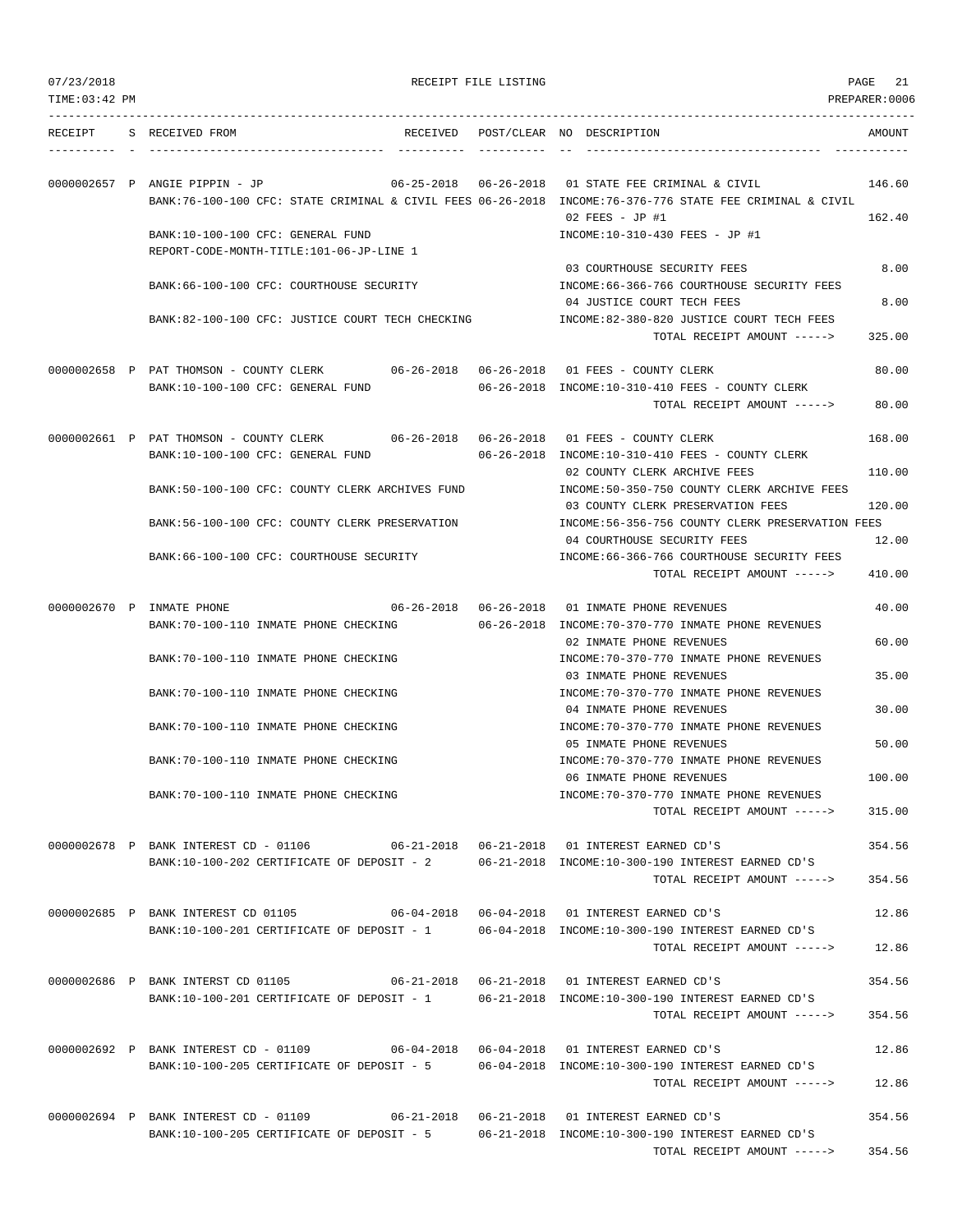| 07/23/2018 |
|------------|
|            |

RECEIPT FILE LISTING **EXECUTE A SECURE 21** 

TIME:03:42 PM PREPARER:0006 --------------------------------------------------------------------------------------------------------------------------------- RECEIPT S RECEIVED FROM RECEIVED POST/CLEAR NO DESCRIPTION AMOUNT ---------- - ----------------------------------- ---------- ---------- -- ----------------------------------- ----------- 0000002657 P ANGIE PIPPIN - JP 06-25-2018 06-26-2018 01 STATE FEE CRIMINAL & CIVIL 146.60 BANK:76-100-100 CFC: STATE CRIMINAL & CIVIL FEES 06-26-2018 INCOME:76-376-776 STATE FEE CRIMINAL & CIVIL 02 FEES - JP #1 162.40 BANK:10-100-100 CFC: GENERAL FUND INCOME:10-310-430 FEES - JP #1 REPORT-CODE-MONTH-TITLE:101-06-JP-LINE 1 03 COURTHOUSE SECURITY FEES 8.00 BANK:66-100-100 CFC: COURTHOUSE SECURITY INCOME:66-366-766 COURTHOUSE SECURITY FEES 04 JUSTICE COURT TECH FEES 8.00 BANK:82-100-100 CFC: JUSTICE COURT TECH CHECKING INCOME:82-380-820 JUSTICE COURT TECH FEES TOTAL RECEIPT AMOUNT -----> 325.00 0000002658 P PAT THOMSON - COUNTY CLERK 06-26-2018 06-26-2018 01 FEES - COUNTY CLERK 80.00 BANK:10-100-100 CFC: GENERAL FUND 06-26-2018 INCOME:10-310-410 FEES - COUNTY CLERK TOTAL RECEIPT AMOUNT -----> 80.00 0000002661 P PAT THOMSON - COUNTY CLERK 06-26-2018 06-26-2018 01 FEES - COUNTY CLERK 168.00 BANK:10-100-100 CFC: GENERAL FUND 06-26-2018 INCOME:10-310-410 FEES - COUNTY CLERK 02 COUNTY CLERK ARCHIVE FEES 110.00 BANK:50-100-100 CFC: COUNTY CLERK ARCHIVES FUND INCOME:50-350-750 COUNTY CLERK ARCHIVE FEES 03 COUNTY CLERK PRESERVATION FEES 120.00 BANK:56-100-100 CFC: COUNTY CLERK PRESERVATION INCOME:56-356-756 COUNTY CLERK PRESERVATION FEES 04 COURTHOUSE SECURITY FEES 12.00 BANK:66-100-100 CFC: COURTHOUSE SECURITY CONTROLL:66-366-766 COURTHOUSE SECURITY FEES TOTAL RECEIPT AMOUNT -----> 410.00 0000002670 P INMATE PHONE 06-26-2018 06-26-2018 01 INMATE PHONE REVENUES 40.00 BANK:70-100-110 INMATE PHONE CHECKING 06-26-2018 INCOME:70-370-770 INMATE PHONE REVENUES 02 INMATE PHONE REVENUES 60.00 BANK:70-100-110 INMATE PHONE CHECKING INCOME:70-370-770 INMATE PHONE REVENUES 03 INMATE PHONE REVENUES 35.00 BANK:70-100-110 INMATE PHONE CHECKING **INCOME:70-370-770 INMATE PHONE REVENUES** 04 INMATE PHONE REVENUES 30.00 BANK:70-100-110 INMATE PHONE CHECKING **INCOME:70-370-770 INMATE PHONE REVENUES** 05 INMATE PHONE REVENUES 50.00 BANK:70-100-110 INMATE PHONE CHECKING INCOME:70-370-770 INMATE PHONE REVENUES 06 INMATE PHONE REVENUES 100.00 BANK:70-100-110 INMATE PHONE CHECKING INCOME:70-370-770 INMATE PHONE REVENUES TOTAL RECEIPT AMOUNT -----> 315.00 0000002678 P BANK INTEREST CD - 01106 06-21-2018 06-21-2018 01 INTEREST EARNED CD'S 354.56 BANK:10-100-202 CERTIFICATE OF DEPOSIT - 2 06-21-2018 INCOME:10-300-190 INTEREST EARNED CD'S TOTAL RECEIPT AMOUNT -----> 354.56 0000002685 P BANK INTEREST CD 01105 06-04-2018 06-04-2018 01 INTEREST EARNED CD'S 12.86 BANK:10-100-201 CERTIFICATE OF DEPOSIT - 1 06-04-2018 INCOME:10-300-190 INTEREST EARNED CD'S TOTAL RECEIPT AMOUNT -----> 12.86 0000002686 P BANK INTERST CD 01105 06-21-2018 06-21-2018 01 INTEREST EARNED CD'S 354.56 BANK:10-100-201 CERTIFICATE OF DEPOSIT - 1 06-21-2018 INCOME:10-300-190 INTEREST EARNED CD'S TOTAL RECEIPT AMOUNT -----> 354.56 0000002692 P BANK INTEREST CD - 01109 06-04-2018 06-04-2018 01 INTEREST EARNED CD'S 12.86 BANK:10-100-205 CERTIFICATE OF DEPOSIT - 5 06-04-2018 INCOME:10-300-190 INTEREST EARNED CD'S TOTAL RECEIPT AMOUNT -----> 12.86 0000002694 P BANK INTEREST CD - 01109 06-21-2018 06-21-2018 01 INTEREST EARNED CD'S 354.56 BANK:10-100-205 CERTIFICATE OF DEPOSIT - 5 06-21-2018 INCOME:10-300-190 INTEREST EARNED CD'S TOTAL RECEIPT AMOUNT -----> 354.56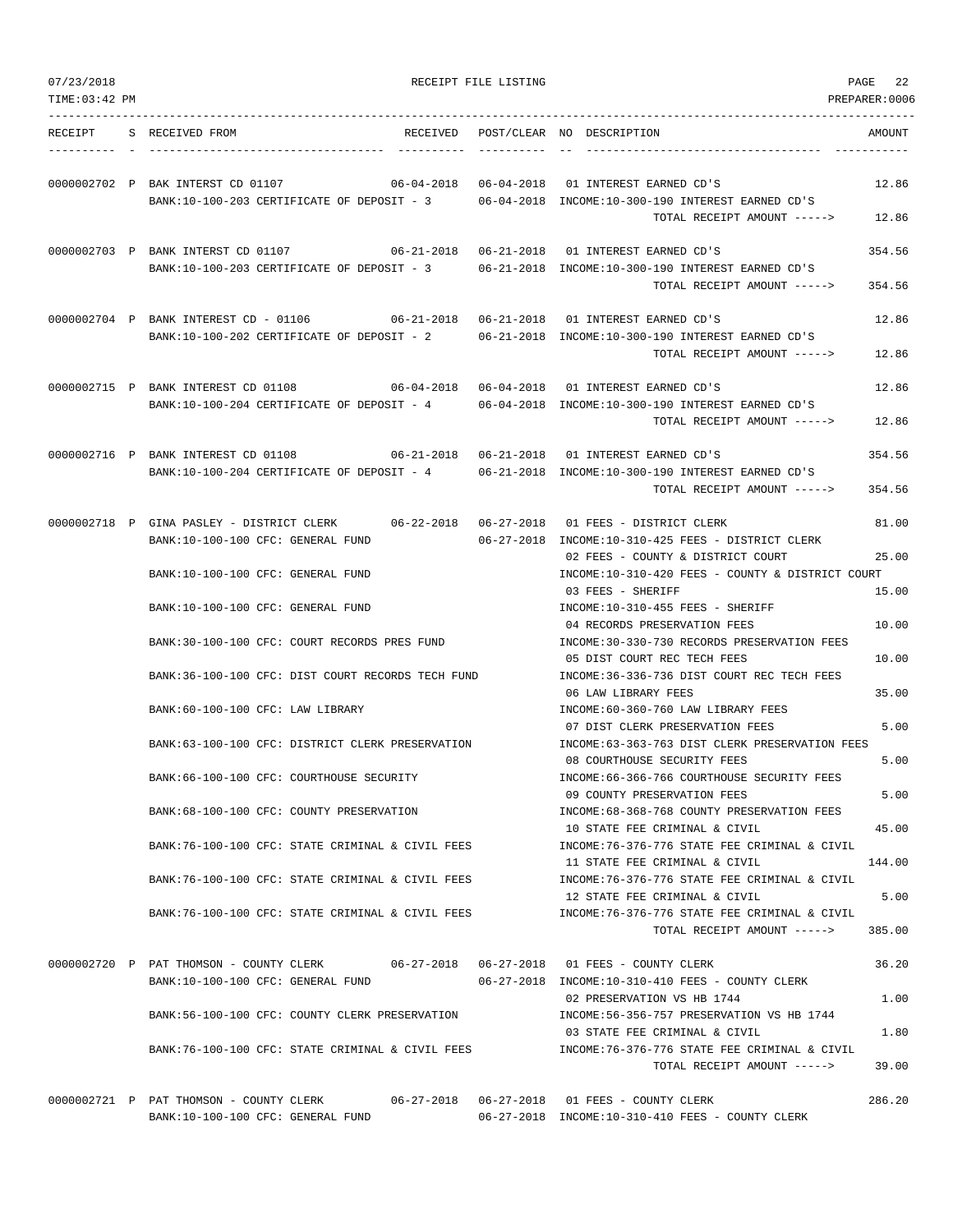| 07/23/2018<br>TIME: 03:42 PM |                                                   | RECEIPT FILE LISTING |                                                                                          | PAGE<br>22<br>PREPARER:0006 |
|------------------------------|---------------------------------------------------|----------------------|------------------------------------------------------------------------------------------|-----------------------------|
|                              |                                                   |                      |                                                                                          |                             |
| RECEIPT                      | S RECEIVED FROM                                   |                      | RECEIVED POST/CLEAR NO DESCRIPTION                                                       | AMOUNT                      |
|                              | 0000002702 P BAK INTERST CD 01107                 |                      |                                                                                          | 12.86                       |
|                              | BANK:10-100-203 CERTIFICATE OF DEPOSIT - 3        |                      | 06-04-2018 INCOME:10-300-190 INTEREST EARNED CD'S                                        |                             |
|                              |                                                   |                      | TOTAL RECEIPT AMOUNT ----->                                                              | 12.86                       |
|                              | 0000002703 P BANK INTERST CD 01107                |                      |                                                                                          | 354.56                      |
|                              | BANK:10-100-203 CERTIFICATE OF DEPOSIT - 3        |                      | 06-21-2018 INCOME:10-300-190 INTEREST EARNED CD'S<br>TOTAL RECEIPT AMOUNT ----->         | 354.56                      |
|                              |                                                   |                      | 0000002704 P BANK INTEREST CD - 01106 06-21-2018 06-21-2018 01 INTEREST EARNED CD'S      | 12.86                       |
|                              | BANK:10-100-202 CERTIFICATE OF DEPOSIT - 2        |                      | 06-21-2018 INCOME:10-300-190 INTEREST EARNED CD'S                                        |                             |
|                              |                                                   |                      | TOTAL RECEIPT AMOUNT ----->                                                              | 12.86                       |
|                              | 0000002715 P BANK INTEREST CD 01108               |                      |                                                                                          | 12.86                       |
|                              | BANK:10-100-204 CERTIFICATE OF DEPOSIT - 4        |                      | 06-04-2018 INCOME:10-300-190 INTEREST EARNED CD'S                                        |                             |
|                              |                                                   |                      | TOTAL RECEIPT AMOUNT ----->                                                              | 12.86                       |
|                              | 0000002716 P BANK INTEREST CD 01108               |                      |                                                                                          | 354.56                      |
|                              | BANK:10-100-204 CERTIFICATE OF DEPOSIT - 4        |                      | 06-21-2018 INCOME:10-300-190 INTEREST EARNED CD'S                                        |                             |
|                              |                                                   |                      | TOTAL RECEIPT AMOUNT ----->                                                              | 354.56                      |
|                              |                                                   |                      | 0000002718 P GINA PASLEY - DISTRICT CLERK 06-22-2018 06-27-2018 01 FEES - DISTRICT CLERK | 81.00                       |
|                              | BANK:10-100-100 CFC: GENERAL FUND                 |                      | 06-27-2018 INCOME:10-310-425 FEES - DISTRICT CLERK                                       |                             |
|                              | BANK:10-100-100 CFC: GENERAL FUND                 |                      | 02 FEES - COUNTY & DISTRICT COURT<br>INCOME:10-310-420 FEES - COUNTY & DISTRICT COURT    | 25.00                       |
|                              |                                                   |                      | 03 FEES - SHERIFF                                                                        | 15.00                       |
|                              | BANK:10-100-100 CFC: GENERAL FUND                 |                      | INCOME:10-310-455 FEES - SHERIFF                                                         |                             |
|                              |                                                   |                      | 04 RECORDS PRESERVATION FEES                                                             | 10.00                       |
|                              | BANK:30-100-100 CFC: COURT RECORDS PRES FUND      |                      | INCOME: 30-330-730 RECORDS PRESERVATION FEES<br>05 DIST COURT REC TECH FEES              | 10.00                       |
|                              | BANK:36-100-100 CFC: DIST COURT RECORDS TECH FUND |                      | INCOME: 36-336-736 DIST COURT REC TECH FEES                                              |                             |
|                              |                                                   |                      | 06 LAW LIBRARY FEES                                                                      | 35.00                       |
|                              | BANK:60-100-100 CFC: LAW LIBRARY                  |                      | INCOME:60-360-760 LAW LIBRARY FEES                                                       |                             |
|                              | BANK:63-100-100 CFC: DISTRICT CLERK PRESERVATION  |                      | 07 DIST CLERK PRESERVATION FEES<br>INCOME: 63-363-763 DIST CLERK PRESERVATION FEES       | 5.00                        |
|                              |                                                   |                      | 08 COURTHOUSE SECURITY FEES                                                              | 5.00                        |
|                              | BANK: 66-100-100 CFC: COURTHOUSE SECURITY         |                      | INCOME:66-366-766 COURTHOUSE SECURITY FEES                                               |                             |
|                              | BANK:68-100-100 CFC: COUNTY PRESERVATION          |                      | 09 COUNTY PRESERVATION FEES<br>INCOME: 68-368-768 COUNTY PRESERVATION FEES               | 5.00                        |
|                              |                                                   |                      | 10 STATE FEE CRIMINAL & CIVIL                                                            | 45.00                       |
|                              | BANK:76-100-100 CFC: STATE CRIMINAL & CIVIL FEES  |                      | INCOME: 76-376-776 STATE FEE CRIMINAL & CIVIL                                            |                             |
|                              | BANK:76-100-100 CFC: STATE CRIMINAL & CIVIL FEES  |                      | 11 STATE FEE CRIMINAL & CIVIL<br>INCOME: 76-376-776 STATE FEE CRIMINAL & CIVIL           | 144.00                      |
|                              |                                                   |                      | 12 STATE FEE CRIMINAL & CIVIL                                                            | 5.00                        |
|                              | BANK:76-100-100 CFC: STATE CRIMINAL & CIVIL FEES  |                      | INCOME:76-376-776 STATE FEE CRIMINAL & CIVIL                                             |                             |
|                              |                                                   |                      | TOTAL RECEIPT AMOUNT ----->                                                              | 385.00                      |
|                              | 0000002720 P PAT THOMSON - COUNTY CLERK           |                      | 06-27-2018  06-27-2018  01 FEES - COUNTY CLERK                                           | 36.20                       |
|                              | BANK:10-100-100 CFC: GENERAL FUND                 |                      | 06-27-2018 INCOME:10-310-410 FEES - COUNTY CLERK                                         |                             |
|                              |                                                   |                      | 02 PRESERVATION VS HB 1744                                                               | 1.00                        |
|                              | BANK:56-100-100 CFC: COUNTY CLERK PRESERVATION    |                      | INCOME: 56-356-757 PRESERVATION VS HB 1744<br>03 STATE FEE CRIMINAL & CIVIL              | 1.80                        |
|                              | BANK:76-100-100 CFC: STATE CRIMINAL & CIVIL FEES  |                      | INCOME: 76-376-776 STATE FEE CRIMINAL & CIVIL                                            |                             |
|                              |                                                   |                      | TOTAL RECEIPT AMOUNT ----->                                                              | 39.00                       |
|                              | 0000002721 P PAT THOMSON - COUNTY CLERK           |                      |                                                                                          | 286.20                      |
|                              | BANK:10-100-100 CFC: GENERAL FUND                 |                      | 06-27-2018 INCOME:10-310-410 FEES - COUNTY CLERK                                         |                             |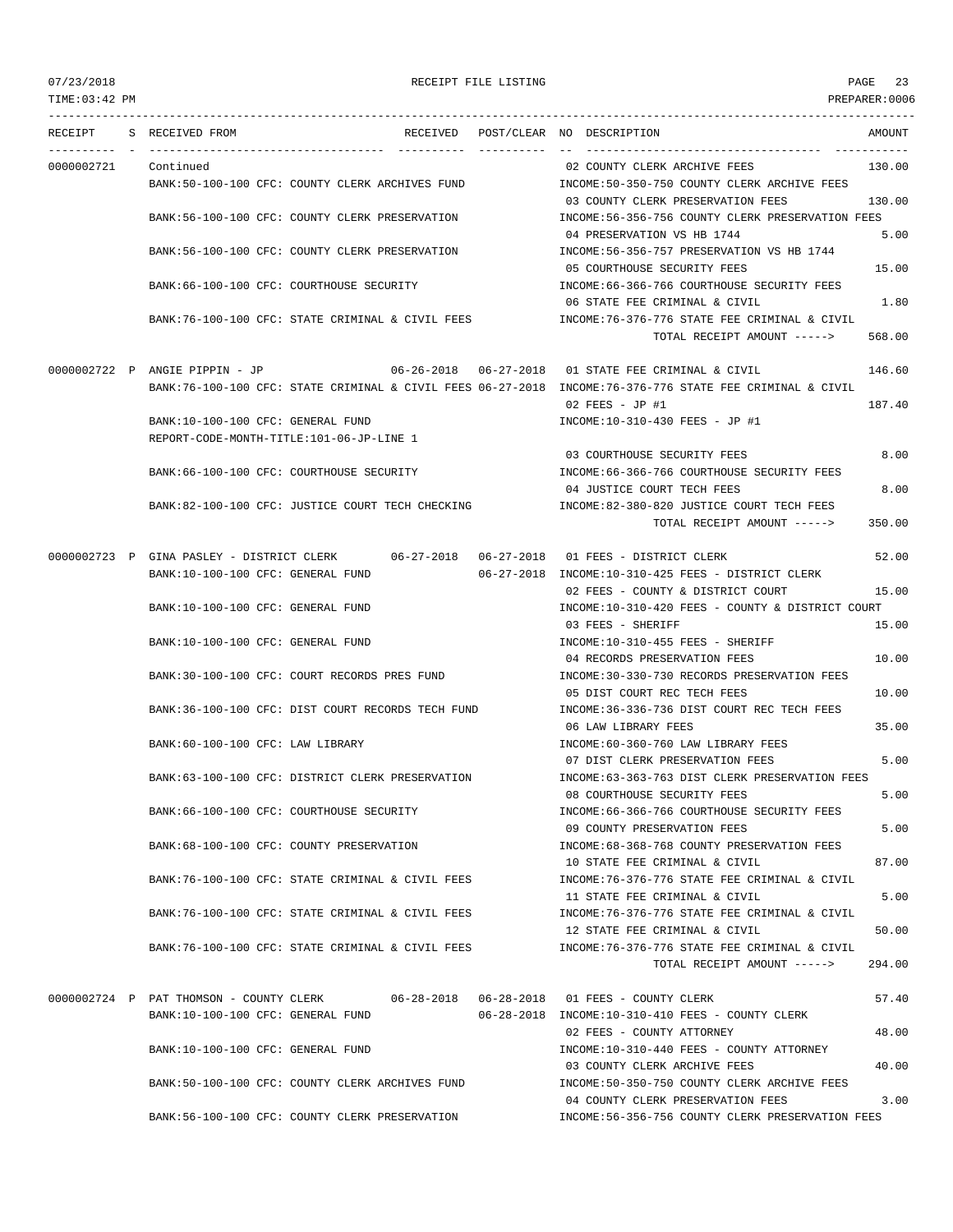## 07/23/2018 RECEIPT FILE LISTING PAGE 23

---------------------------------------------------------------------------------------------------------------------------------

RECEIPT S RECEIVED FROM THE RECEIVED POST/CLEAR NO DESCRIPTION THE SECRET AMOUNT ---------- - ----------------------------------- ---------- ---------- -- ----------------------------------- ----------- 0000002721 Continued 130.00 BANK:50-100-100 CFC: COUNTY CLERK ARCHIVES FUND INCOME:50-350-750 COUNTY CLERK ARCHIVE FEES 03 COUNTY CLERK PRESERVATION FEES 130.00 BANK:56-100-100 CFC: COUNTY CLERK PRESERVATION INCOME:56-356-756 COUNTY CLERK PRESERVATION FEES 04 PRESERVATION VS HB 1744 5.00 BANK:56-100-100 CFC: COUNTY CLERK PRESERVATION INCOME:56-356-757 PRESERVATION VS HB 1744 05 COURTHOUSE SECURITY FEES 15.00 BANK:66-100-100 CFC: COURTHOUSE SECURITY INCOME:66-366-766 COURTHOUSE SECURITY FEES 06 STATE FEE CRIMINAL & CIVIL 1.80 BANK:76-100-100 CFC: STATE CRIMINAL & CIVIL FEES INCOME:76-376-776 STATE FEE CRIMINAL & CIVIL TOTAL RECEIPT AMOUNT -----> 568.00 0000002722 P ANGIE PIPPIN - JP 06-26-2018 06-27-2018 01 STATE FEE CRIMINAL & CIVIL 146.60 BANK:76-100-100 CFC: STATE CRIMINAL & CIVIL FEES 06-27-2018 INCOME:76-376-776 STATE FEE CRIMINAL & CIVIL 02 FEES - JP #1 187.40 BANK:10-100-100 CFC: GENERAL FUND INCOME:10-310-430 FEES - JP #1 REPORT-CODE-MONTH-TITLE:101-06-JP-LINE 1 03 COURTHOUSE SECURITY FEES 8.00 BANK:66-100-100 CFC: COURTHOUSE SECURITY INCOME:66-366-766 COURTHOUSE SECURITY FEES 04 JUSTICE COURT TECH FEES 8.00 BANK:82-100-100 CFC: JUSTICE COURT TECH CHECKING INCOME:82-380-820 JUSTICE COURT TECH FEES TOTAL RECEIPT AMOUNT -----> 350.00 0000002723 P GINA PASLEY - DISTRICT CLERK 06-27-2018 06-27-2018 01 FEES - DISTRICT CLERK 52.00 BANK:10-100-100 CFC: GENERAL FUND 06-27-2018 INCOME:10-310-425 FEES - DISTRICT CLERK 02 FEES - COUNTY & DISTRICT COURT 15.00 BANK:10-100-100 CFC: GENERAL FUND INCOME:10-310-420 FEES - COUNTY & DISTRICT COURT 03 FEES - SHERIFF 15.00 BANK:10-100-100 CFC: GENERAL FUND **INCOME:10-310-455 FEES - SHERIFF** 04 RECORDS PRESERVATION FEES 10.00 BANK:30-100-100 CFC: COURT RECORDS PRES FUND INCOME:30-330-730 RECORDS PRESERVATION FEES 05 DIST COURT REC TECH FEES 10.00 BANK:36-100-100 CFC: DIST COURT RECORDS TECH FUND INCOME:36-336-736 DIST COURT REC TECH FEES 06 LAW LIBRARY FEES 35.00 BANK:60-100-100 CFC: LAW LIBRARY **INCOME:60-360-760 LAW LIBRARY FEES** 07 DIST CLERK PRESERVATION FEES 5.00 BANK:63-100-100 CFC: DISTRICT CLERK PRESERVATION INCOME:63-363-763 DIST CLERK PRESERVATION FEES 08 COURTHOUSE SECURITY FEES 5.00 BANK:66-100-100 CFC: COURTHOUSE SECURITY INCOME:66-366-766 COURTHOUSE SECURITY FEES 09 COUNTY PRESERVATION FEES 5.00 BANK:68-100-100 CFC: COUNTY PRESERVATION INCOME:68-368-768 COUNTY PRESERVATION FEES 10 STATE FEE CRIMINAL & CIVIL 87.00 BANK:76-100-100 CFC: STATE CRIMINAL & CIVIL FEES INCOME:76-376-776 STATE FEE CRIMINAL & CIVIL 11 STATE FEE CRIMINAL & CIVIL 5.00 BANK:76-100-100 CFC: STATE CRIMINAL & CIVIL FEES INCOME:76-376-776 STATE FEE CRIMINAL & CIVIL 12 STATE FEE CRIMINAL & CIVIL 60 000 BANK:76-100-100 CFC: STATE CRIMINAL & CIVIL FEES **INCOME:76-376-776 STATE FEE CRIMINAL & CIVIL** TOTAL RECEIPT AMOUNT -----> 294.00 0000002724 P PAT THOMSON - COUNTY CLERK 06-28-2018 06-28-2018 01 FEES - COUNTY CLERK 57.40 BANK:10-100-100 CFC: GENERAL FUND 06-28-2018 INCOME:10-310-410 FEES - COUNTY CLERK 02 FEES - COUNTY ATTORNEY 48.00 BANK:10-100-100 CFC: GENERAL FUND INCOME:10-310-440 FEES - COUNTY ATTORNEY 03 COUNTY CLERK ARCHIVE FEES 40.00 BANK:50-100-100 CFC: COUNTY CLERK ARCHIVES FUND INCOME:50-350-750 COUNTY CLERK ARCHIVE FEES 04 COUNTY CLERK PRESERVATION FEES 3.00 BANK:56-100-100 CFC: COUNTY CLERK PRESERVATION INCOME:56-356-756 COUNTY CLERK PRESERVATION FEES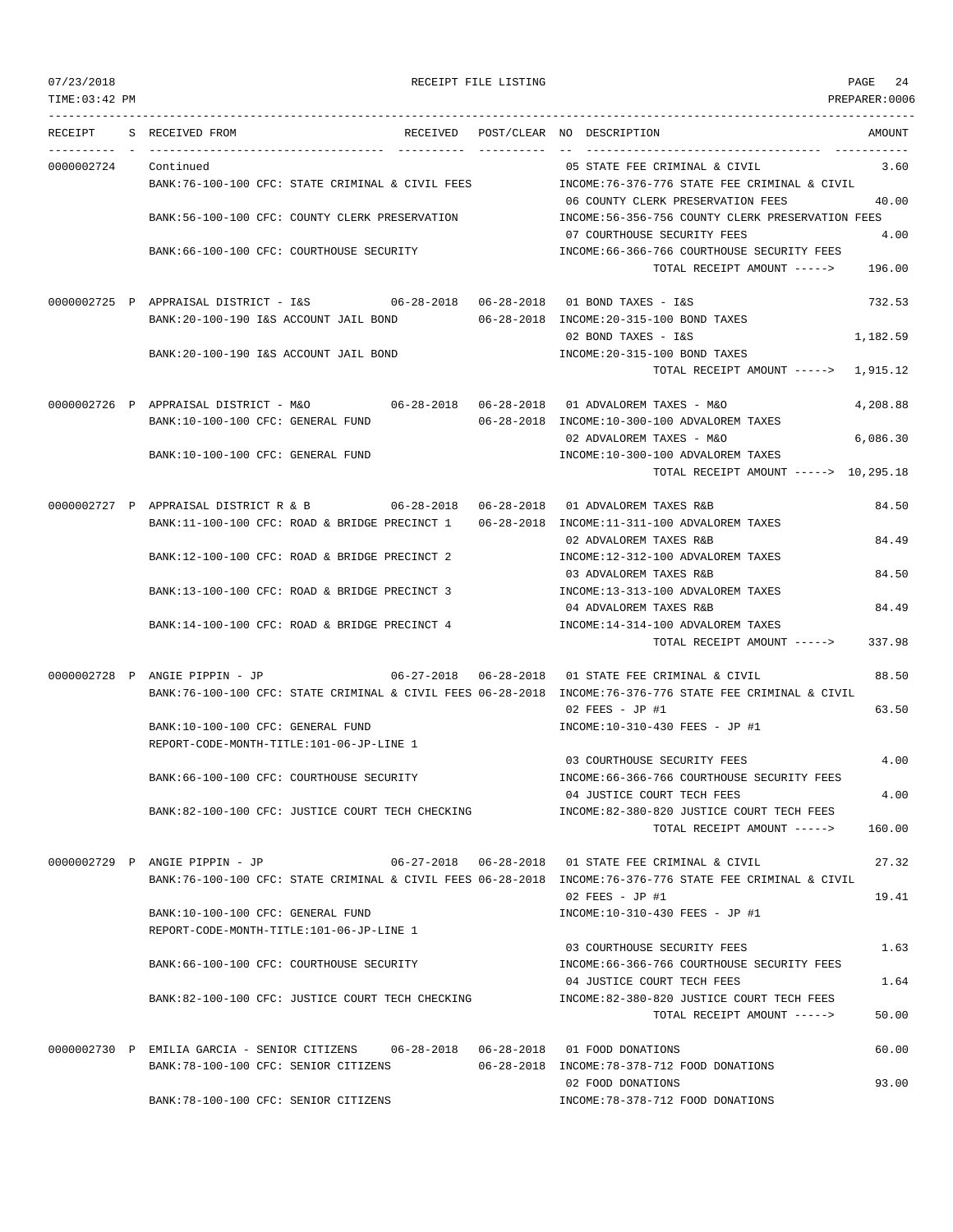07/23/2018 RECEIPT FILE LISTING PAGE 24

---------------------------------------------------------------------------------------------------------------------------------

RECEIPT S RECEIVED FROM THE RECEIVED POST/CLEAR NO DESCRIPTION THE SECRET AMOUNT ---------- - ----------------------------------- ---------- ---------- -- ----------------------------------- ----------- 0000002724 Continued 3.60 BANK:76-100-100 CFC: STATE CRIMINAL & CIVIL FEES INCOME:76-376-776 STATE FEE CRIMINAL & CIVIL 06 COUNTY CLERK PRESERVATION FEES 40.00 BANK:56-100-100 CFC: COUNTY CLERK PRESERVATION INCOME:56-356-756 COUNTY CLERK PRESERVATION FEES 07 COURTHOUSE SECURITY FEES 4.00 BANK:66-100-100 CFC: COURTHOUSE SECURITY INCOME:66-366-766 COURTHOUSE SECURITY FEES TOTAL RECEIPT AMOUNT -----> 196.00 0000002725 P APPRAISAL DISTRICT - I&S 06-28-2018 06-28-2018 01 BOND TAXES - I&S 732.53 BANK:20-100-190 I&S ACCOUNT JAIL BOND 06-28-2018 INCOME:20-315-100 BOND TAXES 02 BOND TAXES - I&S 1,182.59 BANK:20-100-190 I&S ACCOUNT JAIL BOND INCOME:20-315-100 BOND TAXES TOTAL RECEIPT AMOUNT -----> 1,915.12 0000002726 P APPRAISAL DISTRICT - M&O 06-28-2018 06-28-2018 01 ADVALOREM TAXES - M&O 4,208.88 BANK:10-100-100 CFC: GENERAL FUND 06-28-2018 INCOME:10-300-100 ADVALOREM TAXES 02 ADVALOREM TAXES - M&O 6,086.30 BANK:10-100-100 CFC: GENERAL FUND INCOME:10-300-100 ADVALOREM TAXES TOTAL RECEIPT AMOUNT -----> 10,295.18 0000002727 P APPRAISAL DISTRICT R & B 06-28-2018 06-28-2018 01 ADVALOREM TAXES R&B 84.50 BANK:11-100-100 CFC: ROAD & BRIDGE PRECINCT 1 06-28-2018 INCOME:11-311-100 ADVALOREM TAXES 02 ADVALOREM TAXES R&B 84 49 BANK:12-100-100 CFC: ROAD & BRIDGE PRECINCT 2 INCOME:12-312-100 ADVALOREM TAXES 03 ADVALOREM TAXES R&B 84.50 BANK:13-100-100 CFC: ROAD & BRIDGE PRECINCT 3 INCOME:13-313-100 ADVALOREM TAXES 04 ADVALOREM TAXES R&B 84.49 BANK:14-100-100 CFC: ROAD & BRIDGE PRECINCT 4 INCOME:14-314-100 ADVALOREM TAXES TOTAL RECEIPT AMOUNT -----> 337.98 0000002728 P ANGIE PIPPIN - JP 06-27-2018 06-28-2018 01 STATE FEE CRIMINAL & CIVIL 88.50 BANK:76-100-100 CFC: STATE CRIMINAL & CIVIL FEES 06-28-2018 INCOME:76-376-776 STATE FEE CRIMINAL & CIVIL 02 FEES - JP #1 63.50 BANK:10-100-100 CFC: GENERAL FUND INCOME:10-310-430 FEES - JP #1 REPORT-CODE-MONTH-TITLE:101-06-JP-LINE 1 03 COURTHOUSE SECURITY FEES 4.00 BANK:66-100-100 CFC: COURTHOUSE SECURITY INCOME:66-366-766 COURTHOUSE SECURITY FEES 04 JUSTICE COURT TECH FEES 4.00 BANK:82-100-100 CFC: JUSTICE COURT TECH CHECKING INCOME:82-380-820 JUSTICE COURT TECH FEES TOTAL RECEIPT AMOUNT -----> 160.00 0000002729 P ANGIE PIPPIN - JP 06-27-2018 06-28-2018 01 STATE FEE CRIMINAL & CIVIL 27.32 BANK:76-100-100 CFC: STATE CRIMINAL & CIVIL FEES 06-28-2018 INCOME:76-376-776 STATE FEE CRIMINAL & CIVIL  $02$  FEES - JP #1 19.41 BANK:10-100-100 CFC: GENERAL FUND INCOME:10-310-430 FEES - JP #1 REPORT-CODE-MONTH-TITLE:101-06-JP-LINE 1 03 COURTHOUSE SECURITY FEES 1.63 BANK:66-100-100 CFC: COURTHOUSE SECURITY **INCOME:66-366-766 COURTHOUSE SECURITY FEES** 04 JUSTICE COURT TECH FEES 1.64 BANK:82-100-100 CFC: JUSTICE COURT TECH CHECKING INCOME:82-380-820 JUSTICE COURT TECH FEES TOTAL RECEIPT AMOUNT -----> 50.00 0000002730 P EMILIA GARCIA - SENIOR CITIZENS 06-28-2018 06-28-2018 01 FOOD DONATIONS 60.00 BANK:78-100-100 CFC: SENIOR CITIZENS 06-28-2018 INCOME:78-378-712 FOOD DONATIONS 02 FOOD DONATIONS 93.00

BANK:78-100-100 CFC: SENIOR CITIZENS INCOME:78-378-712 FOOD DONATIONS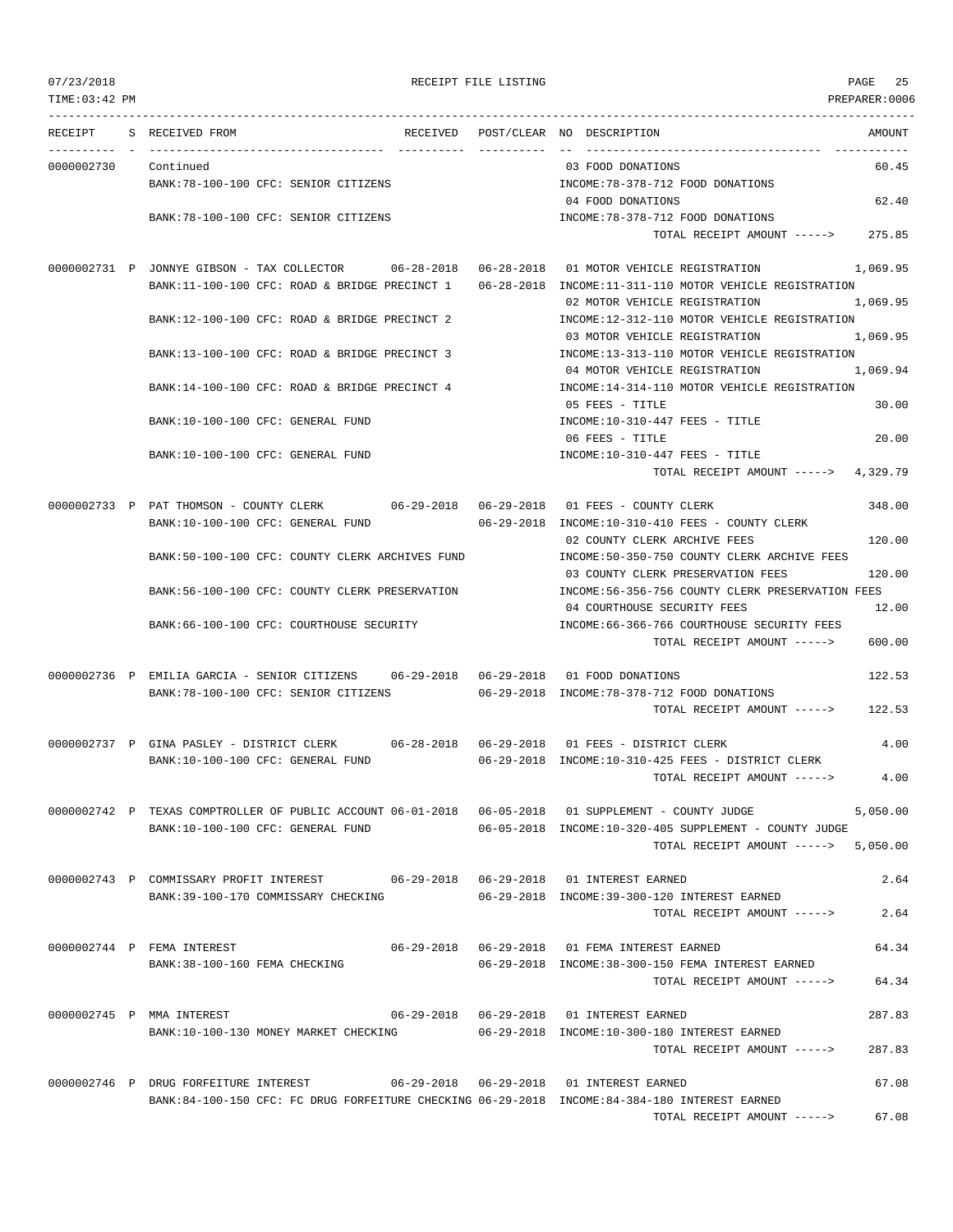| TIME:03:42 PM |                                                                                                                               |          |                                                                                               | PREPARER:0006 |
|---------------|-------------------------------------------------------------------------------------------------------------------------------|----------|-----------------------------------------------------------------------------------------------|---------------|
| RECEIPT       | S RECEIVED FROM                                                                                                               | RECEIVED | POST/CLEAR NO DESCRIPTION                                                                     | AMOUNT        |
| 0000002730    | ----------------<br>Continued                                                                                                 |          | -- --------------------------------<br>03 FOOD DONATIONS                                      | 60.45         |
|               | BANK: 78-100-100 CFC: SENIOR CITIZENS                                                                                         |          | INCOME: 78-378-712 FOOD DONATIONS                                                             |               |
|               |                                                                                                                               |          | 04 FOOD DONATIONS                                                                             | 62.40         |
|               | BANK:78-100-100 CFC: SENIOR CITIZENS                                                                                          |          | INCOME: 78-378-712 FOOD DONATIONS<br>TOTAL RECEIPT AMOUNT ----->                              | 275.85        |
|               |                                                                                                                               |          |                                                                                               |               |
|               |                                                                                                                               |          | 0000002731 P JONNYE GIBSON - TAX COLLECTOR 6-28-2018 06-28-2018 01 MOTOR VEHICLE REGISTRATION | 1,069.95      |
|               | BANK:11-100-100 CFC: ROAD & BRIDGE PRECINCT 1                                                                                 |          | 06-28-2018 INCOME:11-311-110 MOTOR VEHICLE REGISTRATION                                       |               |
|               |                                                                                                                               |          | 02 MOTOR VEHICLE REGISTRATION                                                                 | 1,069.95      |
|               | BANK:12-100-100 CFC: ROAD & BRIDGE PRECINCT 2                                                                                 |          | INCOME:12-312-110 MOTOR VEHICLE REGISTRATION                                                  |               |
|               | BANK:13-100-100 CFC: ROAD & BRIDGE PRECINCT 3                                                                                 |          | 03 MOTOR VEHICLE REGISTRATION<br>INCOME:13-313-110 MOTOR VEHICLE REGISTRATION                 | 1,069.95      |
|               |                                                                                                                               |          | 04 MOTOR VEHICLE REGISTRATION                                                                 | 1,069.94      |
|               | BANK:14-100-100 CFC: ROAD & BRIDGE PRECINCT 4                                                                                 |          | INCOME:14-314-110 MOTOR VEHICLE REGISTRATION                                                  |               |
|               |                                                                                                                               |          | 05 FEES - TITLE                                                                               | 30.00         |
|               | BANK:10-100-100 CFC: GENERAL FUND                                                                                             |          | INCOME:10-310-447 FEES - TITLE                                                                |               |
|               |                                                                                                                               |          | 06 FEES - TITLE                                                                               | 20.00         |
|               | BANK:10-100-100 CFC: GENERAL FUND                                                                                             |          | $INCOME: 10-310-447$ FEES - TITLE                                                             |               |
|               |                                                                                                                               |          | TOTAL RECEIPT AMOUNT $--- 2$ 4,329.79                                                         |               |
|               | 0000002733 P PAT THOMSON - COUNTY CLERK 06-29-2018 06-29-2018 01 FEES - COUNTY CLERK                                          |          |                                                                                               | 348.00        |
|               | BANK:10-100-100 CFC: GENERAL FUND                                                                                             |          | 06-29-2018 INCOME:10-310-410 FEES - COUNTY CLERK                                              |               |
|               |                                                                                                                               |          | 02 COUNTY CLERK ARCHIVE FEES                                                                  | 120.00        |
|               | BANK:50-100-100 CFC: COUNTY CLERK ARCHIVES FUND                                                                               |          | INCOME:50-350-750 COUNTY CLERK ARCHIVE FEES                                                   |               |
|               |                                                                                                                               |          | 03 COUNTY CLERK PRESERVATION FEES                                                             | 120.00        |
|               | BANK:56-100-100 CFC: COUNTY CLERK PRESERVATION                                                                                |          | INCOME:56-356-756 COUNTY CLERK PRESERVATION FEES                                              |               |
|               |                                                                                                                               |          | 04 COURTHOUSE SECURITY FEES                                                                   | 12.00         |
|               | BANK:66-100-100 CFC: COURTHOUSE SECURITY                                                                                      |          | INCOME:66-366-766 COURTHOUSE SECURITY FEES<br>TOTAL RECEIPT AMOUNT ----->                     | 600.00        |
|               |                                                                                                                               |          |                                                                                               |               |
|               | 0000002736 P EMILIA GARCIA - SENIOR CITIZENS 06-29-2018 06-29-2018 01 FOOD DONATIONS                                          |          |                                                                                               | 122.53        |
|               | BANK:78-100-100 CFC: SENIOR CITIZENS                                                                                          |          | 06-29-2018 INCOME:78-378-712 FOOD DONATIONS                                                   |               |
|               |                                                                                                                               |          | TOTAL RECEIPT AMOUNT ----->                                                                   | 122.53        |
|               |                                                                                                                               |          |                                                                                               |               |
|               | 0000002737 P GINA PASLEY - DISTRICT CLERK 06-28-2018 06-29-2018 01 FEES - DISTRICT CLERK<br>BANK:10-100-100 CFC: GENERAL FUND |          | 06-29-2018 INCOME:10-310-425 FEES - DISTRICT CLERK                                            | 4.00          |
|               |                                                                                                                               |          | TOTAL RECEIPT AMOUNT ----->                                                                   | 4.00          |
|               |                                                                                                                               |          |                                                                                               |               |
|               | 0000002742 P TEXAS COMPTROLLER OF PUBLIC ACCOUNT 06-01-2018 06-05-2018 01 SUPPLEMENT - COUNTY JUDGE                           |          |                                                                                               | 5,050.00      |
|               | BANK:10-100-100 CFC: GENERAL FUND                                                                                             |          | 06-05-2018 INCOME:10-320-405 SUPPLEMENT - COUNTY JUDGE                                        |               |
|               |                                                                                                                               |          | TOTAL RECEIPT AMOUNT $--- 5,050.00$                                                           |               |
|               | 0000002743 P COMMISSARY PROFIT INTEREST 06-29-2018 06-29-2018 01 INTEREST EARNED                                              |          |                                                                                               | 2.64          |
|               | BANK:39-100-170 COMMISSARY CHECKING                                                                                           |          | 06-29-2018 INCOME:39-300-120 INTEREST EARNED                                                  |               |
|               |                                                                                                                               |          | TOTAL RECEIPT AMOUNT ----->                                                                   | 2.64          |
|               |                                                                                                                               |          |                                                                                               |               |
|               | 0000002744 P FEMA INTEREST                                                                                                    |          |                                                                                               | 64.34         |
|               | BANK: 38-100-160 FEMA CHECKING                                                                                                |          | 06-29-2018 INCOME:38-300-150 FEMA INTEREST EARNED                                             |               |
|               |                                                                                                                               |          | TOTAL RECEIPT AMOUNT ----->                                                                   | 64.34         |
|               | 0000002745 P MMA INTEREST                                                                                                     |          |                                                                                               | 287.83        |
|               | BANK:10-100-130 MONEY MARKET CHECKING                                                                                         |          | 06-29-2018 INCOME:10-300-180 INTEREST EARNED                                                  |               |
|               |                                                                                                                               |          | TOTAL RECEIPT AMOUNT ----->                                                                   | 287.83        |
|               |                                                                                                                               |          |                                                                                               |               |
|               | 0000002746 P DRUG FORFEITURE INTEREST                                                                                         |          |                                                                                               | 67.08         |
|               | BANK:84-100-150 CFC: FC DRUG FORFEITURE CHECKING 06-29-2018 INCOME:84-384-180 INTEREST EARNED                                 |          |                                                                                               |               |

TOTAL RECEIPT AMOUNT -----> 67.08

07/23/2018 RECEIPT FILE LISTING PAGE 25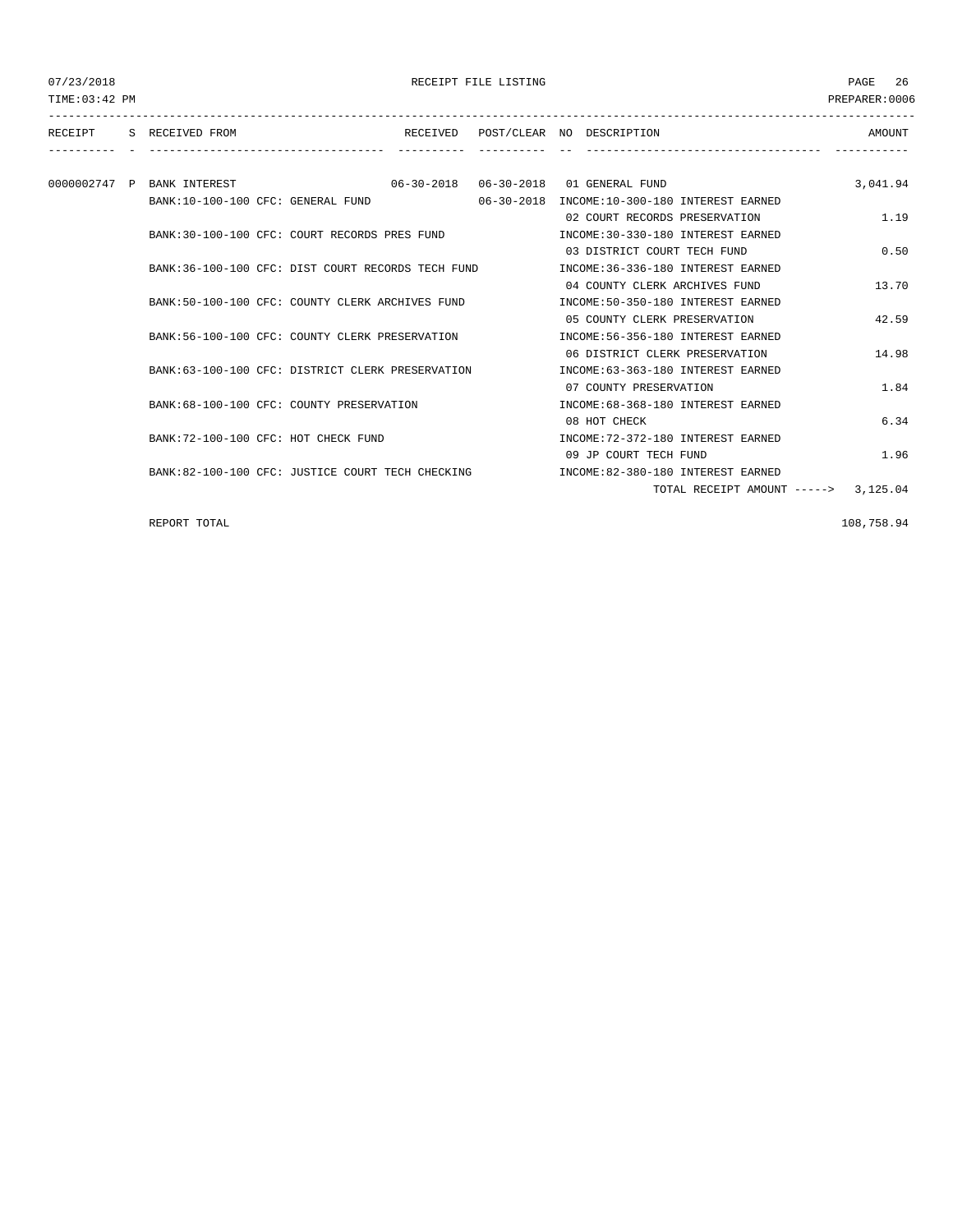TIME:03:42 PM PREPARER:0006 --------------------------------------------------------------------------------------------------------------------------------- RECEIPT S RECEIVED FROM THE RECEIVED POST/CLEAR NO DESCRIPTION THE RECEIVED AMOUNT ---------- - ----------------------------------- ---------- ---------- -- ----------------------------------- ----------- 0000002747 P BANK INTEREST 06-30-2018 06-30-2018 01 GENERAL FUND 3,041.94 BANK:10-100-100 CFC: GENERAL FUND 06-30-2018 INCOME:10-300-180 INTEREST EARNED 02 COURT RECORDS PRESERVATION 1.19 BANK:30-100-100 CFC: COURT RECORDS PRES FUND INCOME:30-330-180 INTEREST EARNED 03 DISTRICT COURT TECH FUND 0.50 BANK:36-100-100 CFC: DIST COURT RECORDS TECH FUND INCOME:36-336-180 INTEREST EARNED 04 COUNTY CLERK ARCHIVES FUND 13.70 BANK:50-100-100 CFC: COUNTY CLERK ARCHIVES FUND INCOME:50-350-180 INTEREST EARNED 05 COUNTY CLERK PRESERVATION 42.59 BANK:56-100-100 CFC: COUNTY CLERK PRESERVATION INCOME:56-356-180 INTEREST EARNED 06 DISTRICT CLERK PRESERVATION 14.98 BANK:63-100-100 CFC: DISTRICT CLERK PRESERVATION INCOME:63-363-180 INTEREST EARNED 07 COUNTY PRESERVATION 1.84 BANK:68-100-100 CFC: COUNTY PRESERVATION INCOME:68-368-180 INTEREST EARNED 08 HOT CHECK 6.34 BANK:72-100-100 CFC: HOT CHECK FUND INCOME:72-372-180 INTEREST EARNED 09 JP COURT TECH FUND 1.96 BANK:82-100-100 CFC: JUSTICE COURT TECH CHECKING INCOME:82-380-180 INTEREST EARNED TOTAL RECEIPT AMOUNT -----> 3,125.04

REPORT TOTAL 2008 258.94